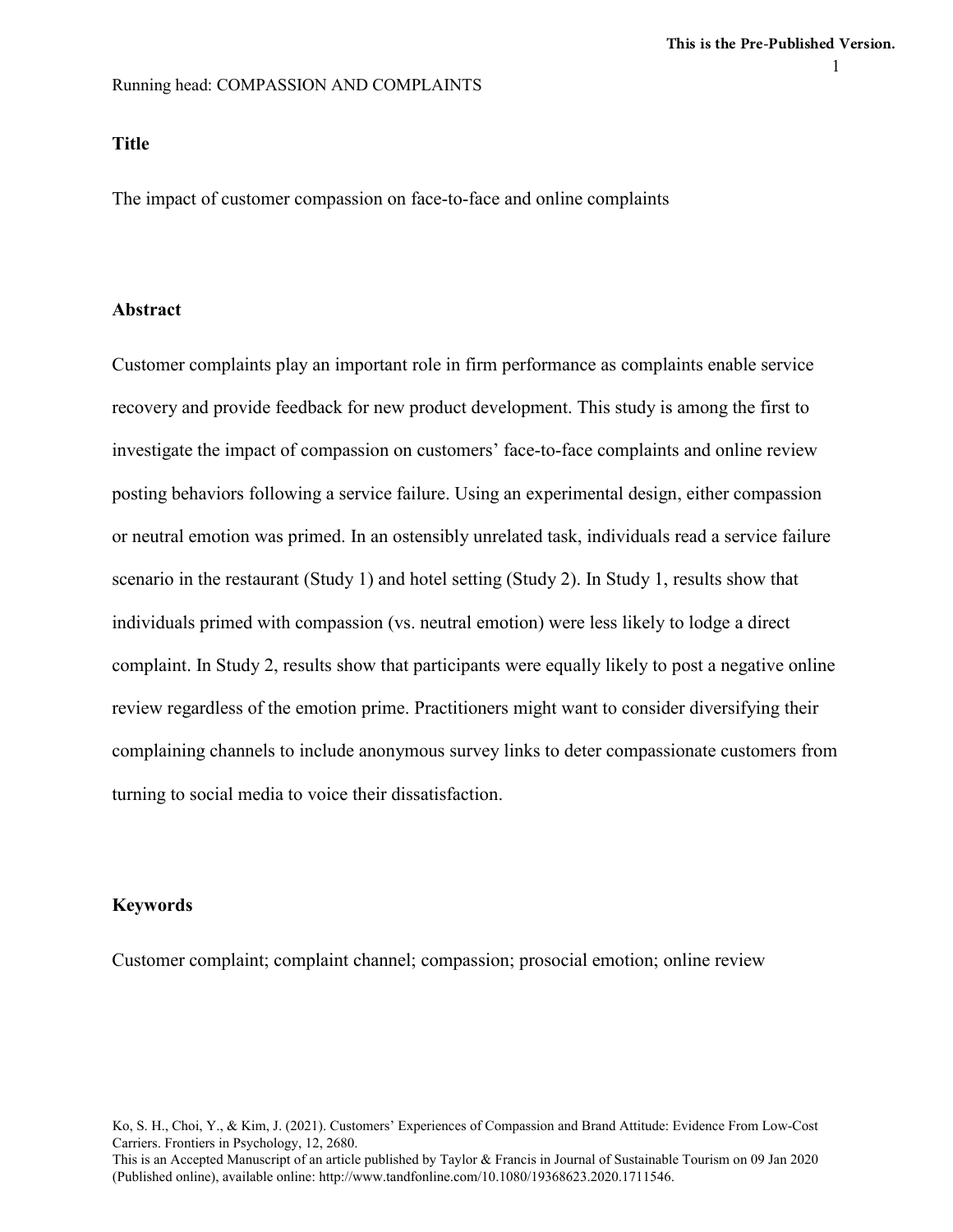#### **Title**

The impact of customer compassion on face-to-face and online complaints

## **Abstract**

Customer complaints play an important role in firm performance as complaints enable service recovery and provide feedback for new product development. This study is among the first to investigate the impact of compassion on customers' face-to-face complaints and online review posting behaviors following a service failure. Using an experimental design, either compassion or neutral emotion was primed. In an ostensibly unrelated task, individuals read a service failure scenario in the restaurant (Study 1) and hotel setting (Study 2). In Study 1, results show that individuals primed with compassion (vs. neutral emotion) were less likely to lodge a direct complaint. In Study 2, results show that participants were equally likely to post a negative online review regardless of the emotion prime. Practitioners might want to consider diversifying their complaining channels to include anonymous survey links to deter compassionate customers from turning to social media to voice their dissatisfaction.

## **Keywords**

Customer complaint; complaint channel; compassion; prosocial emotion; online review

Ko, S. H., Choi, Y., & Kim, J. (2021). Customers' Experiences of Compassion and Brand Attitude: Evidence From Low-Cost Carriers. Frontiers in Psychology, 12, 2680. This is an Accepted Manuscript of an article published by Taylor & Francis in Journal of Sustainable Tourism on 09 Jan 2020

(Published online), available online: http://www.tandfonline.com/10.1080/19368623.2020.1711546.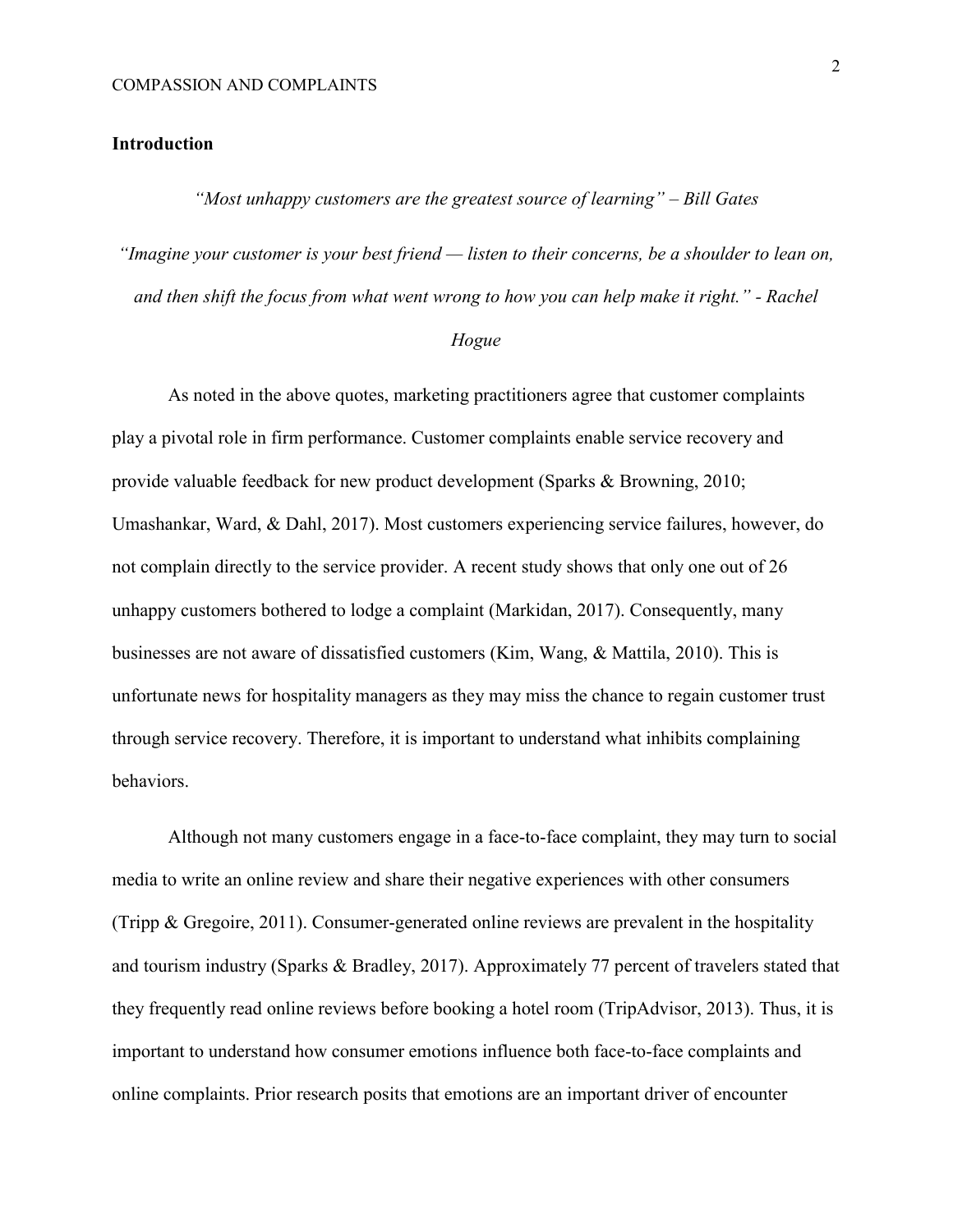#### **Introduction**

*"Most unhappy customers are the greatest source of learning" – Bill Gates*

*"Imagine your customer is your best friend — listen to their concerns, be a shoulder to lean on, and then shift the focus from what went wrong to how you can help make it right." - Rachel* 

## *Hogue*

As noted in the above quotes, marketing practitioners agree that customer complaints play a pivotal role in firm performance. Customer complaints enable service recovery and provide valuable feedback for new product development (Sparks & Browning, 2010; Umashankar, Ward, & Dahl, 2017). Most customers experiencing service failures, however, do not complain directly to the service provider. A recent study shows that only one out of 26 unhappy customers bothered to lodge a complaint (Markidan, 2017). Consequently, many businesses are not aware of dissatisfied customers (Kim, Wang, & Mattila, 2010). This is unfortunate news for hospitality managers as they may miss the chance to regain customer trust through service recovery. Therefore, it is important to understand what inhibits complaining behaviors.

Although not many customers engage in a face-to-face complaint, they may turn to social media to write an online review and share their negative experiences with other consumers (Tripp & Gregoire, 2011). Consumer-generated online reviews are prevalent in the hospitality and tourism industry (Sparks & Bradley, 2017). Approximately 77 percent of travelers stated that they frequently read online reviews before booking a hotel room (TripAdvisor, 2013). Thus, it is important to understand how consumer emotions influence both face-to-face complaints and online complaints. Prior research posits that emotions are an important driver of encounter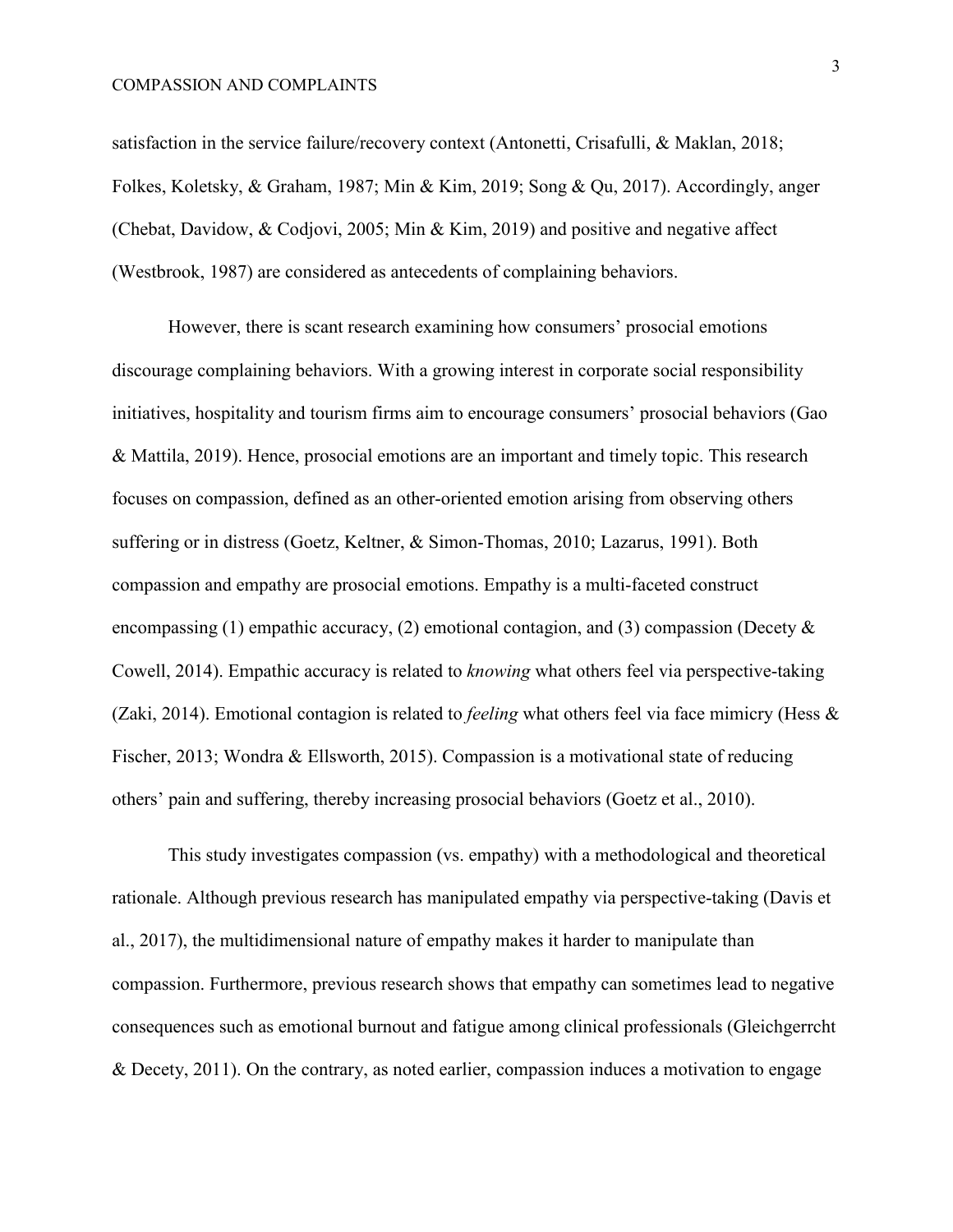#### COMPASSION AND COMPLAINTS

satisfaction in the service failure/recovery context (Antonetti, Crisafulli, & Maklan, 2018; Folkes, Koletsky, & Graham, 1987; Min & Kim, 2019; Song & Qu, 2017). Accordingly, anger (Chebat, Davidow, & Codjovi, 2005; Min & Kim, 2019) and positive and negative affect (Westbrook, 1987) are considered as antecedents of complaining behaviors.

However, there is scant research examining how consumers' prosocial emotions discourage complaining behaviors. With a growing interest in corporate social responsibility initiatives, hospitality and tourism firms aim to encourage consumers' prosocial behaviors (Gao & Mattila, 2019). Hence, prosocial emotions are an important and timely topic. This research focuses on compassion, defined as an other-oriented emotion arising from observing others suffering or in distress (Goetz, Keltner, & Simon-Thomas, 2010; Lazarus, 1991). Both compassion and empathy are prosocial emotions. Empathy is a multi-faceted construct encompassing (1) empathic accuracy, (2) emotional contagion, and (3) compassion (Decety  $\&$ Cowell, 2014). Empathic accuracy is related to *knowing* what others feel via perspective-taking (Zaki, 2014). Emotional contagion is related to *feeling* what others feel via face mimicry (Hess & Fischer, 2013; Wondra & Ellsworth, 2015). Compassion is a motivational state of reducing others' pain and suffering, thereby increasing prosocial behaviors (Goetz et al., 2010).

This study investigates compassion (vs. empathy) with a methodological and theoretical rationale. Although previous research has manipulated empathy via perspective-taking (Davis et al., 2017), the multidimensional nature of empathy makes it harder to manipulate than compassion. Furthermore, previous research shows that empathy can sometimes lead to negative consequences such as emotional burnout and fatigue among clinical professionals (Gleichgerrcht & Decety, 2011). On the contrary, as noted earlier, compassion induces a motivation to engage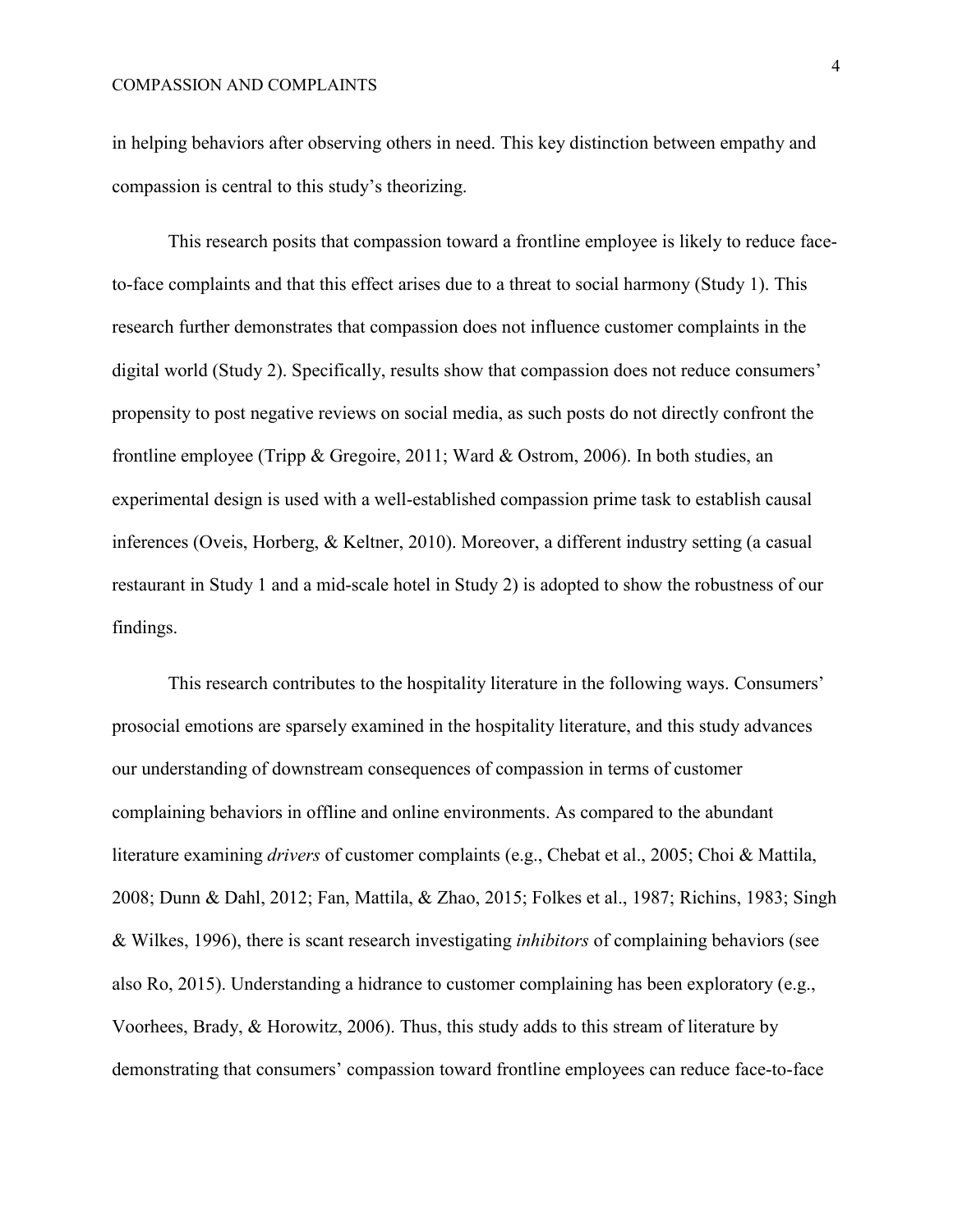in helping behaviors after observing others in need. This key distinction between empathy and compassion is central to this study's theorizing.

This research posits that compassion toward a frontline employee is likely to reduce faceto-face complaints and that this effect arises due to a threat to social harmony (Study 1). This research further demonstrates that compassion does not influence customer complaints in the digital world (Study 2). Specifically, results show that compassion does not reduce consumers' propensity to post negative reviews on social media, as such posts do not directly confront the frontline employee (Tripp & Gregoire, 2011; Ward & Ostrom, 2006). In both studies, an experimental design is used with a well-established compassion prime task to establish causal inferences (Oveis, Horberg, & Keltner, 2010). Moreover, a different industry setting (a casual restaurant in Study 1 and a mid-scale hotel in Study 2) is adopted to show the robustness of our findings.

This research contributes to the hospitality literature in the following ways. Consumers' prosocial emotions are sparsely examined in the hospitality literature, and this study advances our understanding of downstream consequences of compassion in terms of customer complaining behaviors in offline and online environments. As compared to the abundant literature examining *drivers* of customer complaints (e.g., Chebat et al., 2005; Choi & Mattila, 2008; Dunn & Dahl, 2012; Fan, Mattila, & Zhao, 2015; Folkes et al., 1987; Richins, 1983; Singh & Wilkes, 1996), there is scant research investigating *inhibitors* of complaining behaviors (see also Ro, 2015). Understanding a hidrance to customer complaining has been exploratory (e.g., Voorhees, Brady, & Horowitz, 2006). Thus, this study adds to this stream of literature by demonstrating that consumers' compassion toward frontline employees can reduce face-to-face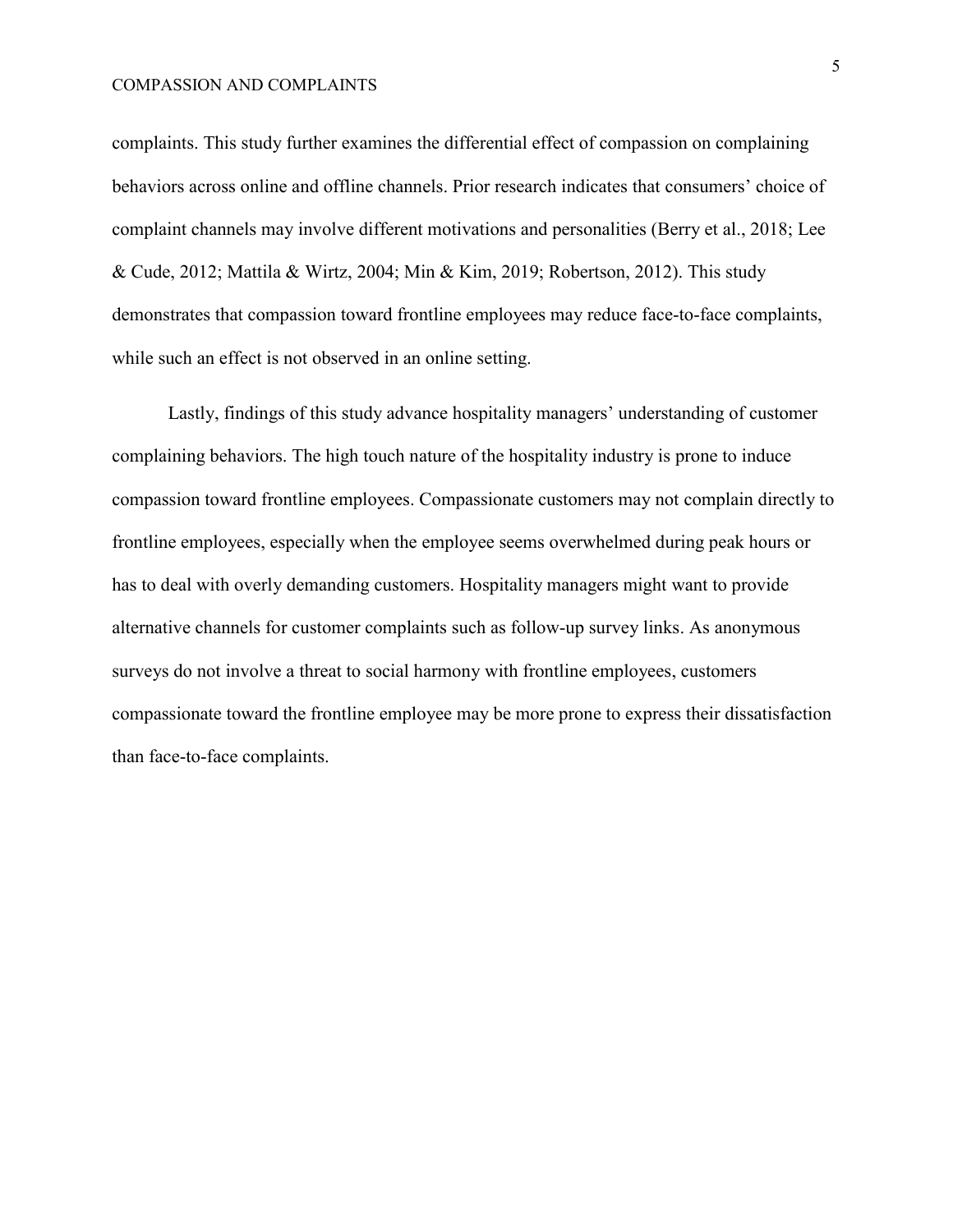#### COMPASSION AND COMPLAINTS

complaints. This study further examines the differential effect of compassion on complaining behaviors across online and offline channels. Prior research indicates that consumers' choice of complaint channels may involve different motivations and personalities (Berry et al., 2018; Lee & Cude, 2012; Mattila & Wirtz, 2004; Min & Kim, 2019; Robertson, 2012). This study demonstrates that compassion toward frontline employees may reduce face-to-face complaints, while such an effect is not observed in an online setting.

Lastly, findings of this study advance hospitality managers' understanding of customer complaining behaviors. The high touch nature of the hospitality industry is prone to induce compassion toward frontline employees. Compassionate customers may not complain directly to frontline employees, especially when the employee seems overwhelmed during peak hours or has to deal with overly demanding customers. Hospitality managers might want to provide alternative channels for customer complaints such as follow-up survey links. As anonymous surveys do not involve a threat to social harmony with frontline employees, customers compassionate toward the frontline employee may be more prone to express their dissatisfaction than face-to-face complaints.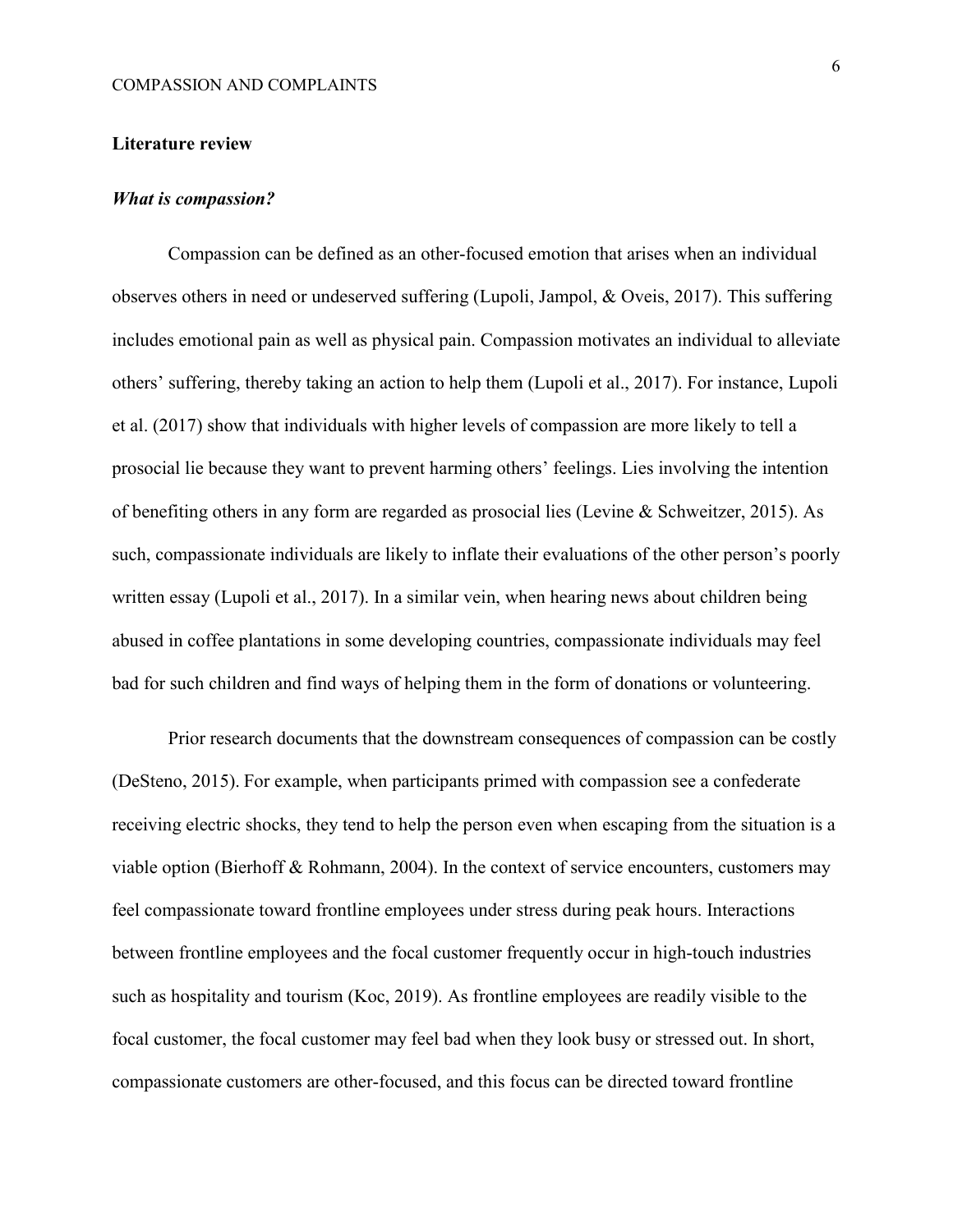#### **Literature review**

## *What is compassion?*

Compassion can be defined as an other-focused emotion that arises when an individual observes others in need or undeserved suffering (Lupoli, Jampol, & Oveis, 2017). This suffering includes emotional pain as well as physical pain. Compassion motivates an individual to alleviate others' suffering, thereby taking an action to help them (Lupoli et al., 2017). For instance, Lupoli et al. (2017) show that individuals with higher levels of compassion are more likely to tell a prosocial lie because they want to prevent harming others' feelings. Lies involving the intention of benefiting others in any form are regarded as prosocial lies (Levine & Schweitzer, 2015). As such, compassionate individuals are likely to inflate their evaluations of the other person's poorly written essay (Lupoli et al., 2017). In a similar vein, when hearing news about children being abused in coffee plantations in some developing countries, compassionate individuals may feel bad for such children and find ways of helping them in the form of donations or volunteering.

Prior research documents that the downstream consequences of compassion can be costly (DeSteno, 2015). For example, when participants primed with compassion see a confederate receiving electric shocks, they tend to help the person even when escaping from the situation is a viable option (Bierhoff & Rohmann, 2004). In the context of service encounters, customers may feel compassionate toward frontline employees under stress during peak hours. Interactions between frontline employees and the focal customer frequently occur in high-touch industries such as hospitality and tourism (Koc, 2019). As frontline employees are readily visible to the focal customer, the focal customer may feel bad when they look busy or stressed out. In short, compassionate customers are other-focused, and this focus can be directed toward frontline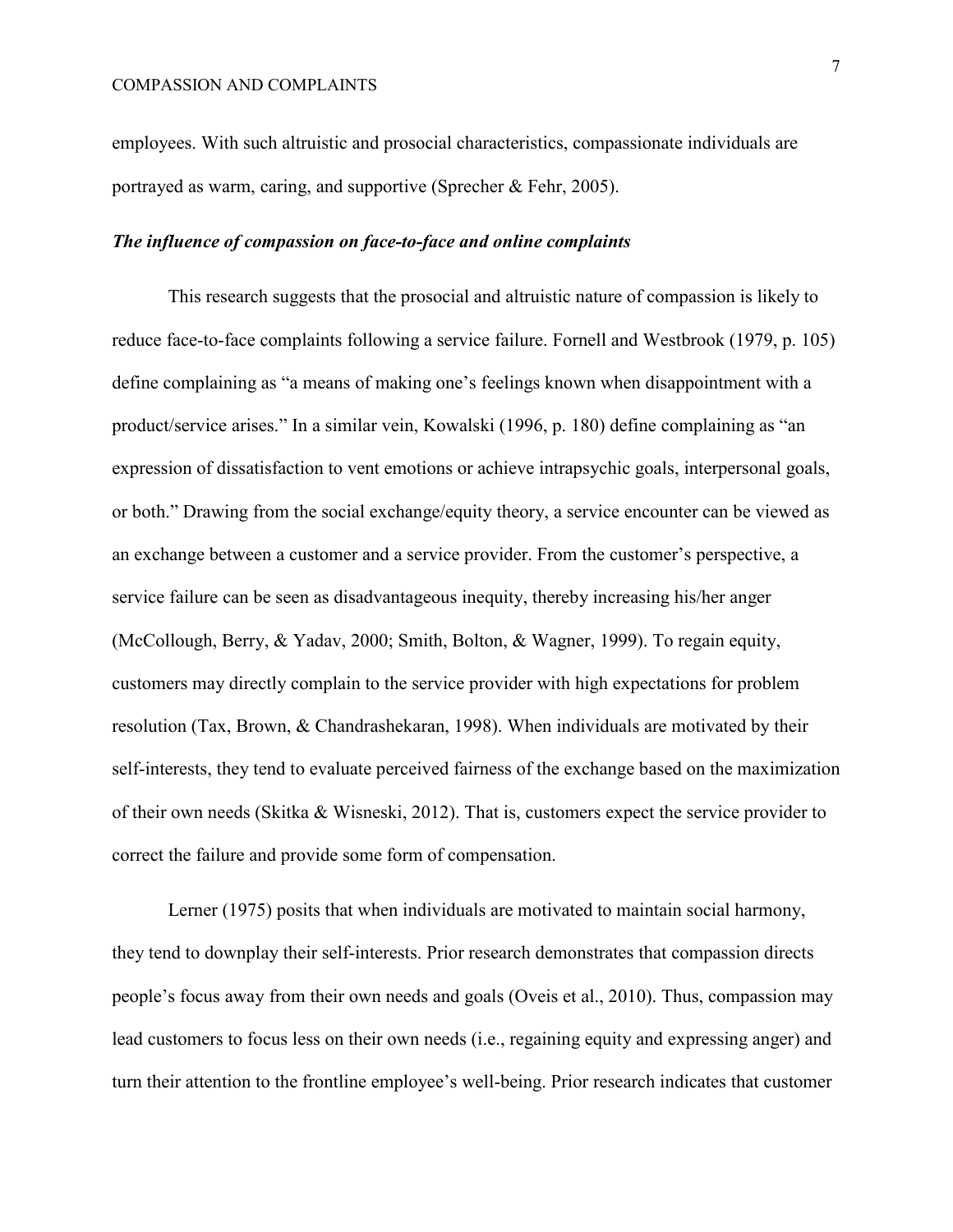#### COMPASSION AND COMPLAINTS

employees. With such altruistic and prosocial characteristics, compassionate individuals are portrayed as warm, caring, and supportive (Sprecher & Fehr, 2005).

## *The influence of compassion on face-to-face and online complaints*

This research suggests that the prosocial and altruistic nature of compassion is likely to reduce face-to-face complaints following a service failure. Fornell and Westbrook (1979, p. 105) define complaining as "a means of making one's feelings known when disappointment with a product/service arises." In a similar vein, Kowalski (1996, p. 180) define complaining as "an expression of dissatisfaction to vent emotions or achieve intrapsychic goals, interpersonal goals, or both." Drawing from the social exchange/equity theory, a service encounter can be viewed as an exchange between a customer and a service provider. From the customer's perspective, a service failure can be seen as disadvantageous inequity, thereby increasing his/her anger (McCollough, Berry, & Yadav, 2000; Smith, Bolton, & Wagner, 1999). To regain equity, customers may directly complain to the service provider with high expectations for problem resolution (Tax, Brown, & Chandrashekaran, 1998). When individuals are motivated by their self-interests, they tend to evaluate perceived fairness of the exchange based on the maximization of their own needs (Skitka & Wisneski, 2012). That is, customers expect the service provider to correct the failure and provide some form of compensation.

Lerner (1975) posits that when individuals are motivated to maintain social harmony, they tend to downplay their self-interests. Prior research demonstrates that compassion directs people's focus away from their own needs and goals (Oveis et al., 2010). Thus, compassion may lead customers to focus less on their own needs (i.e., regaining equity and expressing anger) and turn their attention to the frontline employee's well-being. Prior research indicates that customer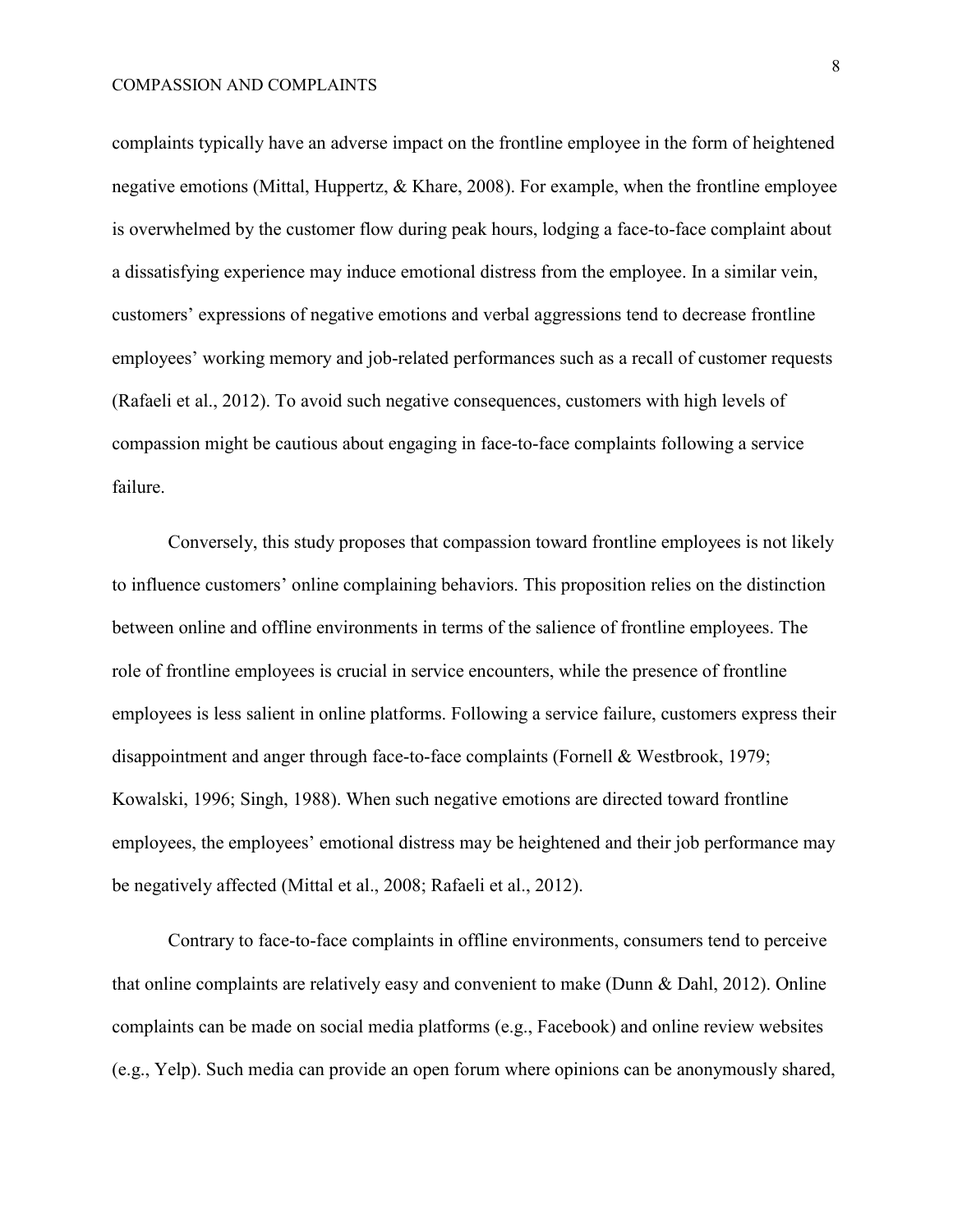complaints typically have an adverse impact on the frontline employee in the form of heightened negative emotions (Mittal, Huppertz, & Khare, 2008). For example, when the frontline employee is overwhelmed by the customer flow during peak hours, lodging a face-to-face complaint about a dissatisfying experience may induce emotional distress from the employee. In a similar vein, customers' expressions of negative emotions and verbal aggressions tend to decrease frontline employees' working memory and job-related performances such as a recall of customer requests (Rafaeli et al., 2012). To avoid such negative consequences, customers with high levels of compassion might be cautious about engaging in face-to-face complaints following a service failure.

Conversely, this study proposes that compassion toward frontline employees is not likely to influence customers' online complaining behaviors. This proposition relies on the distinction between online and offline environments in terms of the salience of frontline employees. The role of frontline employees is crucial in service encounters, while the presence of frontline employees is less salient in online platforms. Following a service failure, customers express their disappointment and anger through face-to-face complaints (Fornell & Westbrook, 1979; Kowalski, 1996; Singh, 1988). When such negative emotions are directed toward frontline employees, the employees' emotional distress may be heightened and their job performance may be negatively affected (Mittal et al., 2008; Rafaeli et al., 2012).

Contrary to face-to-face complaints in offline environments, consumers tend to perceive that online complaints are relatively easy and convenient to make (Dunn & Dahl, 2012). Online complaints can be made on social media platforms (e.g., Facebook) and online review websites (e.g., Yelp). Such media can provide an open forum where opinions can be anonymously shared,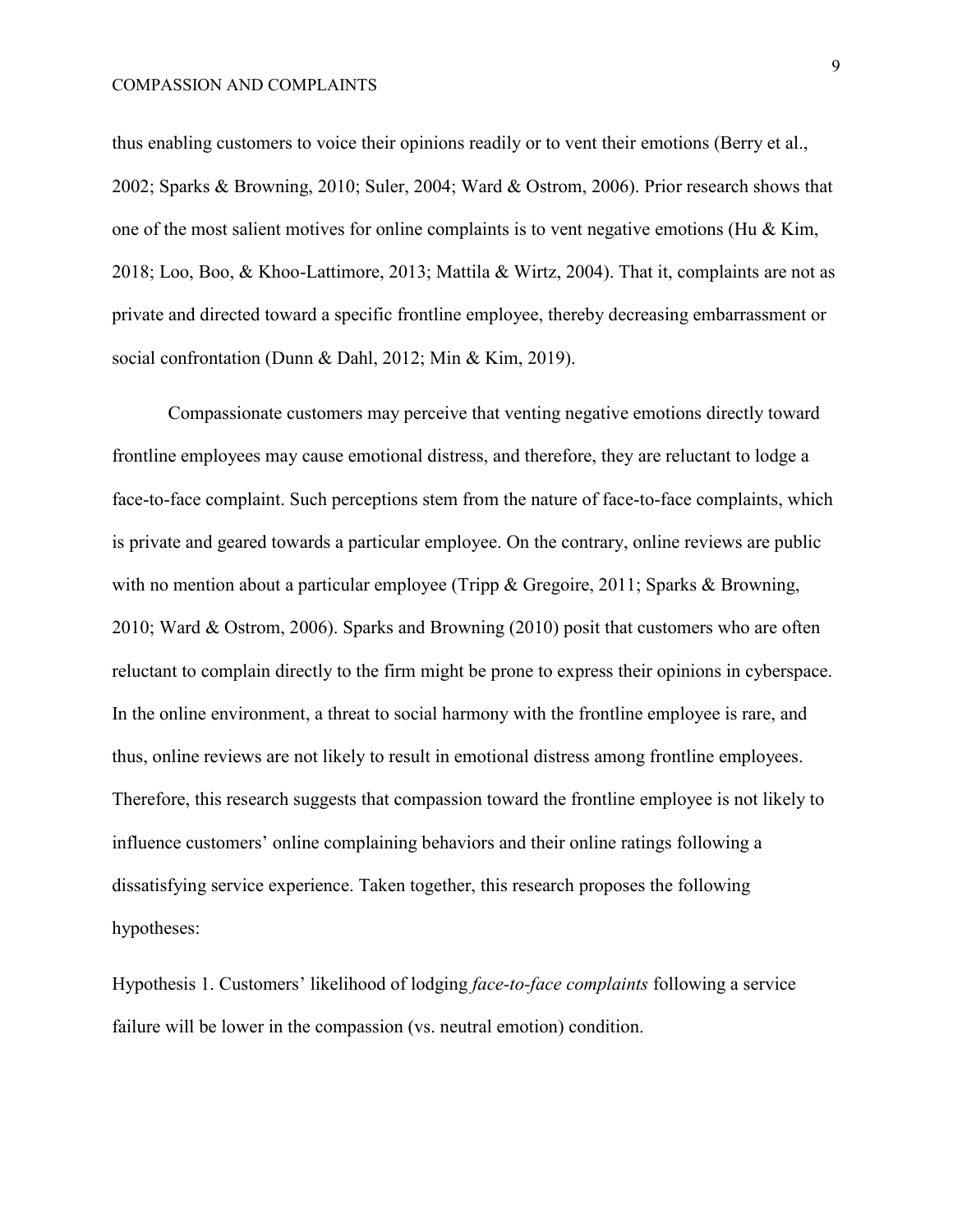thus enabling customers to voice their opinions readily or to vent their emotions (Berry et al., 2002; Sparks & Browning, 2010; Suler, 2004; Ward & Ostrom, 2006). Prior research shows that one of the most salient motives for online complaints is to vent negative emotions (Hu  $\&$  Kim, 2018; Loo, Boo, & Khoo-Lattimore, 2013; Mattila & Wirtz, 2004). That it, complaints are not as private and directed toward a specific frontline employee, thereby decreasing embarrassment or social confrontation (Dunn & Dahl, 2012; Min & Kim, 2019).

Compassionate customers may perceive that venting negative emotions directly toward frontline employees may cause emotional distress, and therefore, they are reluctant to lodge a face-to-face complaint. Such perceptions stem from the nature of face-to-face complaints, which is private and geared towards a particular employee. On the contrary, online reviews are public with no mention about a particular employee (Tripp & Gregoire, 2011; Sparks & Browning, 2010; Ward & Ostrom, 2006). Sparks and Browning (2010) posit that customers who are often reluctant to complain directly to the firm might be prone to express their opinions in cyberspace. In the online environment, a threat to social harmony with the frontline employee is rare, and thus, online reviews are not likely to result in emotional distress among frontline employees. Therefore, this research suggests that compassion toward the frontline employee is not likely to influence customers' online complaining behaviors and their online ratings following a dissatisfying service experience. Taken together, this research proposes the following hypotheses:

Hypothesis 1. Customers' likelihood of lodging *face-to-face complaints* following a service failure will be lower in the compassion (vs. neutral emotion) condition.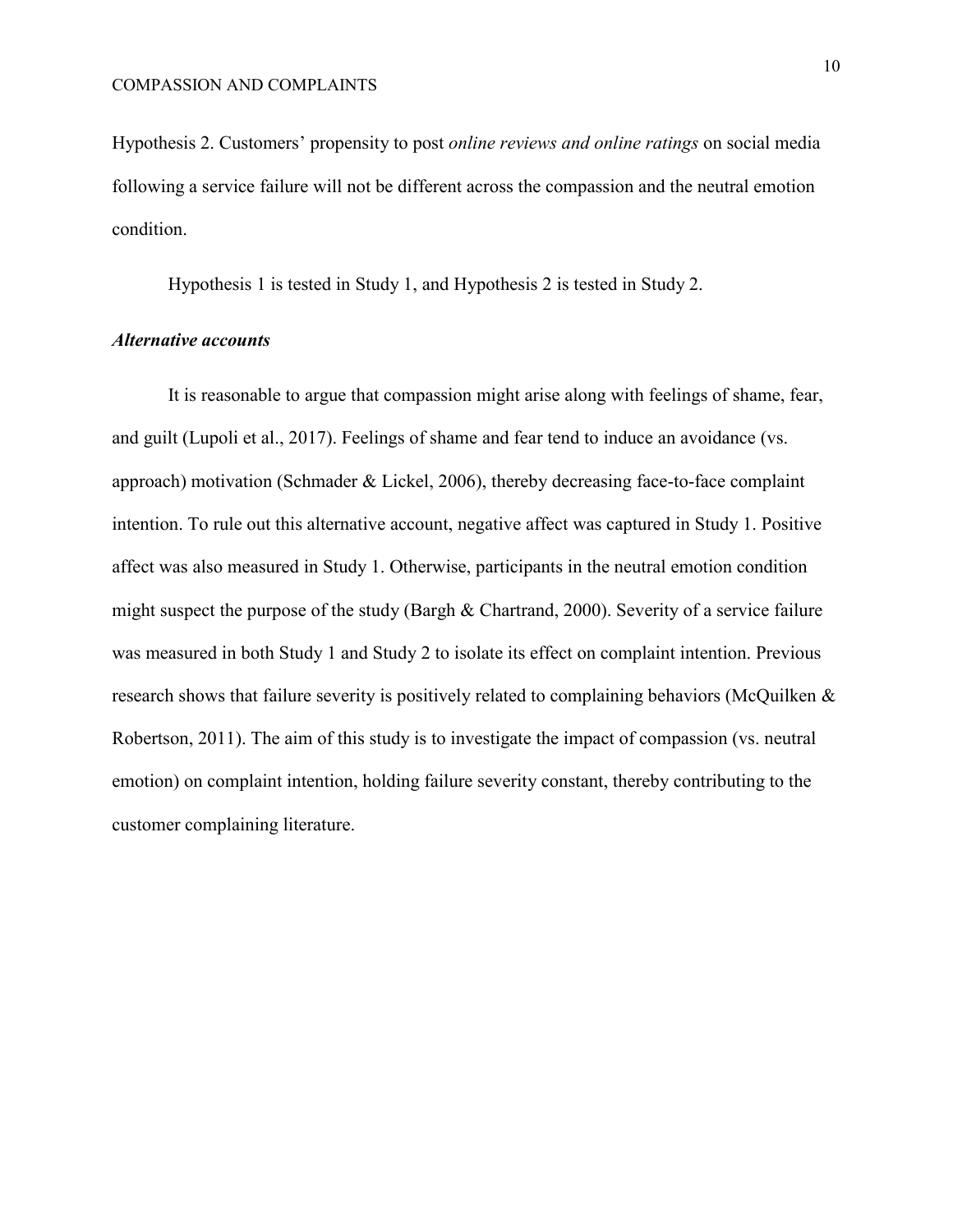Hypothesis 2. Customers' propensity to post *online reviews and online ratings* on social media following a service failure will not be different across the compassion and the neutral emotion condition.

Hypothesis 1 is tested in Study 1, and Hypothesis 2 is tested in Study 2.

## *Alternative accounts*

It is reasonable to argue that compassion might arise along with feelings of shame, fear, and guilt (Lupoli et al., 2017). Feelings of shame and fear tend to induce an avoidance (vs. approach) motivation (Schmader & Lickel, 2006), thereby decreasing face-to-face complaint intention. To rule out this alternative account, negative affect was captured in Study 1. Positive affect was also measured in Study 1. Otherwise, participants in the neutral emotion condition might suspect the purpose of the study (Bargh & Chartrand, 2000). Severity of a service failure was measured in both Study 1 and Study 2 to isolate its effect on complaint intention. Previous research shows that failure severity is positively related to complaining behaviors (McQuilken & Robertson, 2011). The aim of this study is to investigate the impact of compassion (vs. neutral emotion) on complaint intention, holding failure severity constant, thereby contributing to the customer complaining literature.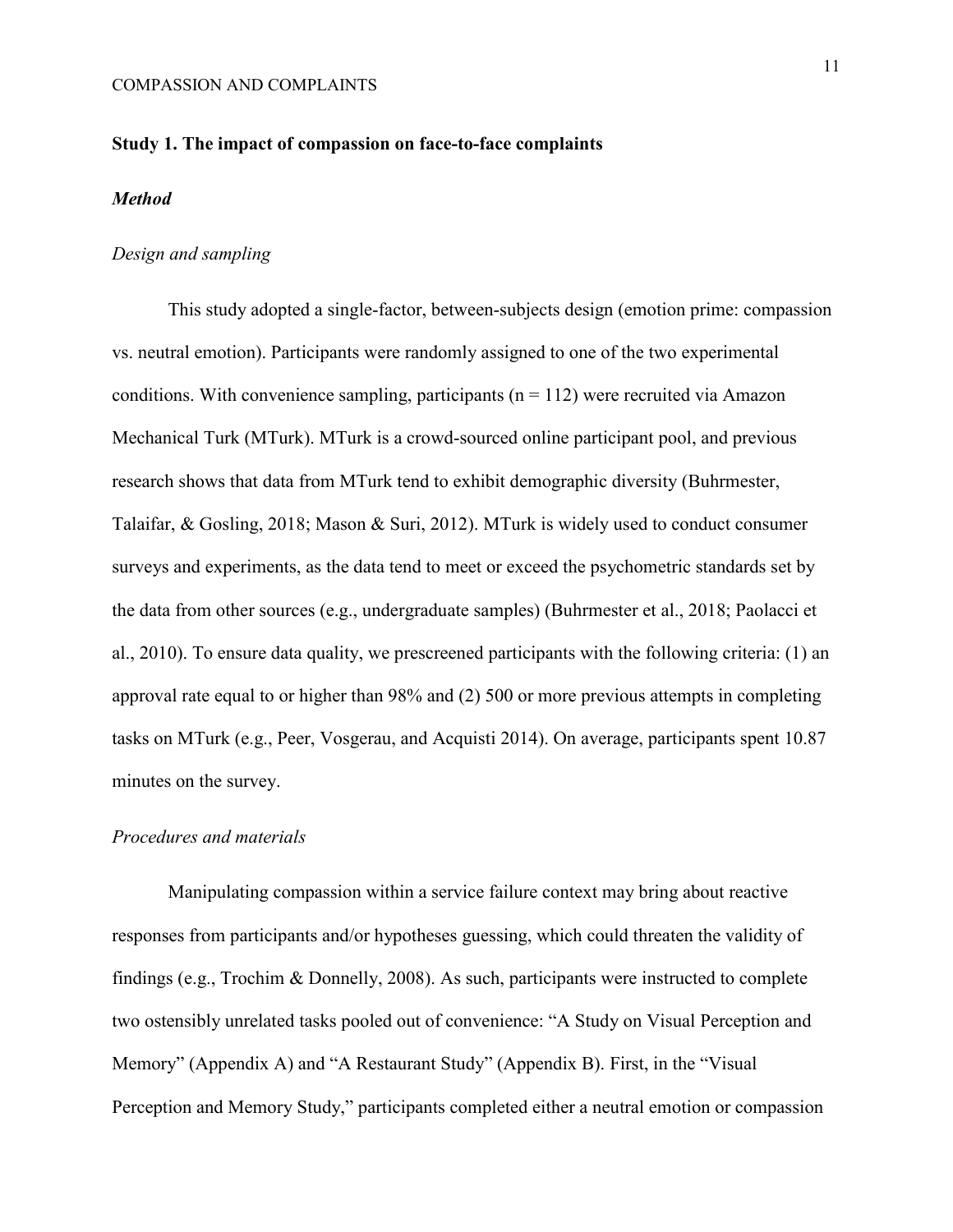#### **Study 1. The impact of compassion on face-to-face complaints**

### *Method*

#### *Design and sampling*

This study adopted a single-factor, between-subjects design (emotion prime: compassion vs. neutral emotion). Participants were randomly assigned to one of the two experimental conditions. With convenience sampling, participants  $(n = 112)$  were recruited via Amazon Mechanical Turk (MTurk). MTurk is a crowd-sourced online participant pool, and previous research shows that data from MTurk tend to exhibit demographic diversity (Buhrmester, Talaifar, & Gosling, 2018; Mason & Suri, 2012). MTurk is widely used to conduct consumer surveys and experiments, as the data tend to meet or exceed the psychometric standards set by the data from other sources (e.g., undergraduate samples) (Buhrmester et al., 2018; Paolacci et al., 2010). To ensure data quality, we prescreened participants with the following criteria: (1) an approval rate equal to or higher than 98% and (2) 500 or more previous attempts in completing tasks on MTurk (e.g., Peer, Vosgerau, and Acquisti 2014). On average, participants spent 10.87 minutes on the survey.

#### *Procedures and materials*

Manipulating compassion within a service failure context may bring about reactive responses from participants and/or hypotheses guessing, which could threaten the validity of findings (e.g., Trochim & Donnelly, 2008). As such, participants were instructed to complete two ostensibly unrelated tasks pooled out of convenience: "A Study on Visual Perception and Memory" (Appendix A) and "A Restaurant Study" (Appendix B). First, in the "Visual Perception and Memory Study," participants completed either a neutral emotion or compassion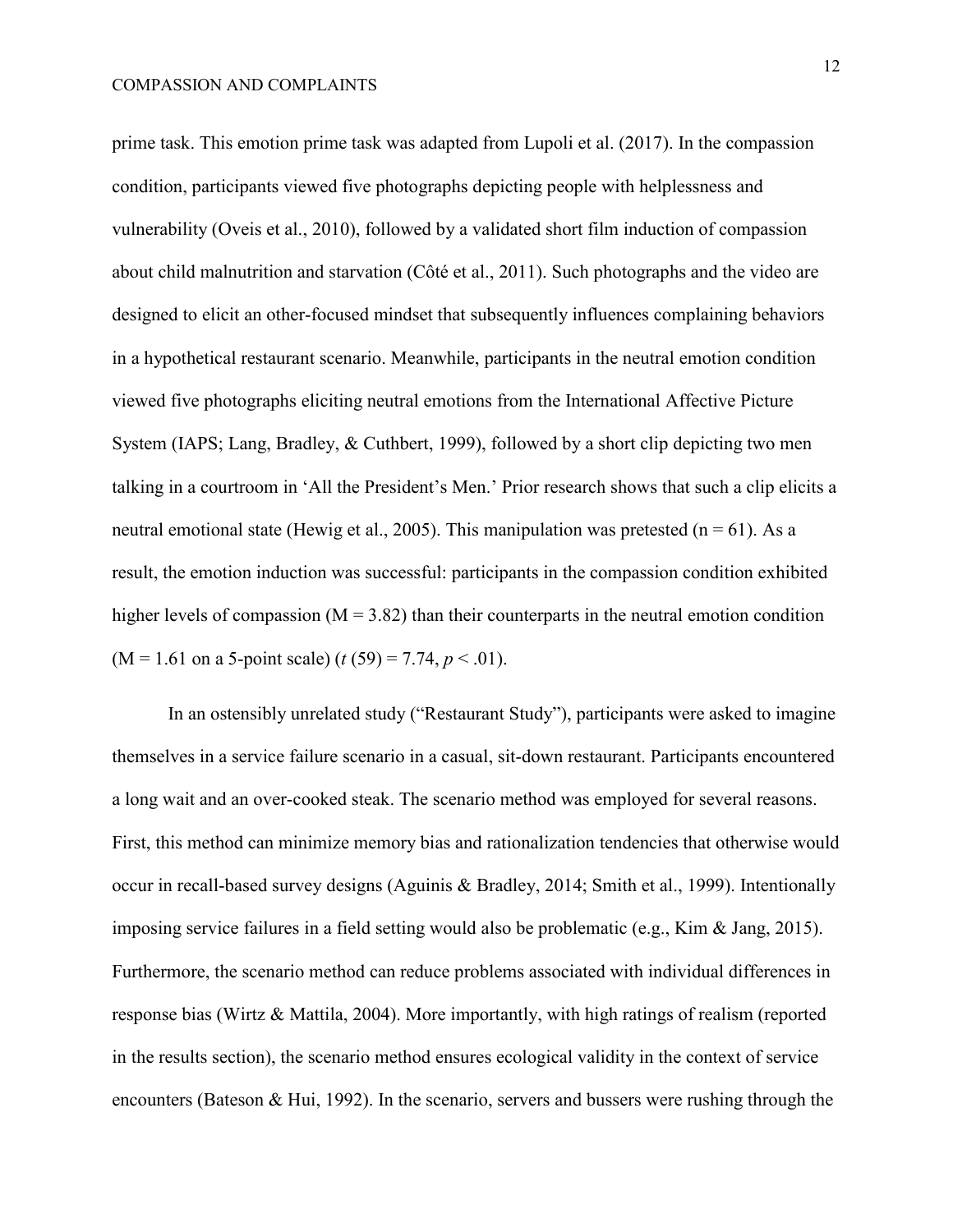prime task. This emotion prime task was adapted from Lupoli et al. (2017). In the compassion condition, participants viewed five photographs depicting people with helplessness and vulnerability (Oveis et al., 2010), followed by a validated short film induction of compassion about child malnutrition and starvation (Côté et al., 2011). Such photographs and the video are designed to elicit an other-focused mindset that subsequently influences complaining behaviors in a hypothetical restaurant scenario. Meanwhile, participants in the neutral emotion condition viewed five photographs eliciting neutral emotions from the International Affective Picture System (IAPS; Lang, Bradley, & Cuthbert, 1999), followed by a short clip depicting two men talking in a courtroom in 'All the President's Men.' Prior research shows that such a clip elicits a neutral emotional state (Hewig et al., 2005). This manipulation was pretested ( $n = 61$ ). As a result, the emotion induction was successful: participants in the compassion condition exhibited higher levels of compassion  $(M = 3.82)$  than their counterparts in the neutral emotion condition (M = 1.61 on a 5-point scale) (*t* (59) = 7.74, *p* < .01).

In an ostensibly unrelated study ("Restaurant Study"), participants were asked to imagine themselves in a service failure scenario in a casual, sit-down restaurant. Participants encountered a long wait and an over-cooked steak. The scenario method was employed for several reasons. First, this method can minimize memory bias and rationalization tendencies that otherwise would occur in recall-based survey designs (Aguinis & Bradley, 2014; Smith et al., 1999). Intentionally imposing service failures in a field setting would also be problematic (e.g., Kim & Jang, 2015). Furthermore, the scenario method can reduce problems associated with individual differences in response bias (Wirtz & Mattila, 2004). More importantly, with high ratings of realism (reported in the results section), the scenario method ensures ecological validity in the context of service encounters (Bateson & Hui, 1992). In the scenario, servers and bussers were rushing through the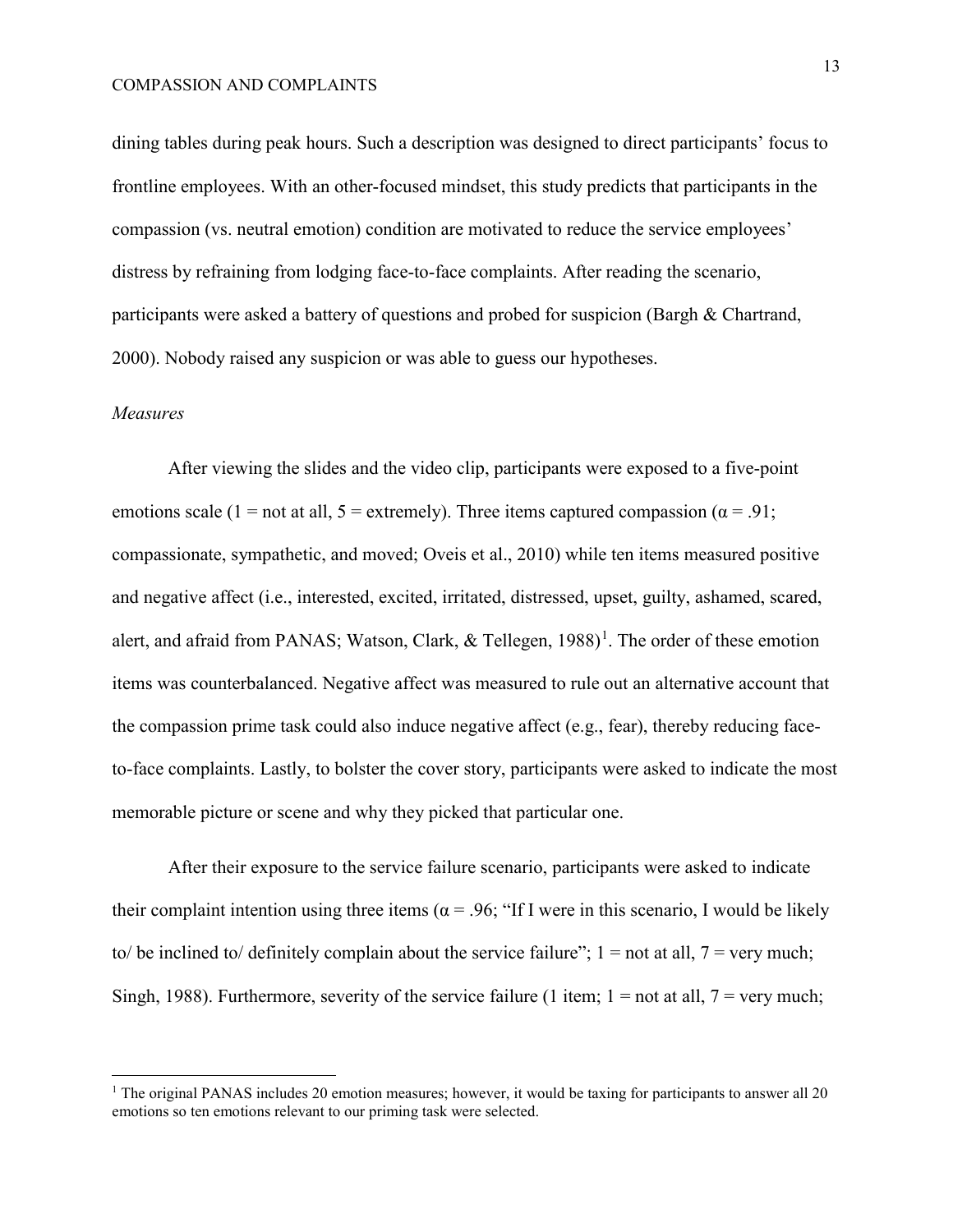dining tables during peak hours. Such a description was designed to direct participants' focus to frontline employees. With an other-focused mindset, this study predicts that participants in the compassion (vs. neutral emotion) condition are motivated to reduce the service employees' distress by refraining from lodging face-to-face complaints. After reading the scenario, participants were asked a battery of questions and probed for suspicion (Bargh & Chartrand, 2000). Nobody raised any suspicion or was able to guess our hypotheses.

## *Measures*

l

After viewing the slides and the video clip, participants were exposed to a five-point emotions scale (1 = not at all, 5 = extremely). Three items captured compassion ( $\alpha$  = .91; compassionate, sympathetic, and moved; Oveis et al., 2010) while ten items measured positive and negative affect (i.e., interested, excited, irritated, distressed, upset, guilty, ashamed, scared, alert, and afraid from PANAS; Watson, Clark,  $\&$  Tellegen, [1](#page-12-0)988)<sup>1</sup>. The order of these emotion items was counterbalanced. Negative affect was measured to rule out an alternative account that the compassion prime task could also induce negative affect (e.g., fear), thereby reducing faceto-face complaints. Lastly, to bolster the cover story, participants were asked to indicate the most memorable picture or scene and why they picked that particular one.

After their exposure to the service failure scenario, participants were asked to indicate their complaint intention using three items ( $\alpha$  = .96; "If I were in this scenario, I would be likely to/ be inclined to/ definitely complain about the service failure";  $1 =$  not at all,  $7 =$  very much; Singh, 1988). Furthermore, severity of the service failure (1 item;  $1 =$  not at all,  $7 =$  very much;

<span id="page-12-0"></span><sup>&</sup>lt;sup>1</sup> The original PANAS includes 20 emotion measures; however, it would be taxing for participants to answer all 20 emotions so ten emotions relevant to our priming task were selected.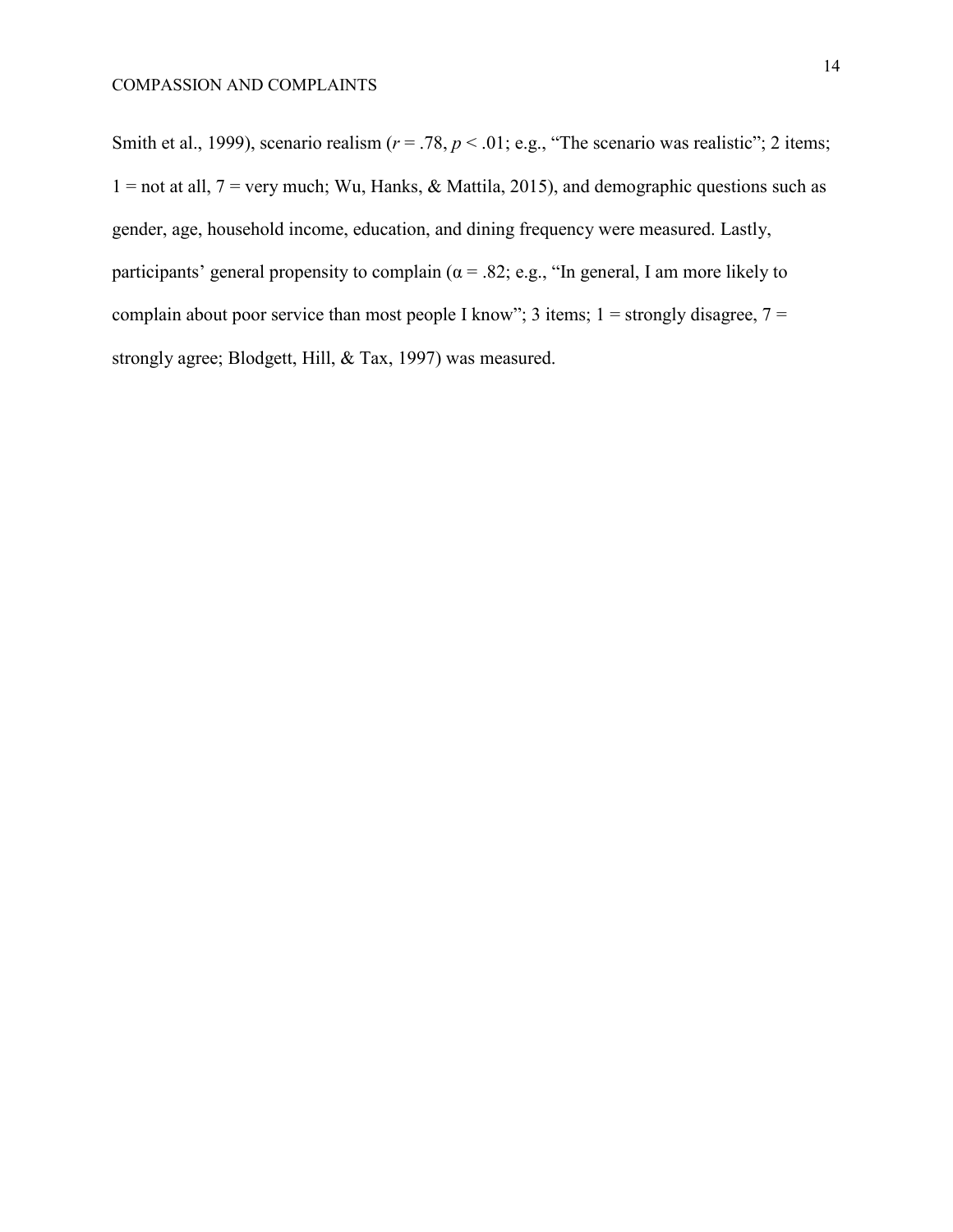Smith et al., 1999), scenario realism ( $r = .78$ ,  $p < .01$ ; e.g., "The scenario was realistic"; 2 items;  $1 =$  not at all,  $7 =$  very much; Wu, Hanks, & Mattila, 2015), and demographic questions such as gender, age, household income, education, and dining frequency were measured. Lastly, participants' general propensity to complain ( $\alpha$  = .82; e.g., "In general, I am more likely to complain about poor service than most people I know"; 3 items;  $1 =$  strongly disagree,  $7 =$ strongly agree; Blodgett, Hill, & Tax, 1997) was measured.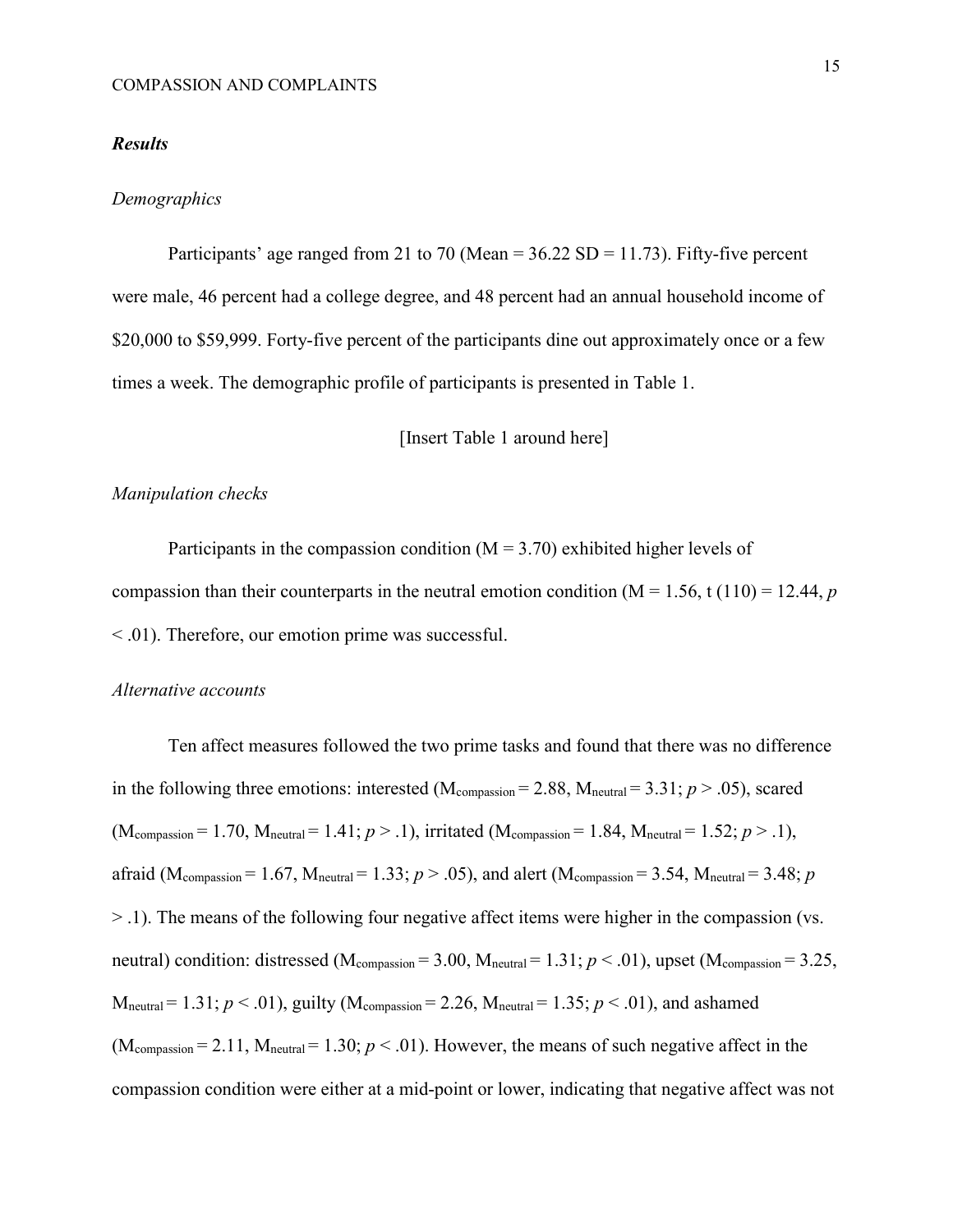#### *Results*

#### *Demographics*

Participants' age ranged from 21 to 70 (Mean =  $36.22$  SD = 11.73). Fifty-five percent were male, 46 percent had a college degree, and 48 percent had an annual household income of \$20,000 to \$59,999. Forty-five percent of the participants dine out approximately once or a few times a week. The demographic profile of participants is presented in Table 1.

[Insert Table 1 around here]

## *Manipulation checks*

Participants in the compassion condition  $(M = 3.70)$  exhibited higher levels of compassion than their counterparts in the neutral emotion condition ( $M = 1.56$ , t (110) = 12.44, *p* < .01). Therefore, our emotion prime was successful.

#### *Alternative accounts*

Ten affect measures followed the two prime tasks and found that there was no difference in the following three emotions: interested  $(M_{\text{compassion}} = 2.88, M_{\text{neutral}} = 3.31; p > .05)$ , scared  $(M_{\text{comparison}} = 1.70, M_{\text{neutral}} = 1.41; p > .1),$  irritated  $(M_{\text{comparison}} = 1.84, M_{\text{neutral}} = 1.52; p > .1),$ afraid ( $M_{\text{compassion}} = 1.67$ ,  $M_{\text{neutral}} = 1.33$ ;  $p > .05$ ), and alert ( $M_{\text{compassion}} = 3.54$ ,  $M_{\text{neutral}} = 3.48$ ; *p* > .1). The means of the following four negative affect items were higher in the compassion (vs. neutral) condition: distressed ( $M_{\text{compassion}} = 3.00$ ,  $M_{\text{neutral}} = 1.31$ ;  $p < .01$ ), upset ( $M_{\text{compassion}} = 3.25$ ,  $M_{\text{neutral}} = 1.31; p < .01$ , guilty ( $M_{\text{comparison}} = 2.26$ ,  $M_{\text{neutral}} = 1.35; p < .01$ ), and ashamed (M<sub>compassion</sub> = 2.11, M<sub>neutral</sub> = 1.30;  $p < .01$ ). However, the means of such negative affect in the compassion condition were either at a mid-point or lower, indicating that negative affect was not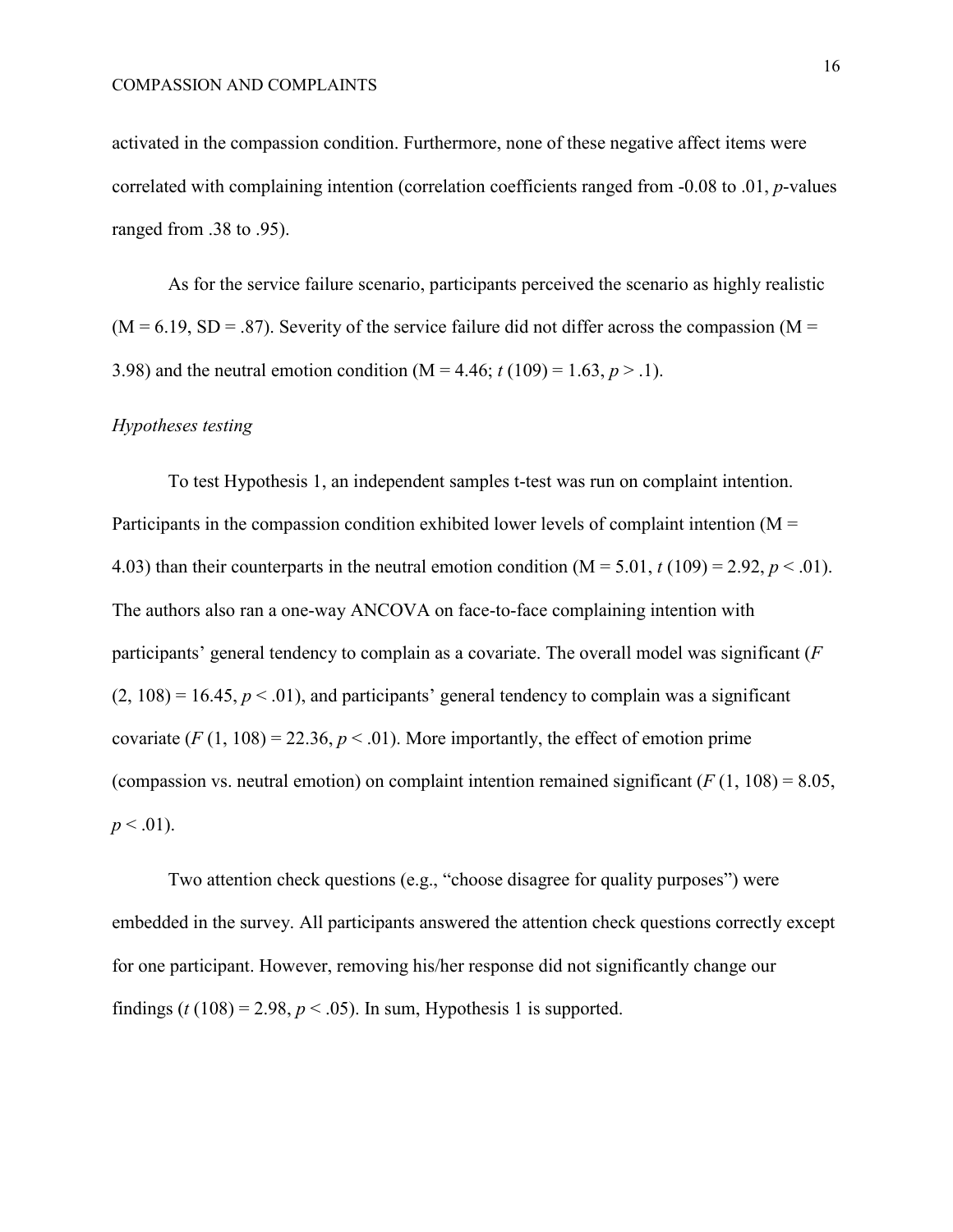activated in the compassion condition. Furthermore, none of these negative affect items were correlated with complaining intention (correlation coefficients ranged from -0.08 to .01, *p*-values ranged from .38 to .95).

As for the service failure scenario, participants perceived the scenario as highly realistic  $(M = 6.19, SD = .87)$ . Severity of the service failure did not differ across the compassion  $(M = 6.19, SD = .87)$ . 3.98) and the neutral emotion condition  $(M = 4.46; t(109) = 1.63, p > .1)$ .

## *Hypotheses testing*

To test Hypothesis 1, an independent samples t-test was run on complaint intention. Participants in the compassion condition exhibited lower levels of complaint intention ( $M =$ 4.03) than their counterparts in the neutral emotion condition  $(M = 5.01, t(109) = 2.92, p < .01)$ . The authors also ran a one-way ANCOVA on face-to-face complaining intention with participants' general tendency to complain as a covariate. The overall model was significant (*F*  $(2, 108) = 16.45, p < .01$ , and participants' general tendency to complain was a significant covariate  $(F(1, 108) = 22.36, p < .01)$ . More importantly, the effect of emotion prime (compassion vs. neutral emotion) on complaint intention remained significant  $(F(1, 108) = 8.05,$  $p < .01$ ).

Two attention check questions (e.g., "choose disagree for quality purposes") were embedded in the survey. All participants answered the attention check questions correctly except for one participant. However, removing his/her response did not significantly change our findings ( $t(108) = 2.98$ ,  $p < .05$ ). In sum, Hypothesis 1 is supported.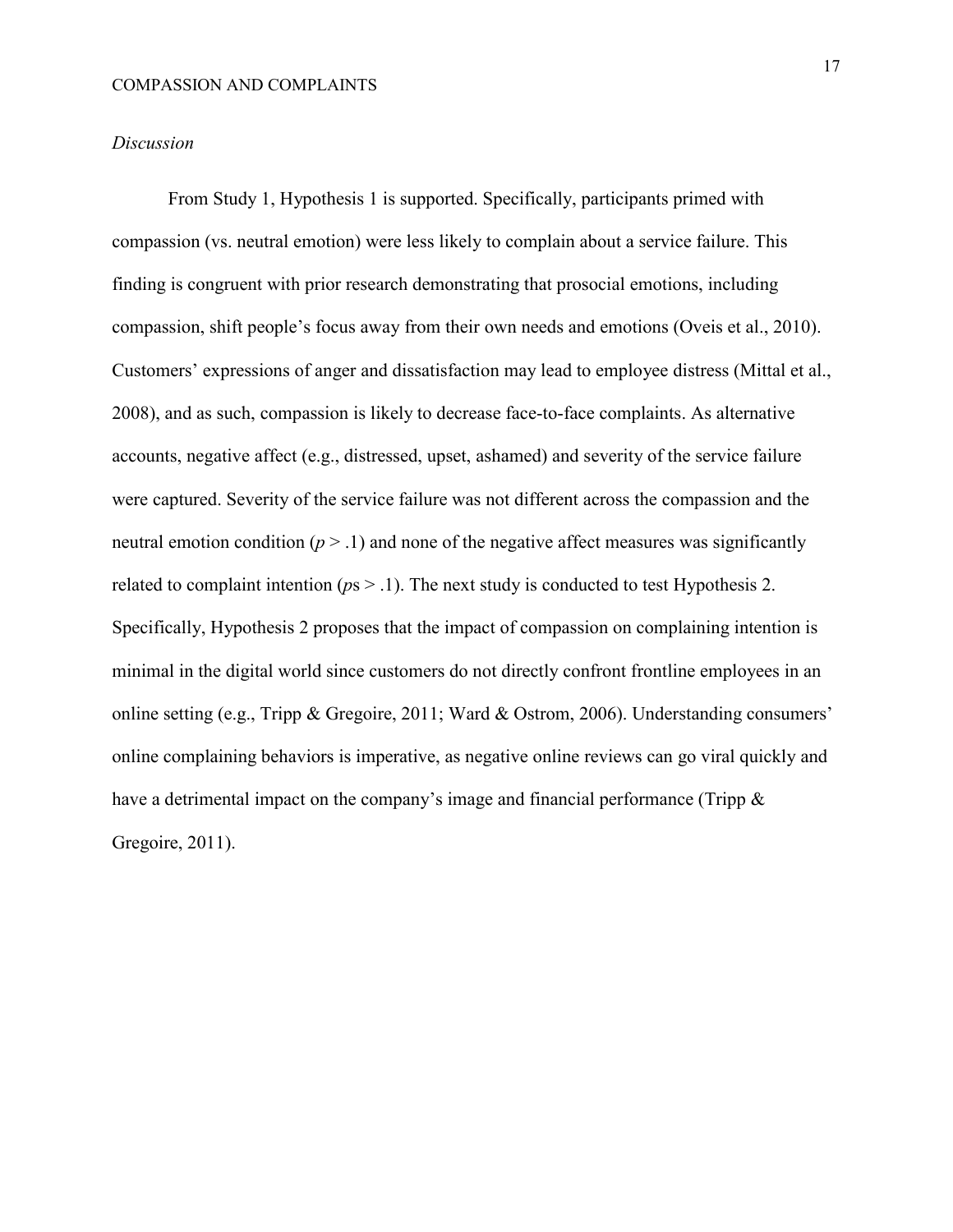#### *Discussion*

From Study 1, Hypothesis 1 is supported. Specifically, participants primed with compassion (vs. neutral emotion) were less likely to complain about a service failure. This finding is congruent with prior research demonstrating that prosocial emotions, including compassion, shift people's focus away from their own needs and emotions (Oveis et al., 2010). Customers' expressions of anger and dissatisfaction may lead to employee distress (Mittal et al., 2008), and as such, compassion is likely to decrease face-to-face complaints. As alternative accounts, negative affect (e.g., distressed, upset, ashamed) and severity of the service failure were captured. Severity of the service failure was not different across the compassion and the neutral emotion condition  $(p > 0.1)$  and none of the negative affect measures was significantly related to complaint intention (*p*s > .1). The next study is conducted to test Hypothesis 2. Specifically, Hypothesis 2 proposes that the impact of compassion on complaining intention is minimal in the digital world since customers do not directly confront frontline employees in an online setting (e.g., Tripp & Gregoire, 2011; Ward & Ostrom, 2006). Understanding consumers' online complaining behaviors is imperative, as negative online reviews can go viral quickly and have a detrimental impact on the company's image and financial performance (Tripp & Gregoire, 2011).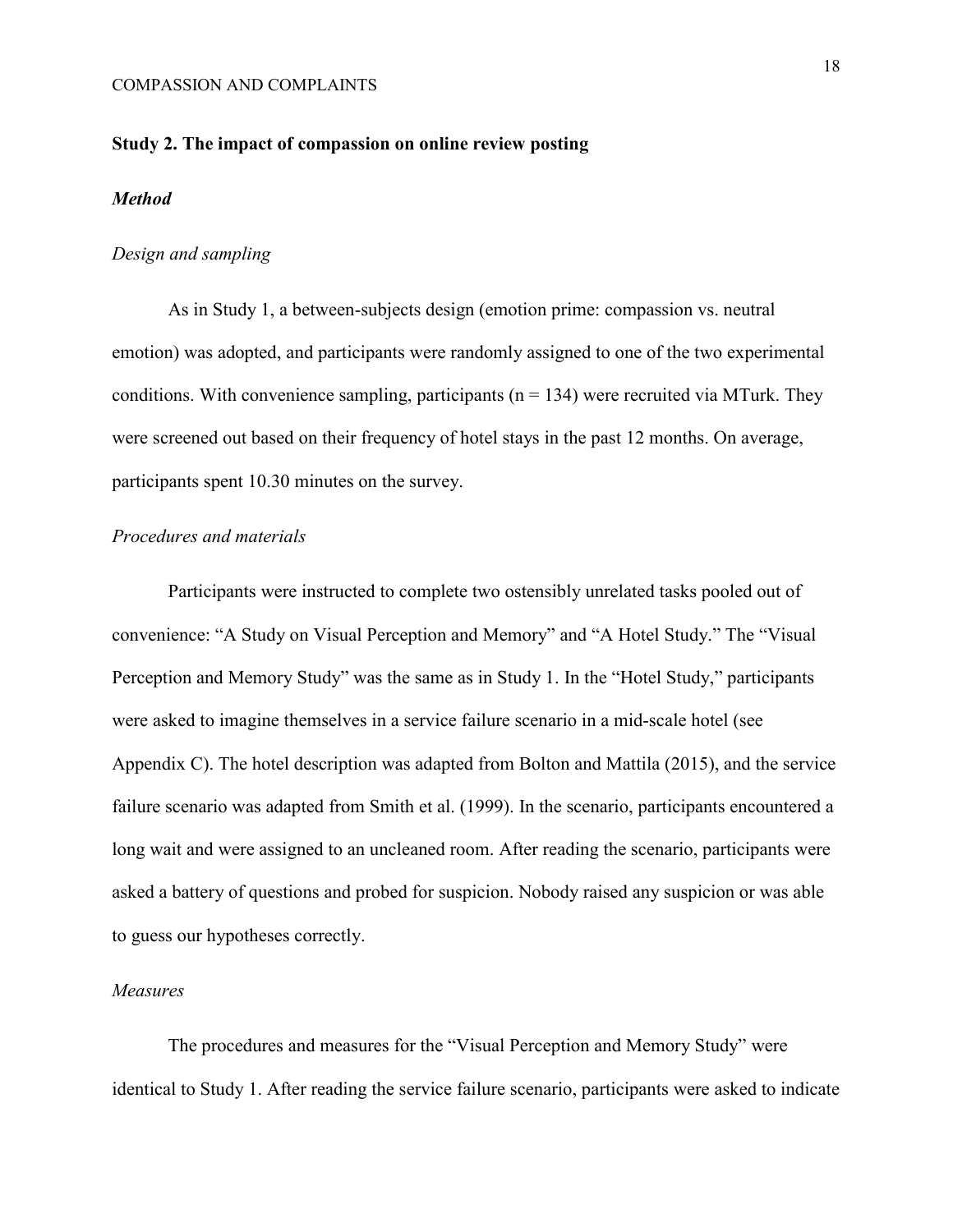## **Study 2. The impact of compassion on online review posting**

## *Method*

#### *Design and sampling*

As in Study 1, a between-subjects design (emotion prime: compassion vs. neutral emotion) was adopted, and participants were randomly assigned to one of the two experimental conditions. With convenience sampling, participants ( $n = 134$ ) were recruited via MTurk. They were screened out based on their frequency of hotel stays in the past 12 months. On average, participants spent 10.30 minutes on the survey.

## *Procedures and materials*

Participants were instructed to complete two ostensibly unrelated tasks pooled out of convenience: "A Study on Visual Perception and Memory" and "A Hotel Study." The "Visual Perception and Memory Study" was the same as in Study 1. In the "Hotel Study," participants were asked to imagine themselves in a service failure scenario in a mid-scale hotel (see Appendix C). The hotel description was adapted from Bolton and Mattila (2015), and the service failure scenario was adapted from Smith et al. (1999). In the scenario, participants encountered a long wait and were assigned to an uncleaned room. After reading the scenario, participants were asked a battery of questions and probed for suspicion. Nobody raised any suspicion or was able to guess our hypotheses correctly.

#### *Measures*

The procedures and measures for the "Visual Perception and Memory Study" were identical to Study 1. After reading the service failure scenario, participants were asked to indicate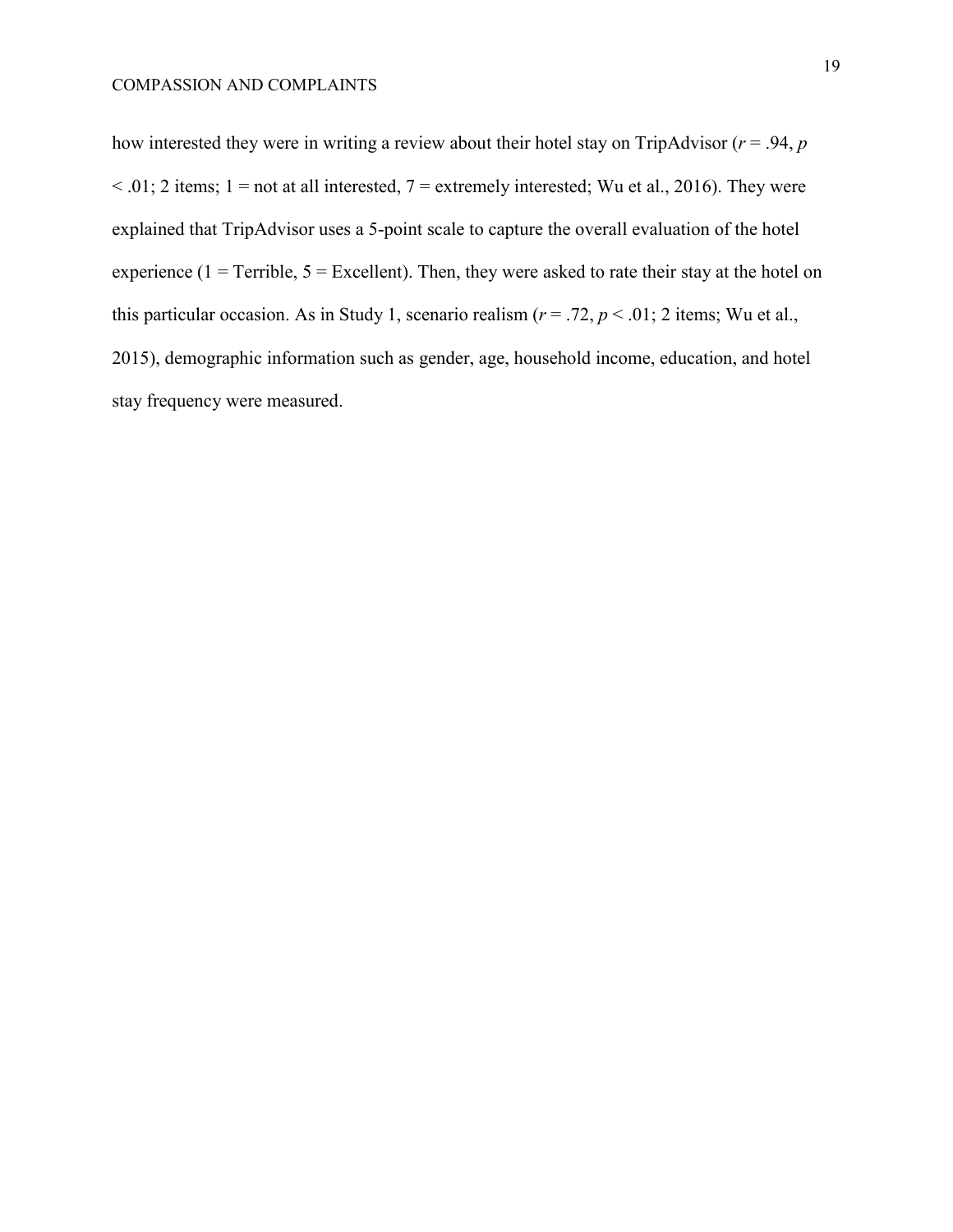how interested they were in writing a review about their hotel stay on TripAdvisor (*r* = .94, *p*  $\leq$  01; 2 items; 1 = not at all interested, 7 = extremely interested; Wu et al., 2016). They were explained that TripAdvisor uses a 5-point scale to capture the overall evaluation of the hotel experience (1 = Terrible,  $5 =$  Excellent). Then, they were asked to rate their stay at the hotel on this particular occasion. As in Study 1, scenario realism  $(r = .72, p < .01; 2$  items; Wu et al., 2015), demographic information such as gender, age, household income, education, and hotel stay frequency were measured.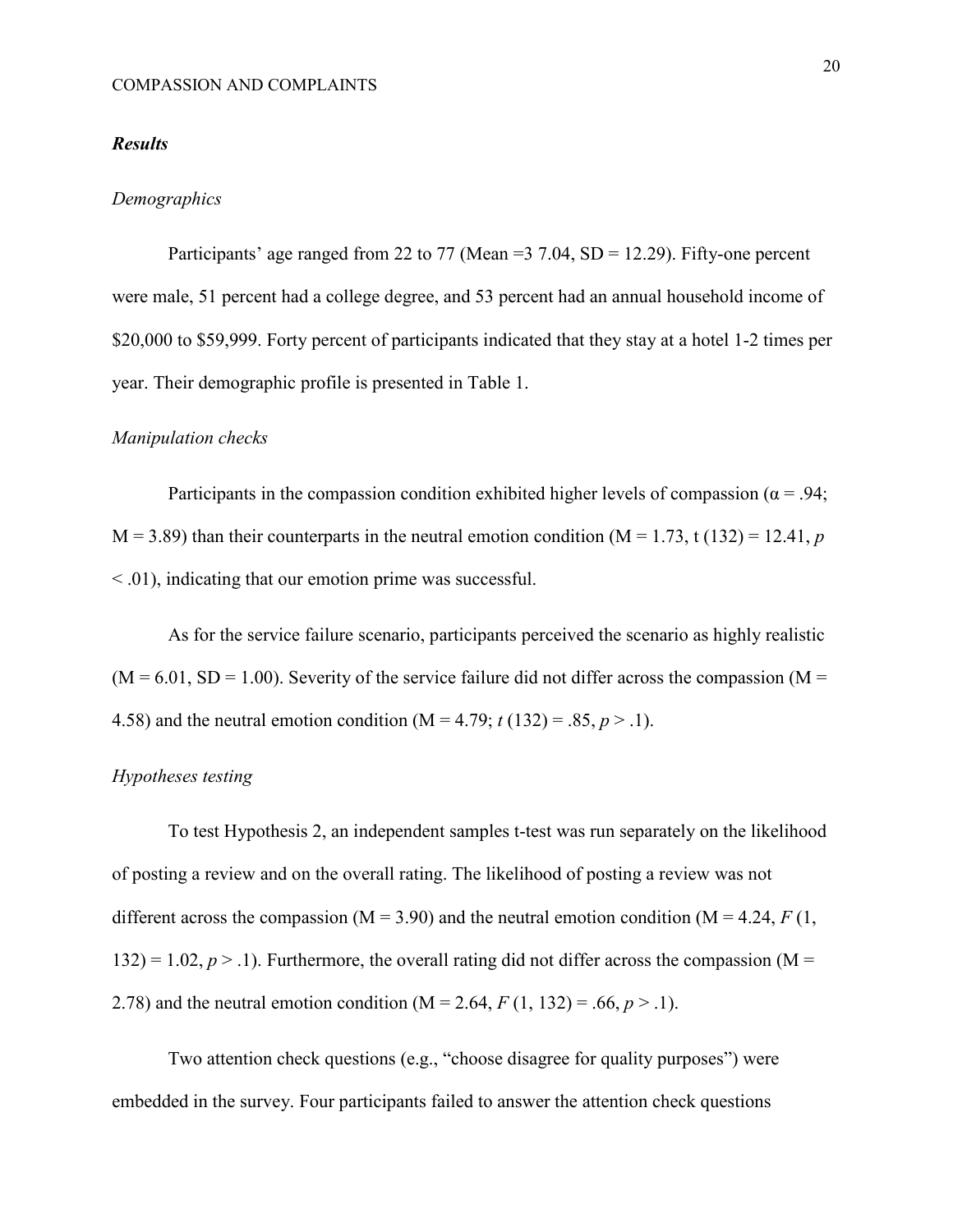#### *Results*

#### *Demographics*

Participants' age ranged from 22 to 77 (Mean =  $37.04$ , SD = 12.29). Fifty-one percent were male, 51 percent had a college degree, and 53 percent had an annual household income of \$20,000 to \$59,999. Forty percent of participants indicated that they stay at a hotel 1-2 times per year. Their demographic profile is presented in Table 1.

#### *Manipulation checks*

Participants in the compassion condition exhibited higher levels of compassion ( $\alpha = .94$ ;  $M = 3.89$ ) than their counterparts in the neutral emotion condition ( $M = 1.73$ , t (132) = 12.41, *p* < .01), indicating that our emotion prime was successful.

As for the service failure scenario, participants perceived the scenario as highly realistic  $(M = 6.01, SD = 1.00)$ . Severity of the service failure did not differ across the compassion  $(M = 6.01, SD = 1.00)$ 4.58) and the neutral emotion condition  $(M = 4.79; t(132) = .85, p > .1)$ .

## *Hypotheses testing*

To test Hypothesis 2, an independent samples t-test was run separately on the likelihood of posting a review and on the overall rating. The likelihood of posting a review was not different across the compassion ( $M = 3.90$ ) and the neutral emotion condition ( $M = 4.24$ ,  $F(1)$ ,  $132$ ) = 1.02,  $p > 0.1$ ). Furthermore, the overall rating did not differ across the compassion (M = 2.78) and the neutral emotion condition  $(M = 2.64, F(1, 132) = .66, p > .1)$ .

Two attention check questions (e.g., "choose disagree for quality purposes") were embedded in the survey. Four participants failed to answer the attention check questions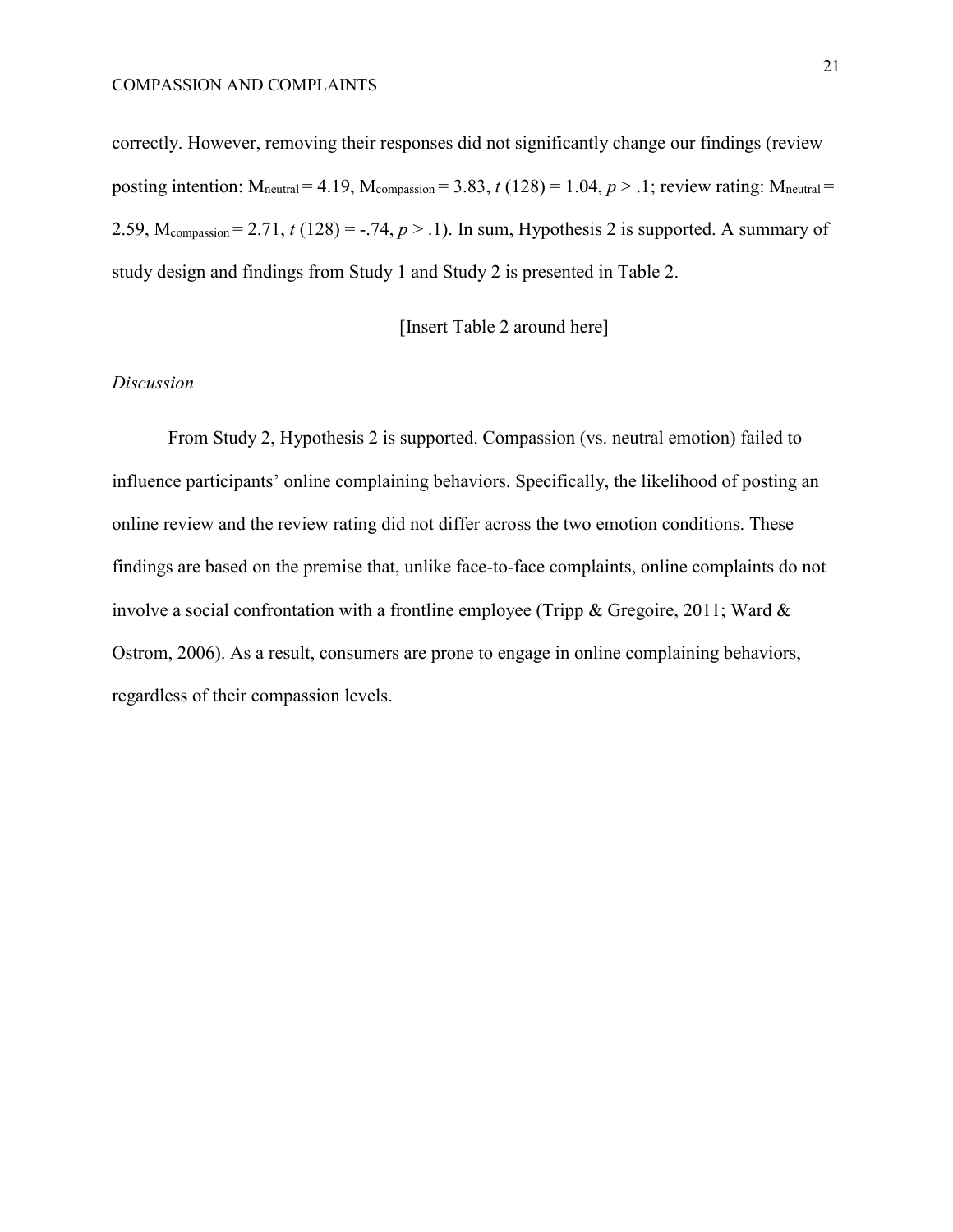correctly. However, removing their responses did not significantly change our findings (review posting intention:  $M_{neutral} = 4.19$ ,  $M_{comparison} = 3.83$ ,  $t(128) = 1.04$ ,  $p > .1$ ; review rating:  $M_{neutral} =$ 2.59,  $M_{\text{comparison}} = 2.71$ ,  $t(128) = -.74$ ,  $p > .1$ ). In sum, Hypothesis 2 is supported. A summary of study design and findings from Study 1 and Study 2 is presented in Table 2.

[Insert Table 2 around here]

#### *Discussion*

From Study 2, Hypothesis 2 is supported. Compassion (vs. neutral emotion) failed to influence participants' online complaining behaviors. Specifically, the likelihood of posting an online review and the review rating did not differ across the two emotion conditions. These findings are based on the premise that, unlike face-to-face complaints, online complaints do not involve a social confrontation with a frontline employee (Tripp & Gregoire, 2011; Ward  $\&$ Ostrom, 2006). As a result, consumers are prone to engage in online complaining behaviors, regardless of their compassion levels.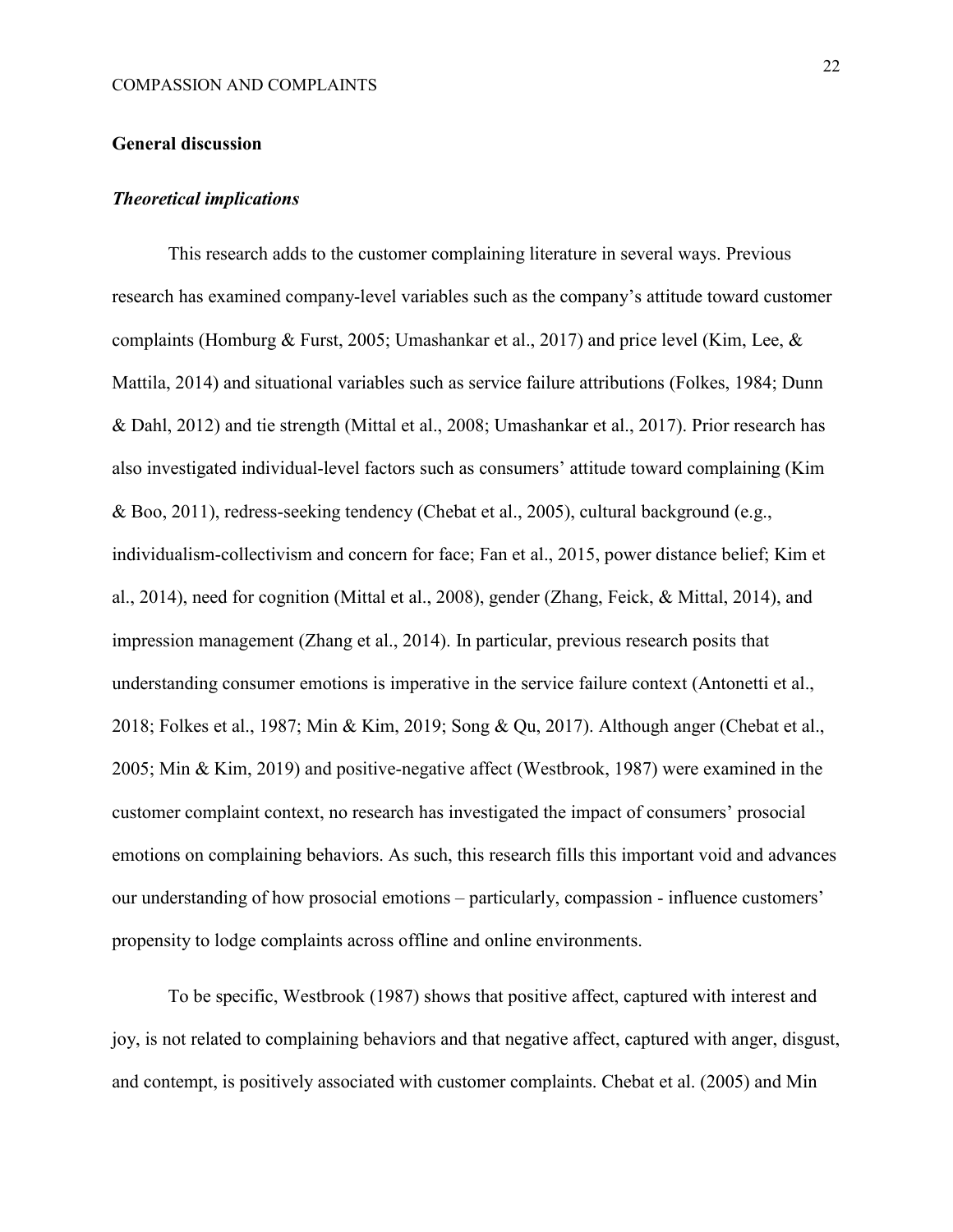#### **General discussion**

## *Theoretical implications*

This research adds to the customer complaining literature in several ways. Previous research has examined company-level variables such as the company's attitude toward customer complaints (Homburg & Furst, 2005; Umashankar et al., 2017) and price level (Kim, Lee, & Mattila, 2014) and situational variables such as service failure attributions (Folkes, 1984; Dunn & Dahl, 2012) and tie strength (Mittal et al., 2008; Umashankar et al., 2017). Prior research has also investigated individual-level factors such as consumers' attitude toward complaining (Kim & Boo, 2011), redress-seeking tendency (Chebat et al., 2005), cultural background (e.g., individualism-collectivism and concern for face; Fan et al., 2015, power distance belief; Kim et al., 2014), need for cognition (Mittal et al., 2008), gender (Zhang, Feick, & Mittal, 2014), and impression management (Zhang et al., 2014). In particular, previous research posits that understanding consumer emotions is imperative in the service failure context (Antonetti et al., 2018; Folkes et al., 1987; Min & Kim, 2019; Song & Qu, 2017). Although anger (Chebat et al., 2005; Min & Kim, 2019) and positive-negative affect (Westbrook, 1987) were examined in the customer complaint context, no research has investigated the impact of consumers' prosocial emotions on complaining behaviors. As such, this research fills this important void and advances our understanding of how prosocial emotions – particularly, compassion - influence customers' propensity to lodge complaints across offline and online environments.

To be specific, Westbrook (1987) shows that positive affect, captured with interest and joy, is not related to complaining behaviors and that negative affect, captured with anger, disgust, and contempt, is positively associated with customer complaints. Chebat et al. (2005) and Min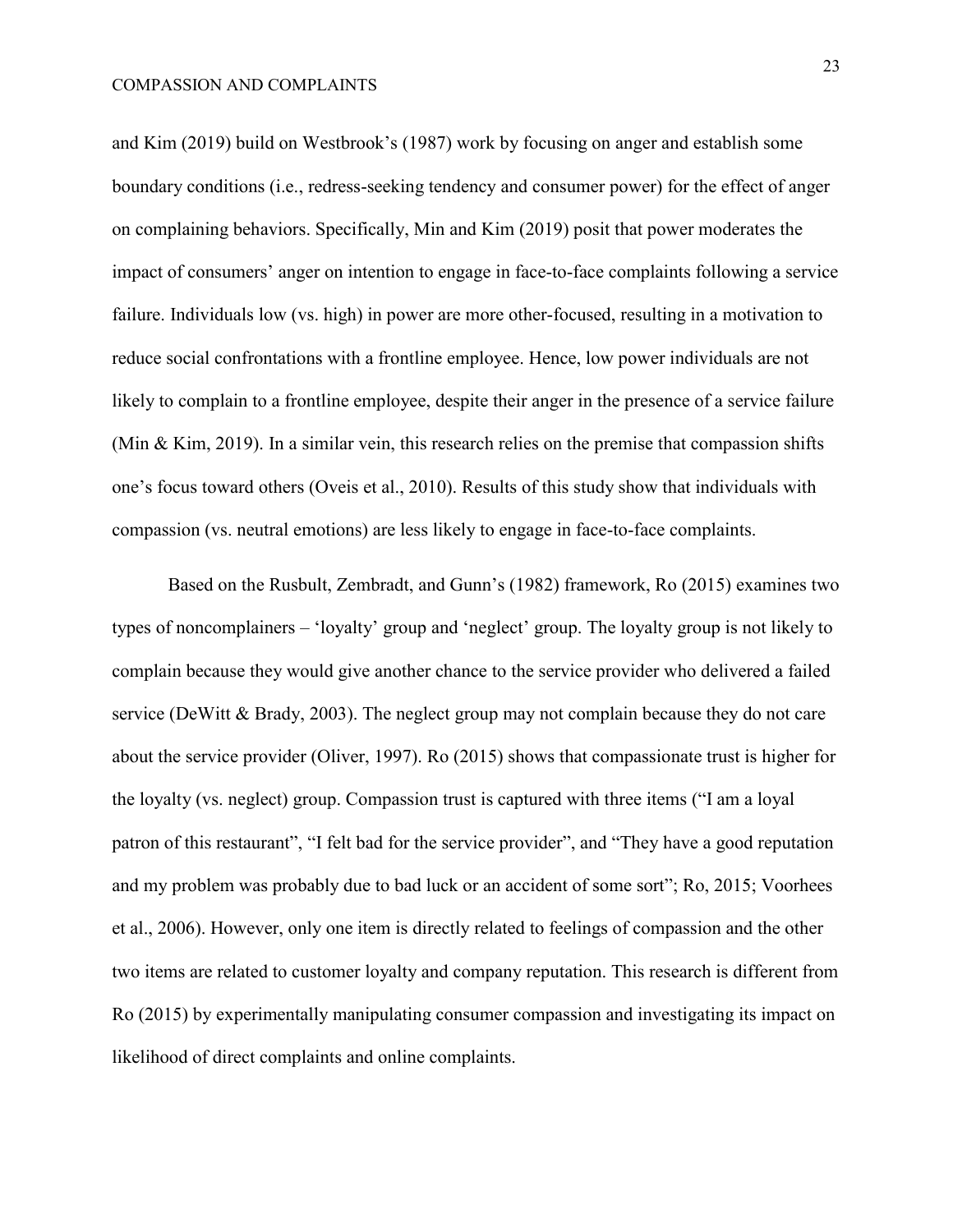and Kim (2019) build on Westbrook's (1987) work by focusing on anger and establish some boundary conditions (i.e., redress-seeking tendency and consumer power) for the effect of anger on complaining behaviors. Specifically, Min and Kim (2019) posit that power moderates the impact of consumers' anger on intention to engage in face-to-face complaints following a service failure. Individuals low (vs. high) in power are more other-focused, resulting in a motivation to reduce social confrontations with a frontline employee. Hence, low power individuals are not likely to complain to a frontline employee, despite their anger in the presence of a service failure (Min & Kim, 2019). In a similar vein, this research relies on the premise that compassion shifts one's focus toward others (Oveis et al., 2010). Results of this study show that individuals with compassion (vs. neutral emotions) are less likely to engage in face-to-face complaints.

Based on the Rusbult, Zembradt, and Gunn's (1982) framework, Ro (2015) examines two types of noncomplainers – 'loyalty' group and 'neglect' group. The loyalty group is not likely to complain because they would give another chance to the service provider who delivered a failed service (DeWitt & Brady, 2003). The neglect group may not complain because they do not care about the service provider (Oliver, 1997). Ro (2015) shows that compassionate trust is higher for the loyalty (vs. neglect) group. Compassion trust is captured with three items ("I am a loyal patron of this restaurant", "I felt bad for the service provider", and "They have a good reputation and my problem was probably due to bad luck or an accident of some sort"; Ro, 2015; Voorhees et al., 2006). However, only one item is directly related to feelings of compassion and the other two items are related to customer loyalty and company reputation. This research is different from Ro (2015) by experimentally manipulating consumer compassion and investigating its impact on likelihood of direct complaints and online complaints.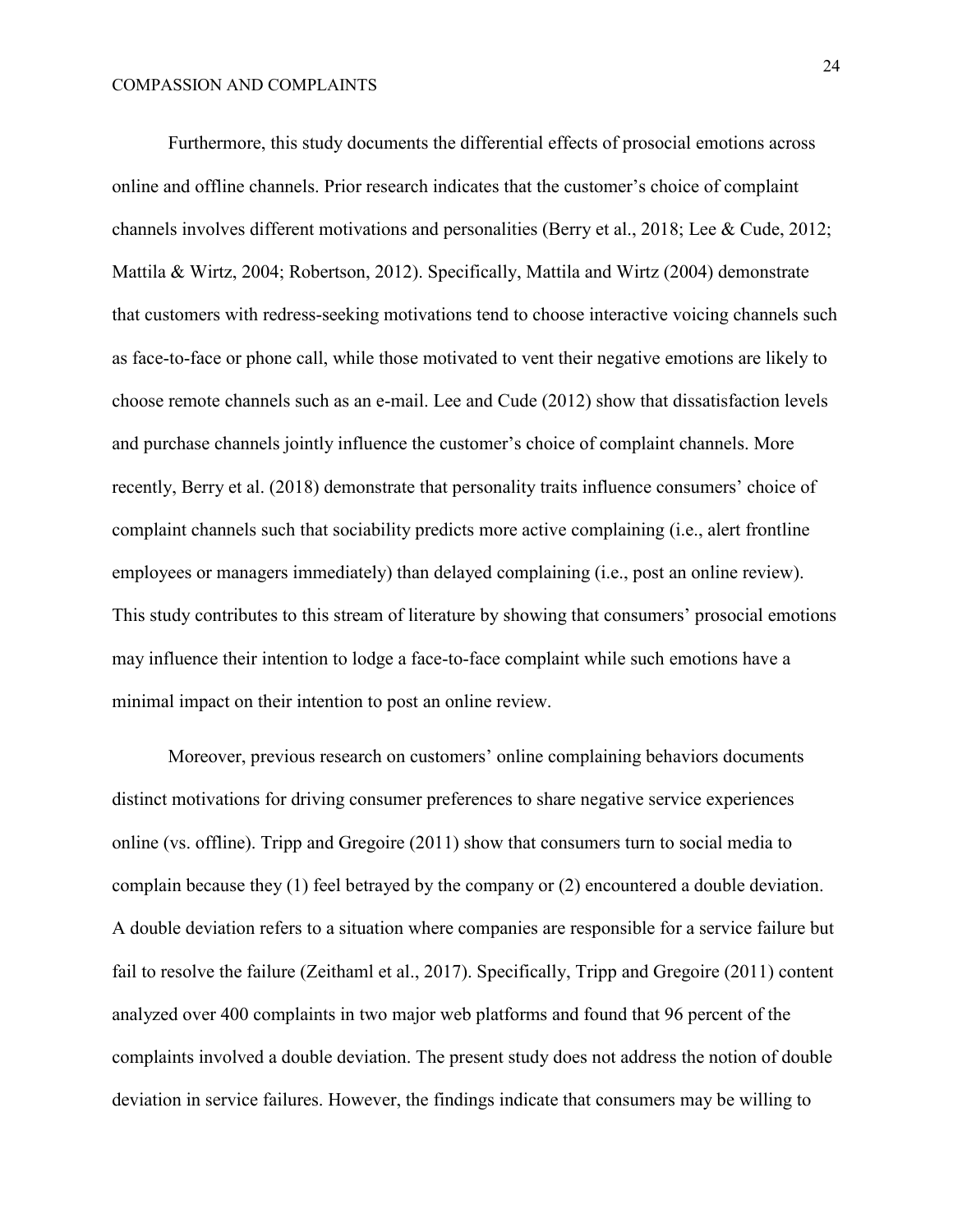Furthermore, this study documents the differential effects of prosocial emotions across online and offline channels. Prior research indicates that the customer's choice of complaint channels involves different motivations and personalities (Berry et al., 2018; Lee & Cude, 2012; Mattila & Wirtz, 2004; Robertson, 2012). Specifically, Mattila and Wirtz (2004) demonstrate that customers with redress-seeking motivations tend to choose interactive voicing channels such as face-to-face or phone call, while those motivated to vent their negative emotions are likely to choose remote channels such as an e-mail. Lee and Cude (2012) show that dissatisfaction levels and purchase channels jointly influence the customer's choice of complaint channels. More recently, Berry et al. (2018) demonstrate that personality traits influence consumers' choice of complaint channels such that sociability predicts more active complaining (i.e., alert frontline employees or managers immediately) than delayed complaining (i.e., post an online review). This study contributes to this stream of literature by showing that consumers' prosocial emotions may influence their intention to lodge a face-to-face complaint while such emotions have a minimal impact on their intention to post an online review.

Moreover, previous research on customers' online complaining behaviors documents distinct motivations for driving consumer preferences to share negative service experiences online (vs. offline). Tripp and Gregoire (2011) show that consumers turn to social media to complain because they (1) feel betrayed by the company or (2) encountered a double deviation. A double deviation refers to a situation where companies are responsible for a service failure but fail to resolve the failure (Zeithaml et al., 2017). Specifically, Tripp and Gregoire (2011) content analyzed over 400 complaints in two major web platforms and found that 96 percent of the complaints involved a double deviation. The present study does not address the notion of double deviation in service failures. However, the findings indicate that consumers may be willing to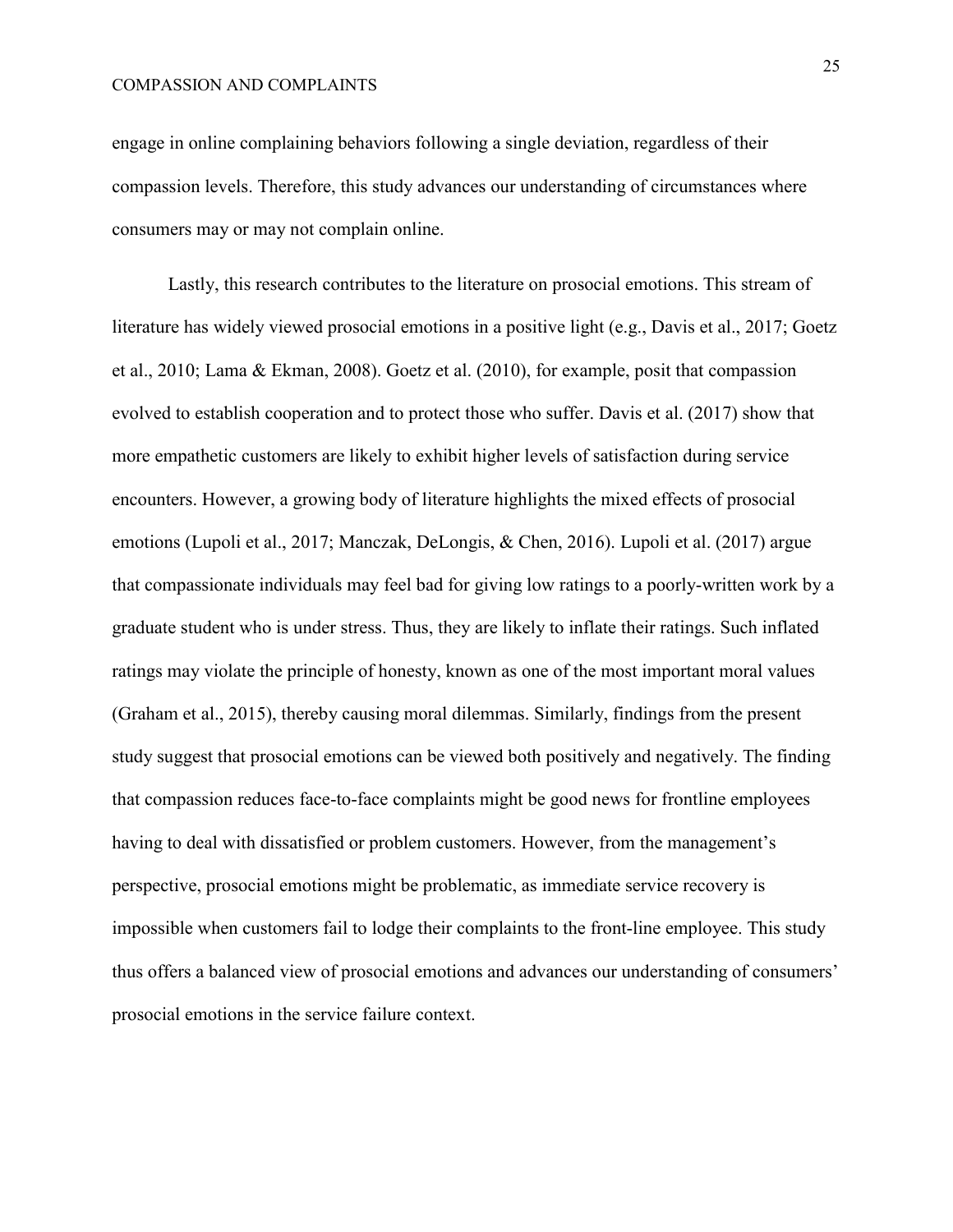engage in online complaining behaviors following a single deviation, regardless of their compassion levels. Therefore, this study advances our understanding of circumstances where consumers may or may not complain online.

Lastly, this research contributes to the literature on prosocial emotions. This stream of literature has widely viewed prosocial emotions in a positive light (e.g., Davis et al., 2017; Goetz et al., 2010; Lama & Ekman, 2008). Goetz et al. (2010), for example, posit that compassion evolved to establish cooperation and to protect those who suffer. Davis et al. (2017) show that more empathetic customers are likely to exhibit higher levels of satisfaction during service encounters. However, a growing body of literature highlights the mixed effects of prosocial emotions (Lupoli et al., 2017; Manczak, DeLongis, & Chen, 2016). Lupoli et al. (2017) argue that compassionate individuals may feel bad for giving low ratings to a poorly-written work by a graduate student who is under stress. Thus, they are likely to inflate their ratings. Such inflated ratings may violate the principle of honesty, known as one of the most important moral values (Graham et al., 2015), thereby causing moral dilemmas. Similarly, findings from the present study suggest that prosocial emotions can be viewed both positively and negatively. The finding that compassion reduces face-to-face complaints might be good news for frontline employees having to deal with dissatisfied or problem customers. However, from the management's perspective, prosocial emotions might be problematic, as immediate service recovery is impossible when customers fail to lodge their complaints to the front-line employee. This study thus offers a balanced view of prosocial emotions and advances our understanding of consumers' prosocial emotions in the service failure context.

25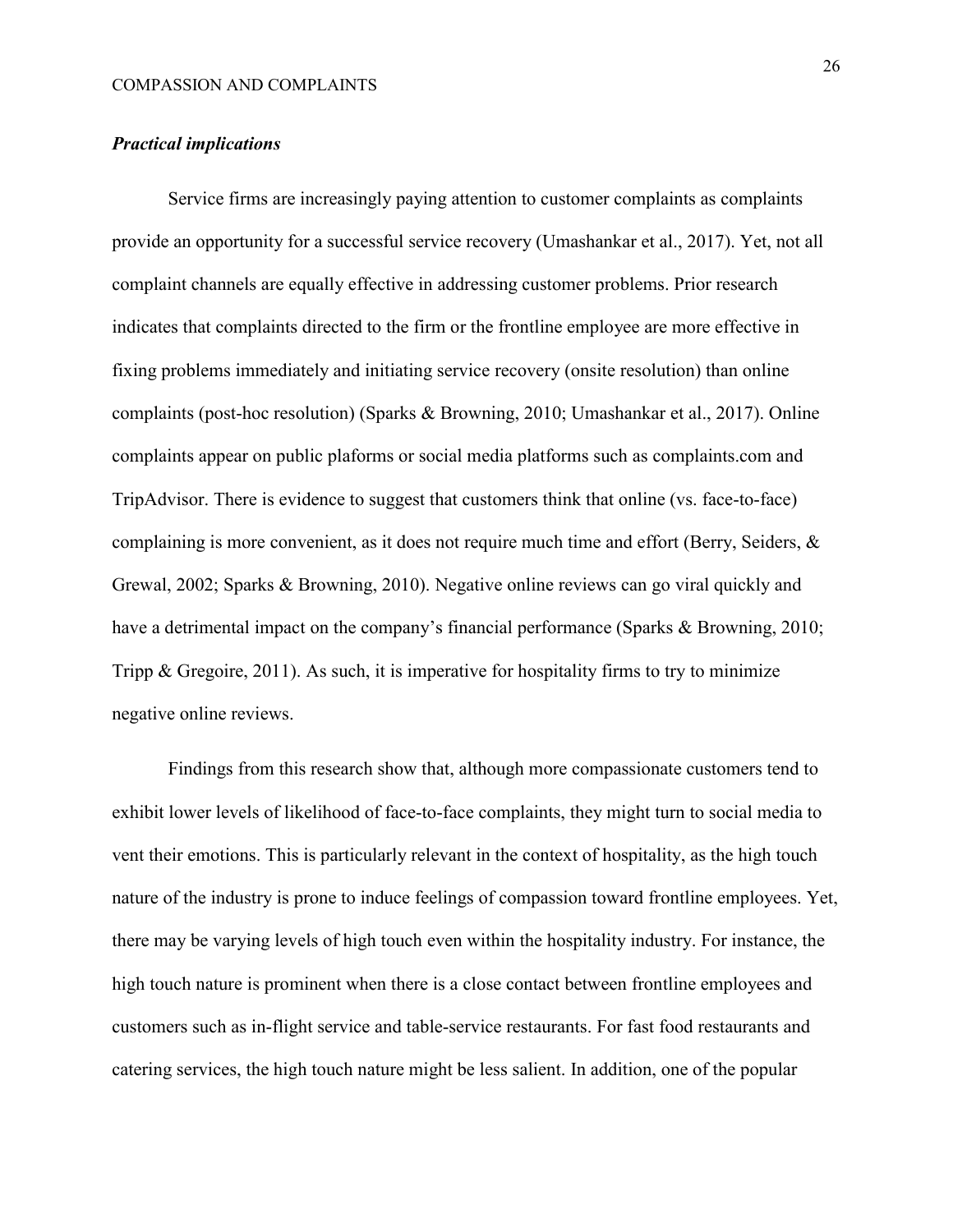## *Practical implications*

Service firms are increasingly paying attention to customer complaints as complaints provide an opportunity for a successful service recovery (Umashankar et al., 2017). Yet, not all complaint channels are equally effective in addressing customer problems. Prior research indicates that complaints directed to the firm or the frontline employee are more effective in fixing problems immediately and initiating service recovery (onsite resolution) than online complaints (post-hoc resolution) (Sparks & Browning, 2010; Umashankar et al., 2017). Online complaints appear on public plaforms or social media platforms such as complaints.com and TripAdvisor. There is evidence to suggest that customers think that online (vs. face-to-face) complaining is more convenient, as it does not require much time and effort (Berry, Seiders, & Grewal, 2002; Sparks & Browning, 2010). Negative online reviews can go viral quickly and have a detrimental impact on the company's financial performance (Sparks & Browning, 2010; Tripp & Gregoire, 2011). As such, it is imperative for hospitality firms to try to minimize negative online reviews.

Findings from this research show that, although more compassionate customers tend to exhibit lower levels of likelihood of face-to-face complaints, they might turn to social media to vent their emotions. This is particularly relevant in the context of hospitality, as the high touch nature of the industry is prone to induce feelings of compassion toward frontline employees. Yet, there may be varying levels of high touch even within the hospitality industry. For instance, the high touch nature is prominent when there is a close contact between frontline employees and customers such as in-flight service and table-service restaurants. For fast food restaurants and catering services, the high touch nature might be less salient. In addition, one of the popular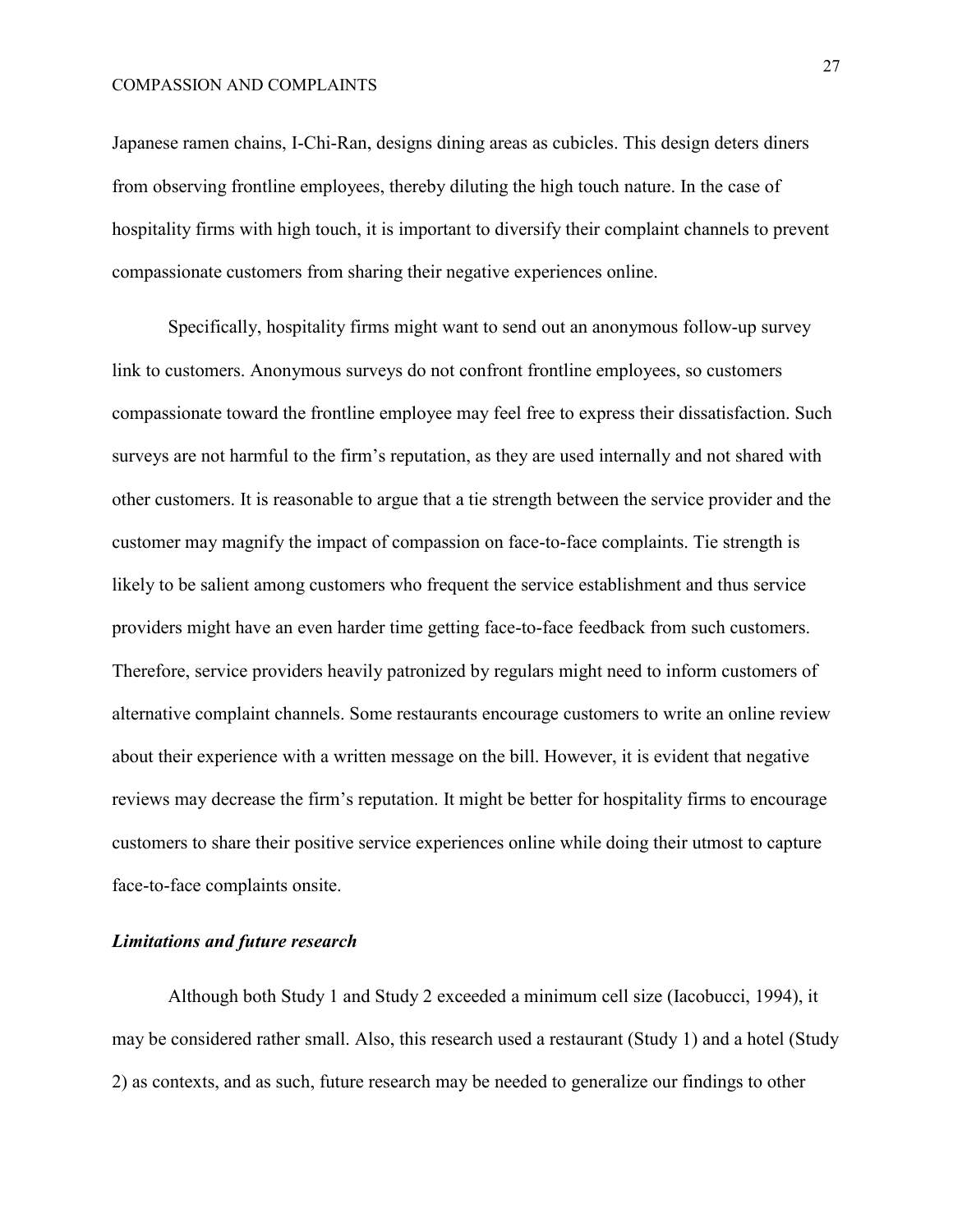Japanese ramen chains, I-Chi-Ran, designs dining areas as cubicles. This design deters diners from observing frontline employees, thereby diluting the high touch nature. In the case of hospitality firms with high touch, it is important to diversify their complaint channels to prevent compassionate customers from sharing their negative experiences online.

Specifically, hospitality firms might want to send out an anonymous follow-up survey link to customers. Anonymous surveys do not confront frontline employees, so customers compassionate toward the frontline employee may feel free to express their dissatisfaction. Such surveys are not harmful to the firm's reputation, as they are used internally and not shared with other customers. It is reasonable to argue that a tie strength between the service provider and the customer may magnify the impact of compassion on face-to-face complaints. Tie strength is likely to be salient among customers who frequent the service establishment and thus service providers might have an even harder time getting face-to-face feedback from such customers. Therefore, service providers heavily patronized by regulars might need to inform customers of alternative complaint channels. Some restaurants encourage customers to write an online review about their experience with a written message on the bill. However, it is evident that negative reviews may decrease the firm's reputation. It might be better for hospitality firms to encourage customers to share their positive service experiences online while doing their utmost to capture face-to-face complaints onsite.

## *Limitations and future research*

Although both Study 1 and Study 2 exceeded a minimum cell size (Iacobucci, 1994), it may be considered rather small. Also, this research used a restaurant (Study 1) and a hotel (Study 2) as contexts, and as such, future research may be needed to generalize our findings to other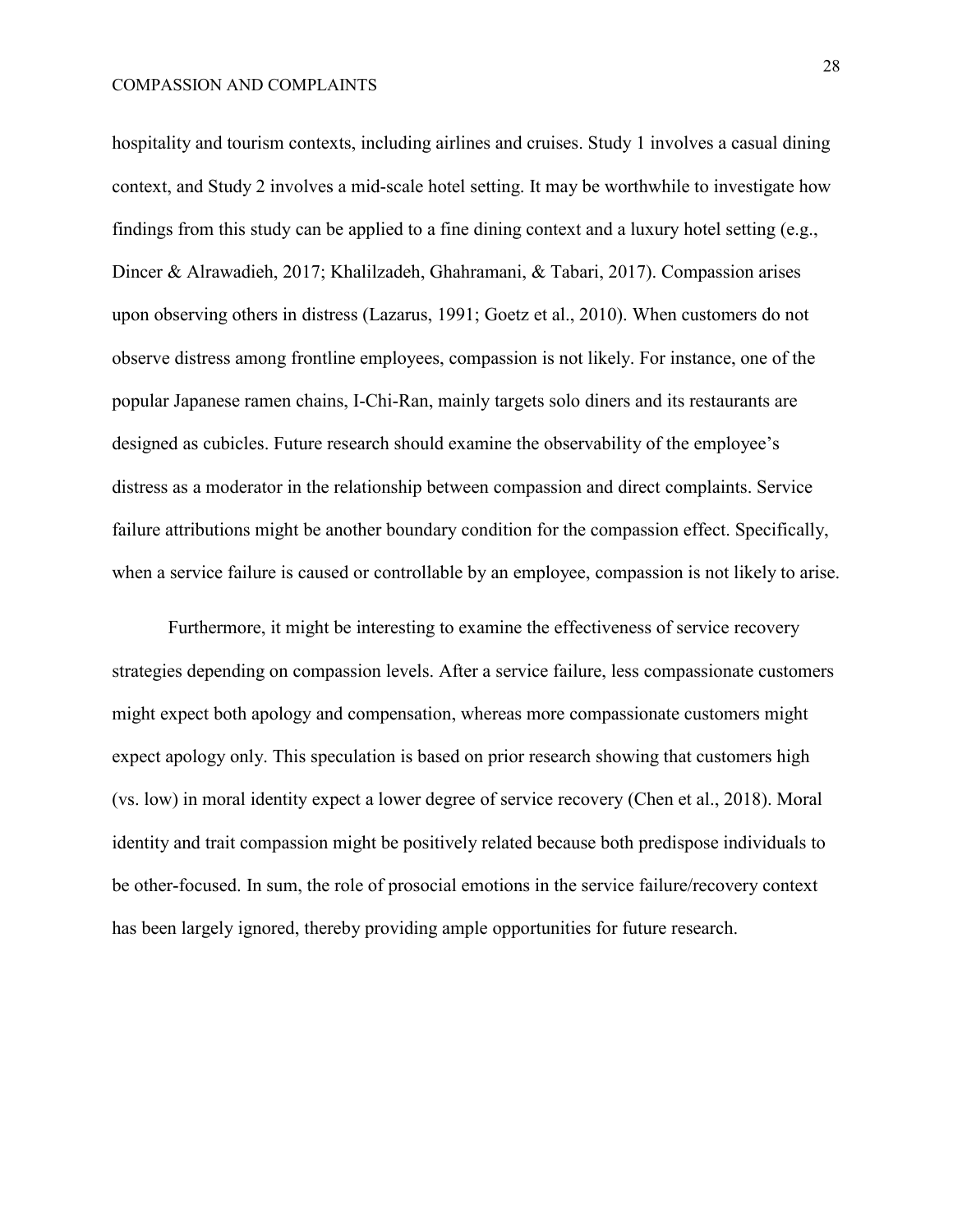hospitality and tourism contexts, including airlines and cruises. Study 1 involves a casual dining context, and Study 2 involves a mid-scale hotel setting. It may be worthwhile to investigate how findings from this study can be applied to a fine dining context and a luxury hotel setting (e.g., Dincer & Alrawadieh, 2017; Khalilzadeh, Ghahramani, & Tabari, 2017). Compassion arises upon observing others in distress (Lazarus, 1991; Goetz et al., 2010). When customers do not observe distress among frontline employees, compassion is not likely. For instance, one of the popular Japanese ramen chains, I-Chi-Ran, mainly targets solo diners and its restaurants are designed as cubicles. Future research should examine the observability of the employee's distress as a moderator in the relationship between compassion and direct complaints. Service failure attributions might be another boundary condition for the compassion effect. Specifically, when a service failure is caused or controllable by an employee, compassion is not likely to arise.

Furthermore, it might be interesting to examine the effectiveness of service recovery strategies depending on compassion levels. After a service failure, less compassionate customers might expect both apology and compensation, whereas more compassionate customers might expect apology only. This speculation is based on prior research showing that customers high (vs. low) in moral identity expect a lower degree of service recovery (Chen et al., 2018). Moral identity and trait compassion might be positively related because both predispose individuals to be other-focused. In sum, the role of prosocial emotions in the service failure/recovery context has been largely ignored, thereby providing ample opportunities for future research.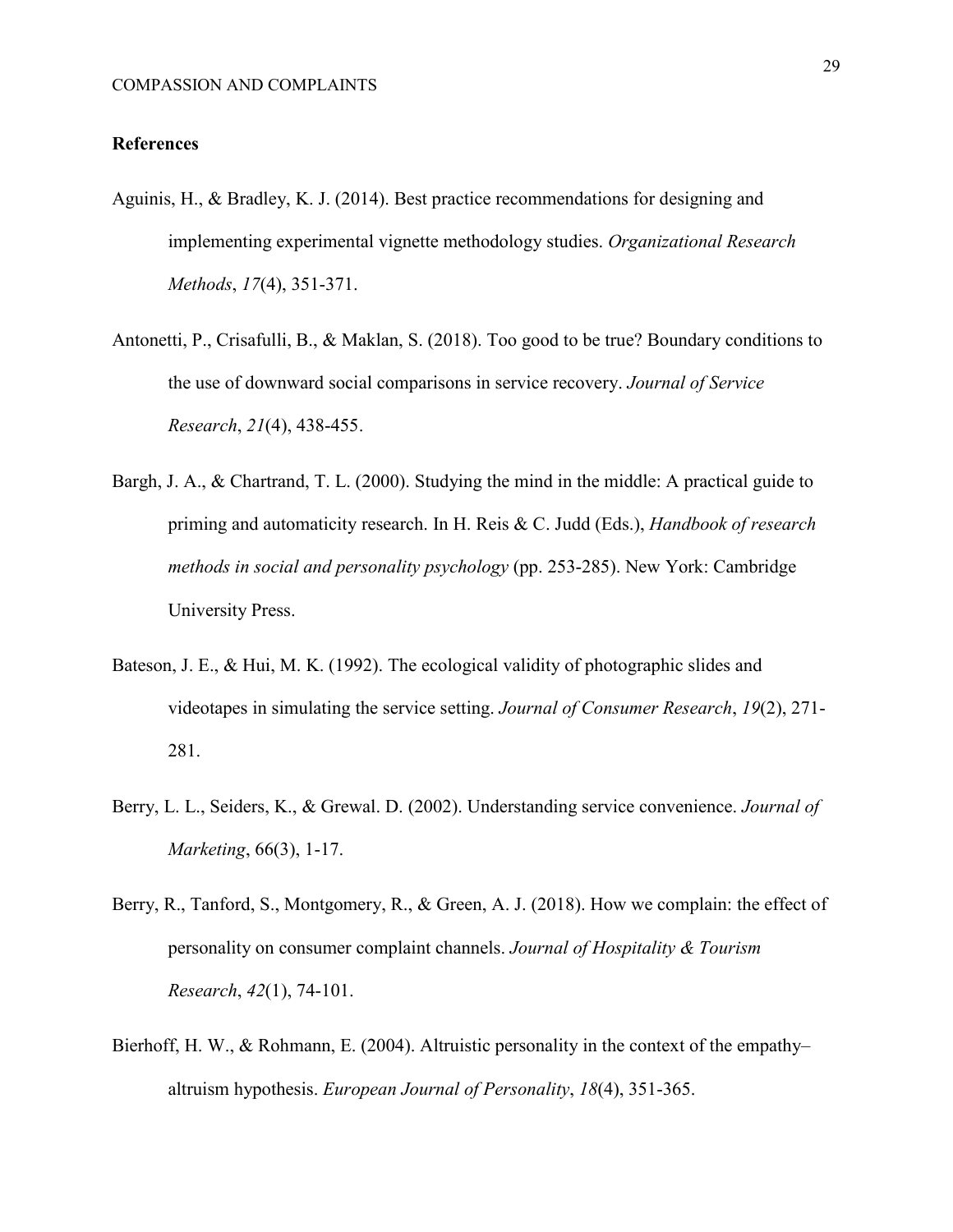#### **References**

- Aguinis, H., & Bradley, K. J. (2014). Best practice recommendations for designing and implementing experimental vignette methodology studies. *Organizational Research Methods*, *17*(4), 351-371.
- Antonetti, P., Crisafulli, B., & Maklan, S. (2018). Too good to be true? Boundary conditions to the use of downward social comparisons in service recovery. *Journal of Service Research*, *21*(4), 438-455.
- Bargh, J. A., & Chartrand, T. L. (2000). Studying the mind in the middle: A practical guide to priming and automaticity research. In H. Reis & C. Judd (Eds.), *Handbook of research methods in social and personality psychology* (pp. 253-285). New York: Cambridge University Press.
- Bateson, J. E., & Hui, M. K. (1992). The ecological validity of photographic slides and videotapes in simulating the service setting. *Journal of Consumer Research*, *19*(2), 271- 281.
- Berry, L. L., Seiders, K., & Grewal. D. (2002). Understanding service convenience. *Journal of Marketing*, 66(3), 1-17.
- Berry, R., Tanford, S., Montgomery, R., & Green, A. J. (2018). How we complain: the effect of personality on consumer complaint channels. *Journal of Hospitality & Tourism Research*, *42*(1), 74-101.
- Bierhoff, H. W., & Rohmann, E. (2004). Altruistic personality in the context of the empathy– altruism hypothesis. *European Journal of Personality*, *18*(4), 351-365.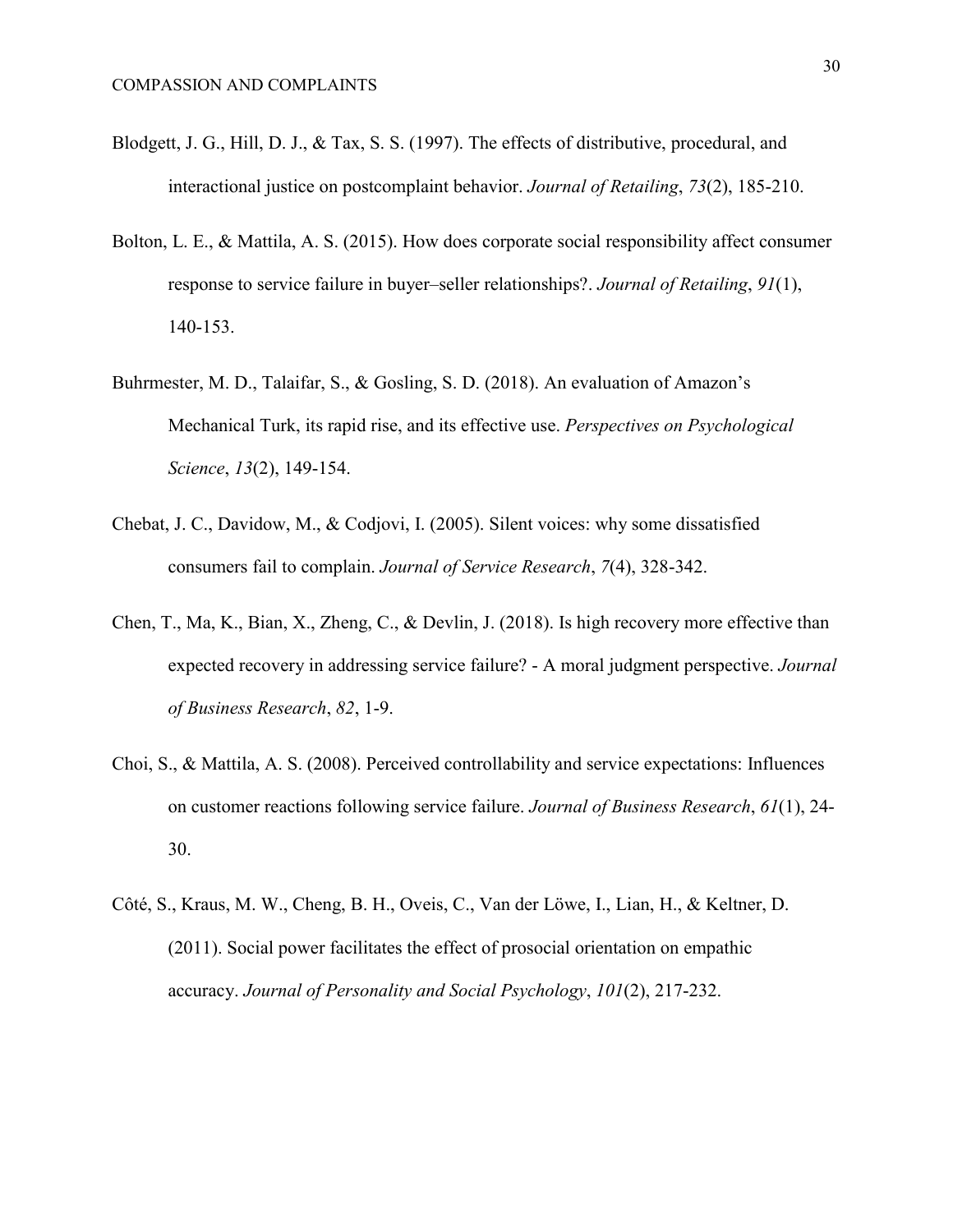- Blodgett, J. G., Hill, D. J., & Tax, S. S. (1997). The effects of distributive, procedural, and interactional justice on postcomplaint behavior. *Journal of Retailing*, *73*(2), 185-210.
- Bolton, L. E., & Mattila, A. S. (2015). How does corporate social responsibility affect consumer response to service failure in buyer–seller relationships?. *Journal of Retailing*, *91*(1), 140-153.
- Buhrmester, M. D., Talaifar, S., & Gosling, S. D. (2018). An evaluation of Amazon's Mechanical Turk, its rapid rise, and its effective use. *Perspectives on Psychological Science*, *13*(2), 149-154.
- Chebat, J. C., Davidow, M., & Codjovi, I. (2005). Silent voices: why some dissatisfied consumers fail to complain. *Journal of Service Research*, *7*(4), 328-342.
- Chen, T., Ma, K., Bian, X., Zheng, C., & Devlin, J. (2018). Is high recovery more effective than expected recovery in addressing service failure? - A moral judgment perspective. *Journal of Business Research*, *82*, 1-9.
- Choi, S., & Mattila, A. S. (2008). Perceived controllability and service expectations: Influences on customer reactions following service failure. *Journal of Business Research*, *61*(1), 24- 30.
- Côté, S., Kraus, M. W., Cheng, B. H., Oveis, C., Van der Löwe, I., Lian, H., & Keltner, D. (2011). Social power facilitates the effect of prosocial orientation on empathic accuracy. *Journal of Personality and Social Psychology*, *101*(2), 217-232.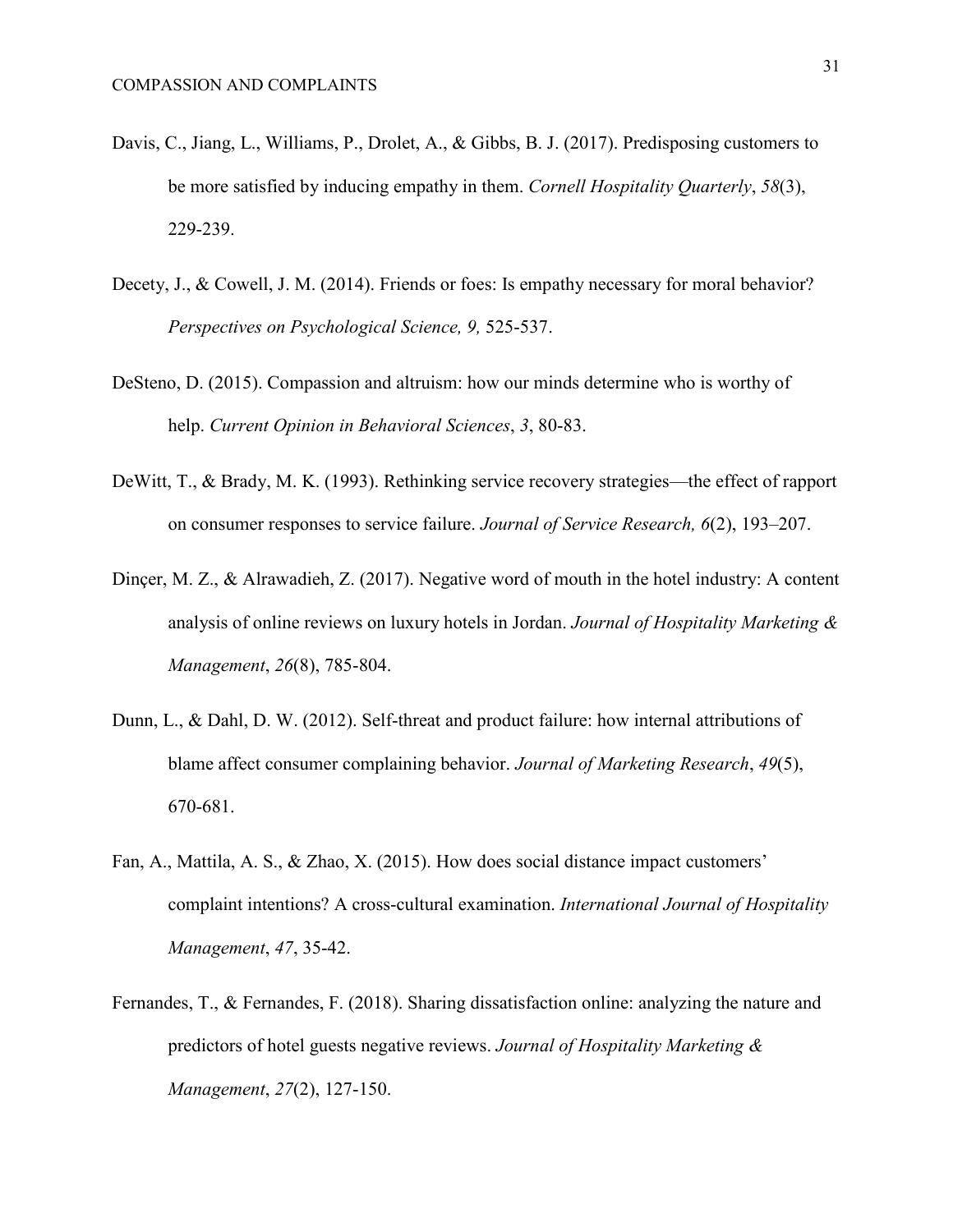- Davis, C., Jiang, L., Williams, P., Drolet, A., & Gibbs, B. J. (2017). Predisposing customers to be more satisfied by inducing empathy in them. *Cornell Hospitality Quarterly*, *58*(3), 229-239.
- Decety, J., & Cowell, J. M. (2014). Friends or foes: Is empathy necessary for moral behavior? *Perspectives on Psychological Science, 9,* 525-537.
- DeSteno, D. (2015). Compassion and altruism: how our minds determine who is worthy of help. *Current Opinion in Behavioral Sciences*, *3*, 80-83.
- DeWitt, T., & Brady, M. K. (1993). Rethinking service recovery strategies—the effect of rapport on consumer responses to service failure. *Journal of Service Research, 6*(2), 193–207.
- Dinçer, M. Z., & Alrawadieh, Z. (2017). Negative word of mouth in the hotel industry: A content analysis of online reviews on luxury hotels in Jordan. *Journal of Hospitality Marketing & Management*, *26*(8), 785-804.
- Dunn, L., & Dahl, D. W. (2012). Self-threat and product failure: how internal attributions of blame affect consumer complaining behavior. *Journal of Marketing Research*, *49*(5), 670-681.
- Fan, A., Mattila, A. S., & Zhao, X. (2015). How does social distance impact customers' complaint intentions? A cross-cultural examination. *International Journal of Hospitality Management*, *47*, 35-42.
- Fernandes, T., & Fernandes, F. (2018). Sharing dissatisfaction online: analyzing the nature and predictors of hotel guests negative reviews. *Journal of Hospitality Marketing & Management*, *27*(2), 127-150.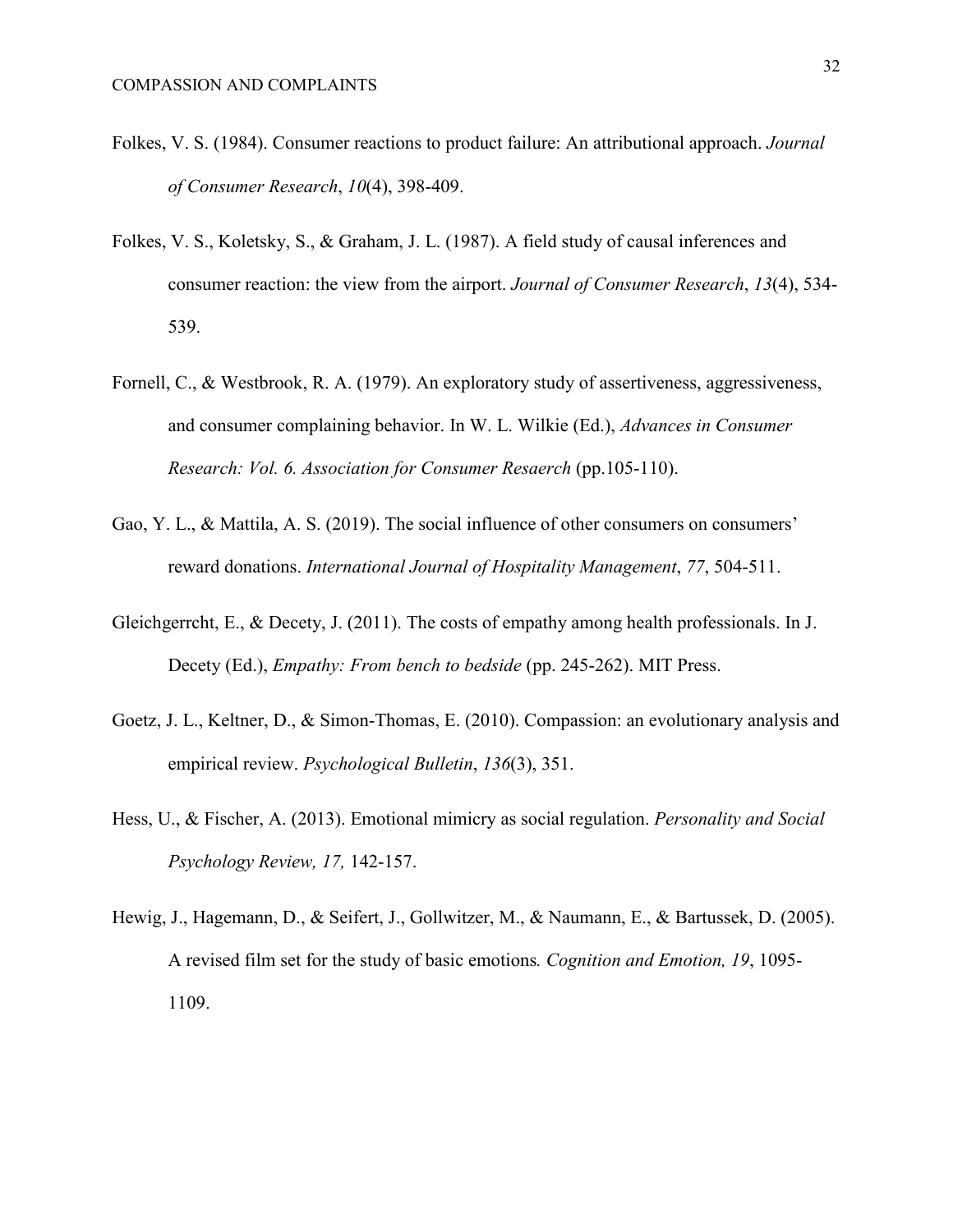- Folkes, V. S. (1984). Consumer reactions to product failure: An attributional approach. *Journal of Consumer Research*, *10*(4), 398-409.
- Folkes, V. S., Koletsky, S., & Graham, J. L. (1987). A field study of causal inferences and consumer reaction: the view from the airport. *Journal of Consumer Research*, *13*(4), 534- 539.
- Fornell, C., & Westbrook, R. A. (1979). An exploratory study of assertiveness, aggressiveness, and consumer complaining behavior. In W. L. Wilkie (Ed.), *Advances in Consumer Research: Vol. 6. Association for Consumer Resaerch* (pp.105-110).
- Gao, Y. L., & Mattila, A. S. (2019). The social influence of other consumers on consumers' reward donations. *International Journal of Hospitality Management*, *77*, 504-511.
- Gleichgerrcht, E., & Decety, J. (2011). The costs of empathy among health professionals. In J. Decety (Ed.), *Empathy: From bench to bedside* (pp. 245-262). MIT Press.
- Goetz, J. L., Keltner, D., & Simon-Thomas, E. (2010). Compassion: an evolutionary analysis and empirical review. *Psychological Bulletin*, *136*(3), 351.
- Hess, U., & Fischer, A. (2013). Emotional mimicry as social regulation. *Personality and Social Psychology Review, 17,* 142-157.
- Hewig, J., Hagemann, D., & Seifert, J., Gollwitzer, M., & Naumann, E., & Bartussek, D. (2005). A revised film set for the study of basic emotions*. Cognition and Emotion, 19*, 1095- 1109.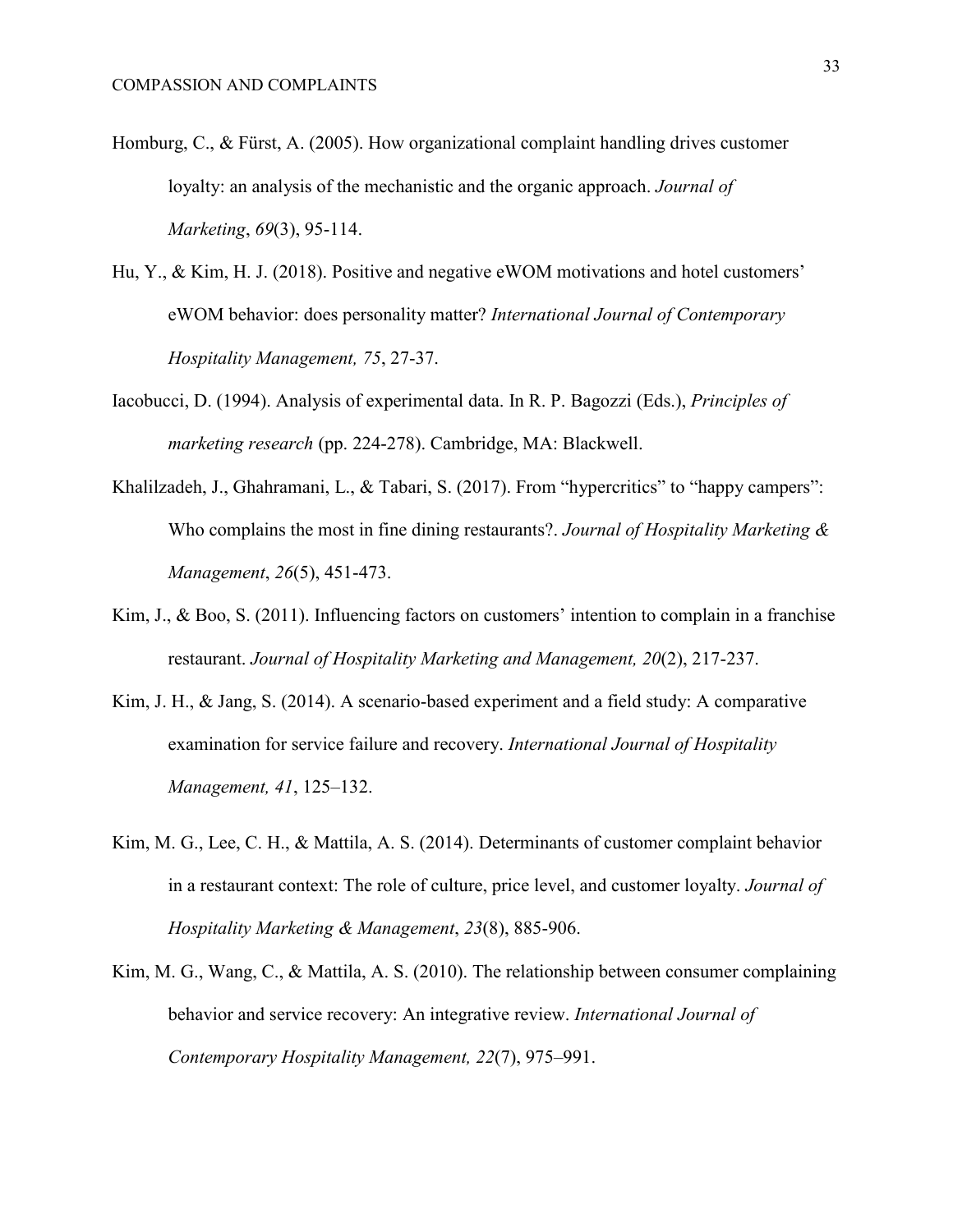- Homburg, C., & Fürst, A. (2005). How organizational complaint handling drives customer loyalty: an analysis of the mechanistic and the organic approach. *Journal of Marketing*, *69*(3), 95-114.
- Hu, Y., & Kim, H. J. (2018). Positive and negative eWOM motivations and hotel customers' eWOM behavior: does personality matter? *International Journal of Contemporary Hospitality Management, 75*, 27-37.
- Iacobucci, D. (1994). Analysis of experimental data. In R. P. Bagozzi (Eds.), *Principles of marketing research* (pp. 224-278). Cambridge, MA: Blackwell.
- Khalilzadeh, J., Ghahramani, L., & Tabari, S. (2017). From "hypercritics" to "happy campers": Who complains the most in fine dining restaurants?. *Journal of Hospitality Marketing & Management*, *26*(5), 451-473.
- Kim, J., & Boo, S. (2011). Influencing factors on customers' intention to complain in a franchise restaurant. *Journal of Hospitality Marketing and Management, 20*(2), 217-237.
- Kim, J. H., & Jang, S. (2014). A scenario-based experiment and a field study: A comparative examination for service failure and recovery. *International Journal of Hospitality Management, 41*, 125–132.
- Kim, M. G., Lee, C. H., & Mattila, A. S. (2014). Determinants of customer complaint behavior in a restaurant context: The role of culture, price level, and customer loyalty. *Journal of Hospitality Marketing & Management*, *23*(8), 885-906.
- Kim, M. G., Wang, C., & Mattila, A. S. (2010). The relationship between consumer complaining behavior and service recovery: An integrative review. *International Journal of Contemporary Hospitality Management, 22*(7), 975–991.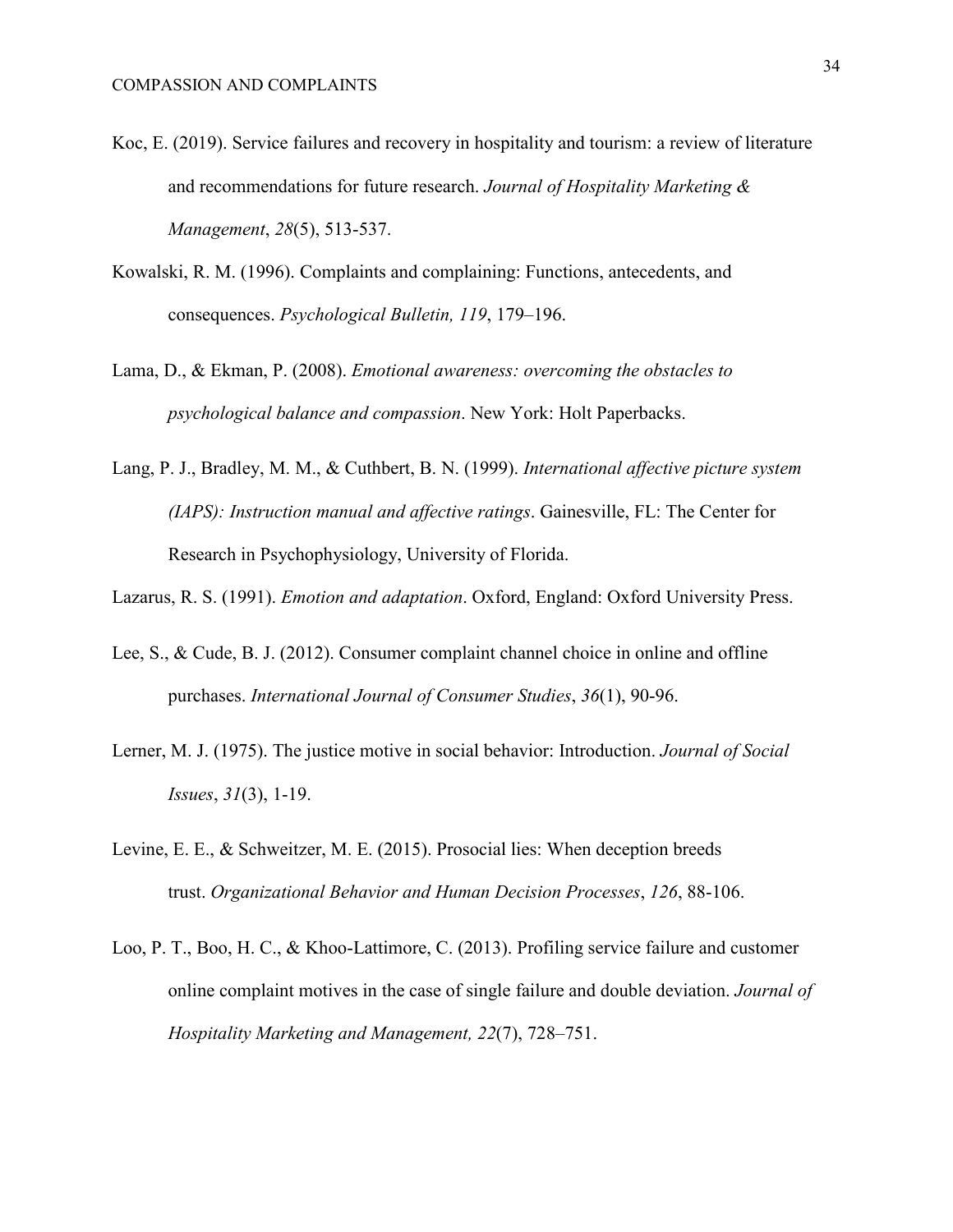- Koc, E. (2019). Service failures and recovery in hospitality and tourism: a review of literature and recommendations for future research. *Journal of Hospitality Marketing & Management*, *28*(5), 513-537.
- Kowalski, R. M. (1996). Complaints and complaining: Functions, antecedents, and consequences. *Psychological Bulletin, 119*, 179–196.
- Lama, D., & Ekman, P. (2008). *Emotional awareness: overcoming the obstacles to psychological balance and compassion*. New York: Holt Paperbacks.
- Lang, P. J., Bradley, M. M., & Cuthbert, B. N. (1999). *International affective picture system (IAPS): Instruction manual and affective ratings*. Gainesville, FL: The Center for Research in Psychophysiology, University of Florida.

Lazarus, R. S. (1991). *Emotion and adaptation*. Oxford, England: Oxford University Press.

- Lee, S., & Cude, B. J. (2012). Consumer complaint channel choice in online and offline purchases. *International Journal of Consumer Studies*, *36*(1), 90-96.
- Lerner, M. J. (1975). The justice motive in social behavior: Introduction. *Journal of Social Issues*, *31*(3), 1-19.
- Levine, E. E., & Schweitzer, M. E. (2015). Prosocial lies: When deception breeds trust. *Organizational Behavior and Human Decision Processes*, *126*, 88-106.
- Loo, P. T., Boo, H. C., & Khoo-Lattimore, C. (2013). Profiling service failure and customer online complaint motives in the case of single failure and double deviation. *Journal of Hospitality Marketing and Management, 22*(7), 728–751.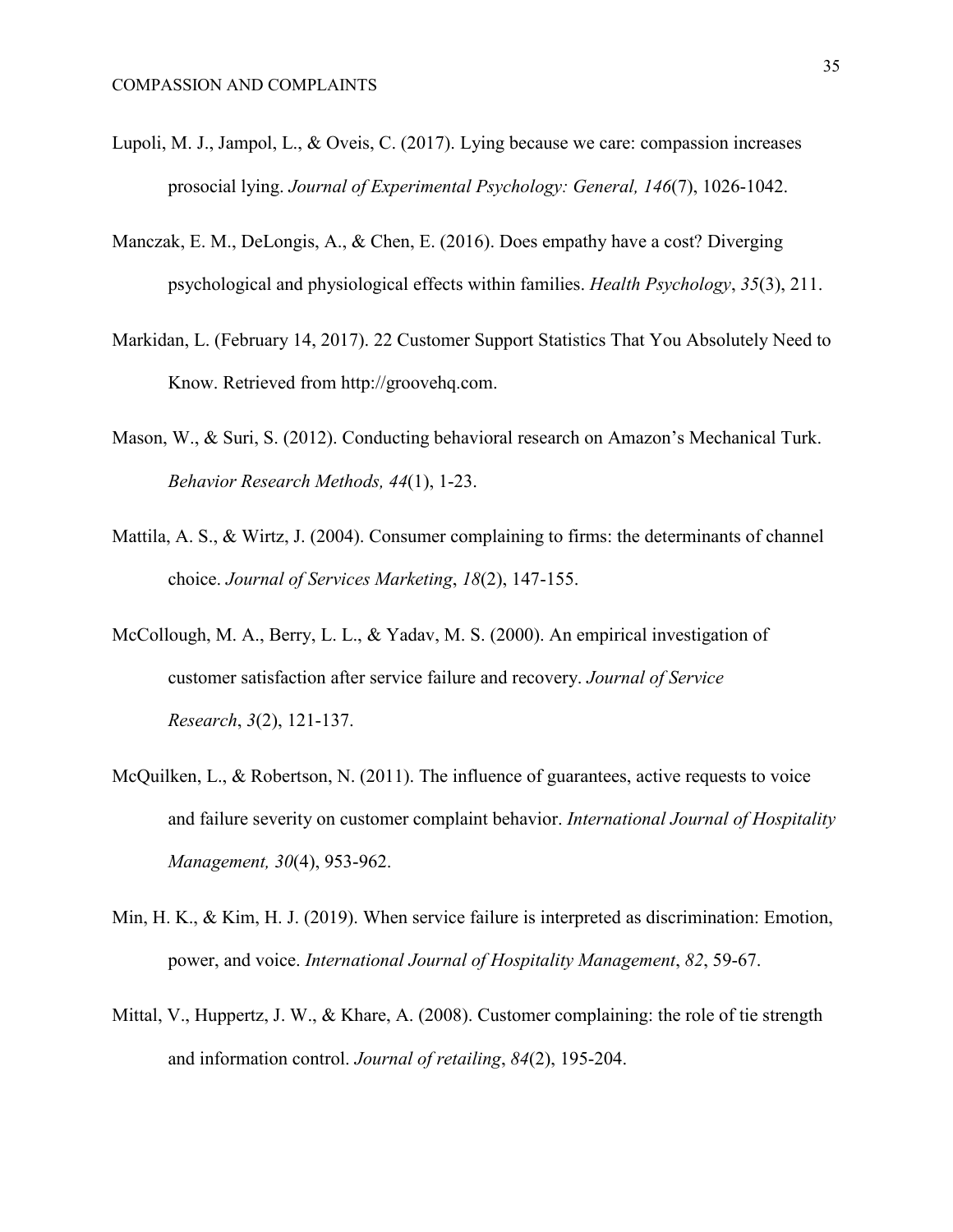- Lupoli, M. J., Jampol, L., & Oveis, C. (2017). Lying because we care: compassion increases prosocial lying. *Journal of Experimental Psychology: General, 146*(7), 1026-1042.
- Manczak, E. M., DeLongis, A., & Chen, E. (2016). Does empathy have a cost? Diverging psychological and physiological effects within families. *Health Psychology*, *35*(3), 211.
- Markidan, L. (February 14, 2017). 22 Customer Support Statistics That You Absolutely Need to Know. Retrieved from http://groovehq.com.
- Mason, W., & Suri, S. (2012). Conducting behavioral research on Amazon's Mechanical Turk. *Behavior Research Methods, 44*(1), 1-23.
- Mattila, A. S., & Wirtz, J. (2004). Consumer complaining to firms: the determinants of channel choice. *Journal of Services Marketing*, *18*(2), 147-155.
- McCollough, M. A., Berry, L. L., & Yadav, M. S. (2000). An empirical investigation of customer satisfaction after service failure and recovery. *Journal of Service Research*, *3*(2), 121-137.
- McQuilken, L., & Robertson, N. (2011). The influence of guarantees, active requests to voice and failure severity on customer complaint behavior. *International Journal of Hospitality Management, 30*(4), 953-962.
- Min, H. K., & Kim, H. J. (2019). When service failure is interpreted as discrimination: Emotion, power, and voice. *International Journal of Hospitality Management*, *82*, 59-67.
- Mittal, V., Huppertz, J. W., & Khare, A. (2008). Customer complaining: the role of tie strength and information control. *Journal of retailing*, *84*(2), 195-204.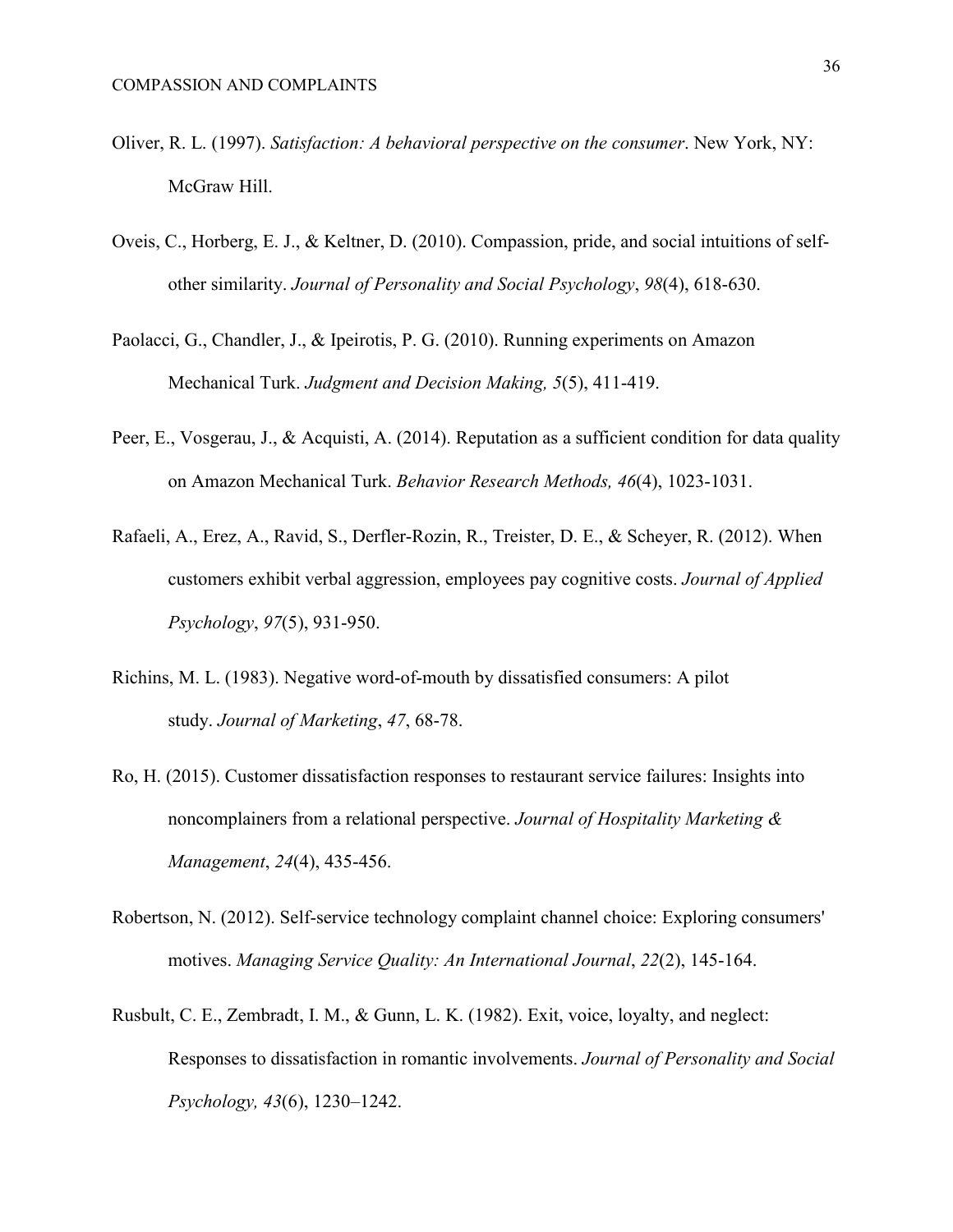- Oliver, R. L. (1997). *Satisfaction: A behavioral perspective on the consumer*. New York, NY: McGraw Hill.
- Oveis, C., Horberg, E. J., & Keltner, D. (2010). Compassion, pride, and social intuitions of selfother similarity. *Journal of Personality and Social Psychology*, *98*(4), 618-630.
- Paolacci, G., Chandler, J., & Ipeirotis, P. G. (2010). Running experiments on Amazon Mechanical Turk. *Judgment and Decision Making, 5*(5), 411-419.
- Peer, E., Vosgerau, J., & Acquisti, A. (2014). Reputation as a sufficient condition for data quality on Amazon Mechanical Turk. *Behavior Research Methods, 46*(4), 1023-1031.
- Rafaeli, A., Erez, A., Ravid, S., Derfler-Rozin, R., Treister, D. E., & Scheyer, R. (2012). When customers exhibit verbal aggression, employees pay cognitive costs. *Journal of Applied Psychology*, *97*(5), 931-950.
- Richins, M. L. (1983). Negative word-of-mouth by dissatisfied consumers: A pilot study. *Journal of Marketing*, *47*, 68-78.
- Ro, H. (2015). Customer dissatisfaction responses to restaurant service failures: Insights into noncomplainers from a relational perspective. *Journal of Hospitality Marketing & Management*, *24*(4), 435-456.
- Robertson, N. (2012). Self-service technology complaint channel choice: Exploring consumers' motives. *Managing Service Quality: An International Journal*, *22*(2), 145-164.
- Rusbult, C. E., Zembradt, I. M., & Gunn, L. K. (1982). Exit, voice, loyalty, and neglect: Responses to dissatisfaction in romantic involvements. *Journal of Personality and Social Psychology, 43*(6), 1230–1242.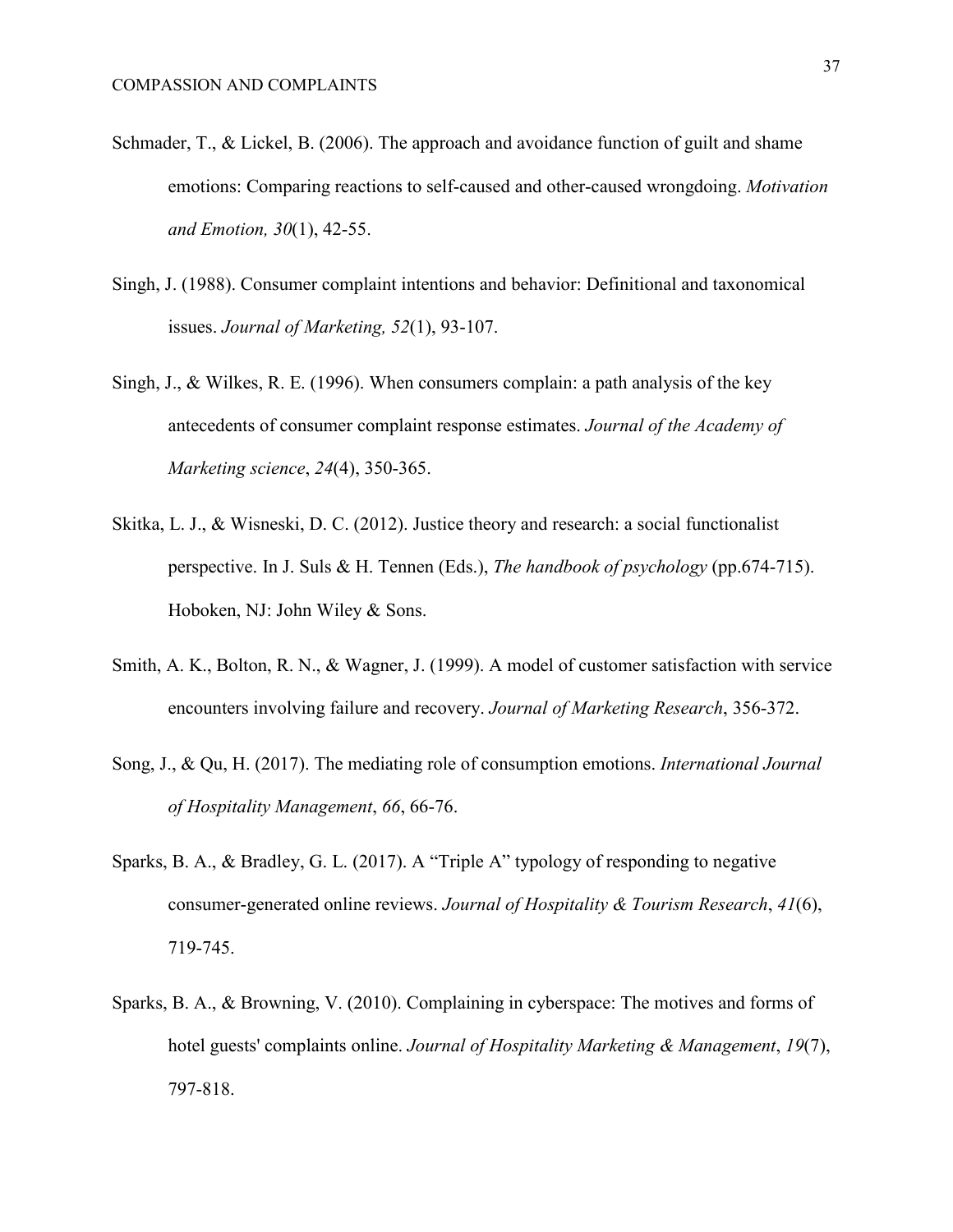- Schmader, T., & Lickel, B. (2006). The approach and avoidance function of guilt and shame emotions: Comparing reactions to self-caused and other-caused wrongdoing. *Motivation and Emotion, 30*(1), 42-55.
- Singh, J. (1988). Consumer complaint intentions and behavior: Definitional and taxonomical issues. *Journal of Marketing, 52*(1), 93-107.
- Singh, J., & Wilkes, R. E. (1996). When consumers complain: a path analysis of the key antecedents of consumer complaint response estimates. *Journal of the Academy of Marketing science*, *24*(4), 350-365.
- Skitka, L. J., & Wisneski, D. C. (2012). Justice theory and research: a social functionalist perspective. In J. Suls & H. Tennen (Eds.), *The handbook of psychology* (pp.674-715). Hoboken, NJ: John Wiley & Sons.
- Smith, A. K., Bolton, R. N., & Wagner, J. (1999). A model of customer satisfaction with service encounters involving failure and recovery. *Journal of Marketing Research*, 356-372.
- Song, J., & Qu, H. (2017). The mediating role of consumption emotions. *International Journal of Hospitality Management*, *66*, 66-76.
- Sparks, B. A., & Bradley, G. L. (2017). A "Triple A" typology of responding to negative consumer-generated online reviews. *Journal of Hospitality & Tourism Research*, *41*(6), 719-745.
- Sparks, B. A., & Browning, V. (2010). Complaining in cyberspace: The motives and forms of hotel guests' complaints online. *Journal of Hospitality Marketing & Management*, *19*(7), 797-818.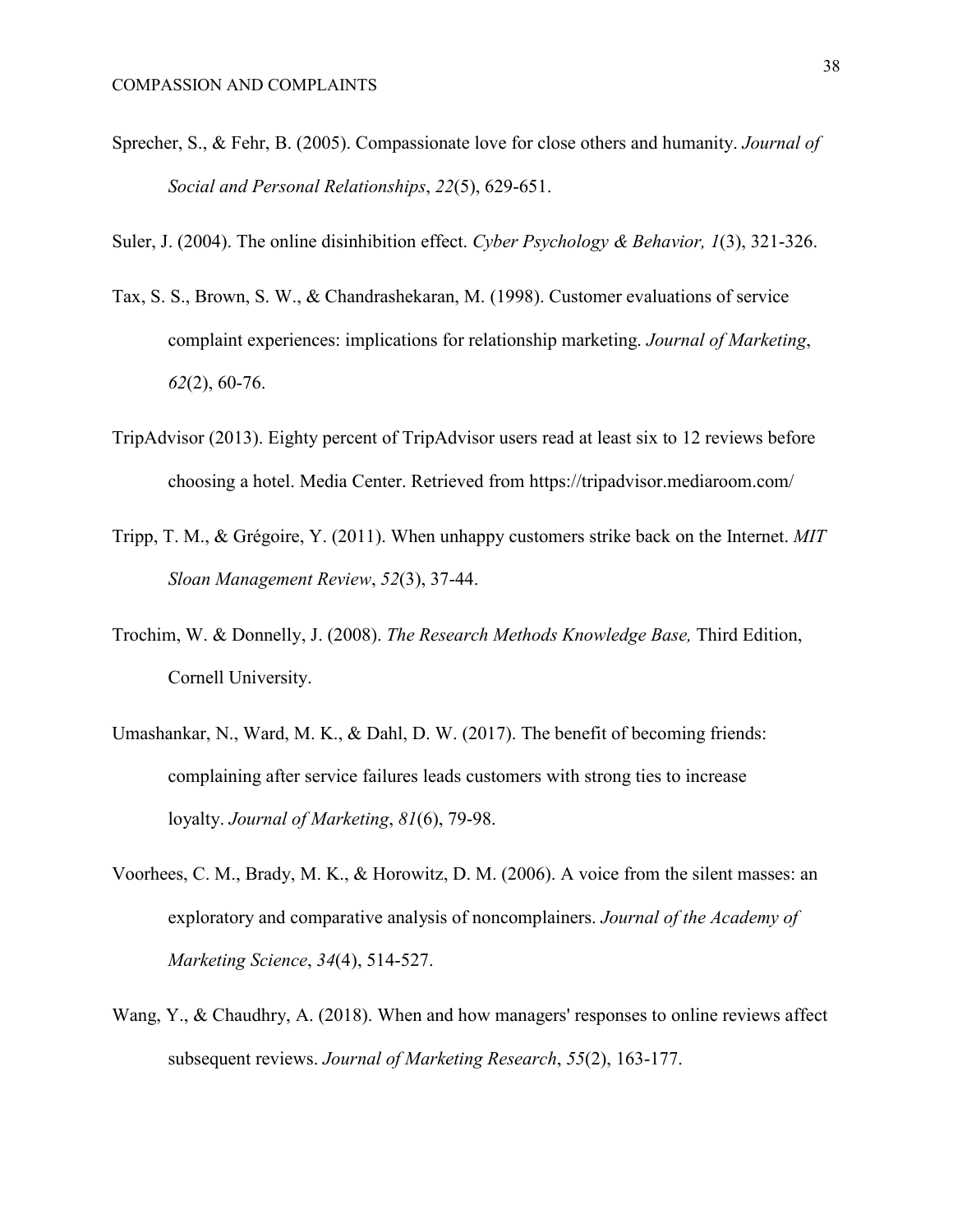- Sprecher, S., & Fehr, B. (2005). Compassionate love for close others and humanity. *Journal of Social and Personal Relationships*, *22*(5), 629-651.
- Suler, J. (2004). The online disinhibition effect. *Cyber Psychology & Behavior, 1*(3), 321-326.
- Tax, S. S., Brown, S. W., & Chandrashekaran, M. (1998). Customer evaluations of service complaint experiences: implications for relationship marketing. *Journal of Marketing*, *62*(2), 60-76.
- TripAdvisor (2013). Eighty percent of TripAdvisor users read at least six to 12 reviews before choosing a hotel. Media Center. Retrieved from https://tripadvisor.mediaroom.com/
- Tripp, T. M., & Grégoire, Y. (2011). When unhappy customers strike back on the Internet. *MIT Sloan Management Review*, *52*(3), 37-44.
- Trochim, W. & Donnelly, J. (2008). *The Research Methods Knowledge Base,* Third Edition, Cornell University.
- Umashankar, N., Ward, M. K., & Dahl, D. W. (2017). The benefit of becoming friends: complaining after service failures leads customers with strong ties to increase loyalty. *Journal of Marketing*, *81*(6), 79-98.
- Voorhees, C. M., Brady, M. K., & Horowitz, D. M. (2006). A voice from the silent masses: an exploratory and comparative analysis of noncomplainers. *Journal of the Academy of Marketing Science*, *34*(4), 514-527.
- Wang, Y., & Chaudhry, A. (2018). When and how managers' responses to online reviews affect subsequent reviews. *Journal of Marketing Research*, *55*(2), 163-177.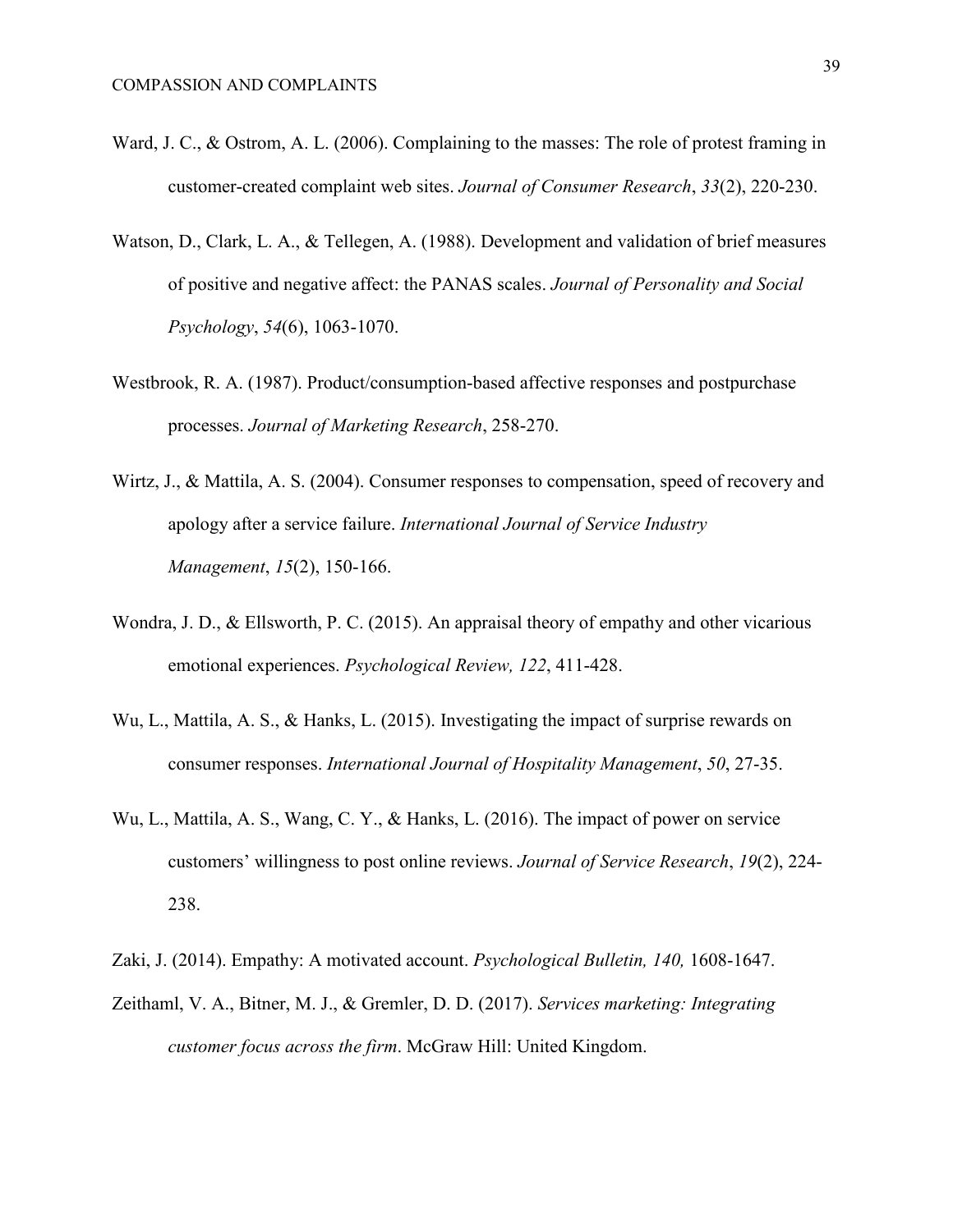- Ward, J. C., & Ostrom, A. L. (2006). Complaining to the masses: The role of protest framing in customer-created complaint web sites. *Journal of Consumer Research*, *33*(2), 220-230.
- Watson, D., Clark, L. A., & Tellegen, A. (1988). Development and validation of brief measures of positive and negative affect: the PANAS scales. *Journal of Personality and Social Psychology*, *54*(6), 1063-1070.
- Westbrook, R. A. (1987). Product/consumption-based affective responses and postpurchase processes. *Journal of Marketing Research*, 258-270.
- Wirtz, J., & Mattila, A. S. (2004). Consumer responses to compensation, speed of recovery and apology after a service failure. *International Journal of Service Industry Management*, *15*(2), 150-166.
- Wondra, J. D., & Ellsworth, P. C. (2015). An appraisal theory of empathy and other vicarious emotional experiences. *Psychological Review, 122*, 411-428.
- Wu, L., Mattila, A. S., & Hanks, L. (2015). Investigating the impact of surprise rewards on consumer responses. *International Journal of Hospitality Management*, *50*, 27-35.
- Wu, L., Mattila, A. S., Wang, C. Y., & Hanks, L. (2016). The impact of power on service customers' willingness to post online reviews. *Journal of Service Research*, *19*(2), 224- 238.
- Zaki, J. (2014). Empathy: A motivated account. *Psychological Bulletin, 140,* 1608-1647.
- Zeithaml, V. A., Bitner, M. J., & Gremler, D. D. (2017). *Services marketing: Integrating customer focus across the firm*. McGraw Hill: United Kingdom.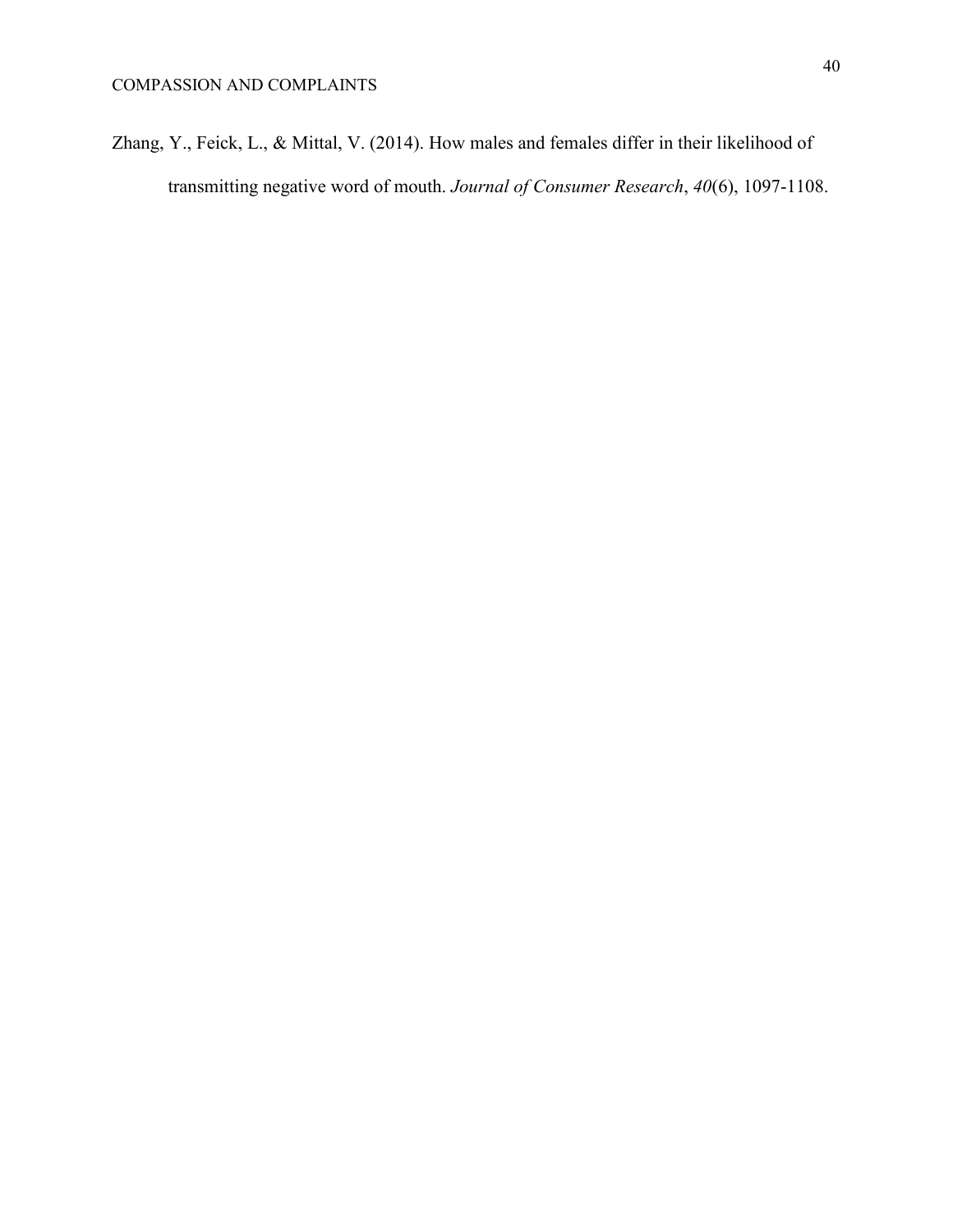Zhang, Y., Feick, L., & Mittal, V. (2014). How males and females differ in their likelihood of transmitting negative word of mouth. *Journal of Consumer Research*, *40*(6), 1097-1108.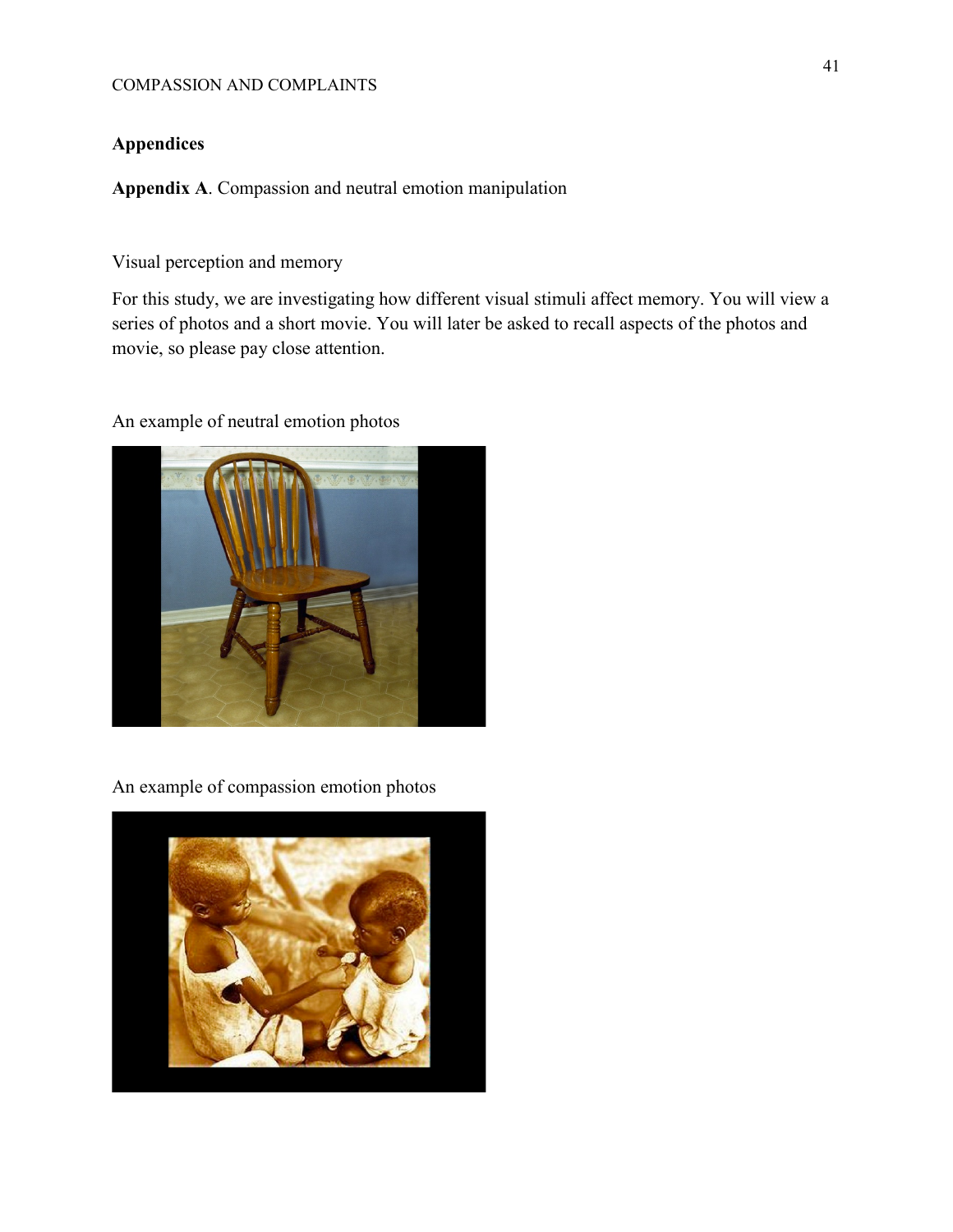# **Appendices**

**Appendix A**. Compassion and neutral emotion manipulation

Visual perception and memory

For this study, we are investigating how different visual stimuli affect memory. You will view a series of photos and a short movie. You will later be asked to recall aspects of the photos and movie, so please pay close attention.

An example of neutral emotion photos



An example of compassion emotion photos

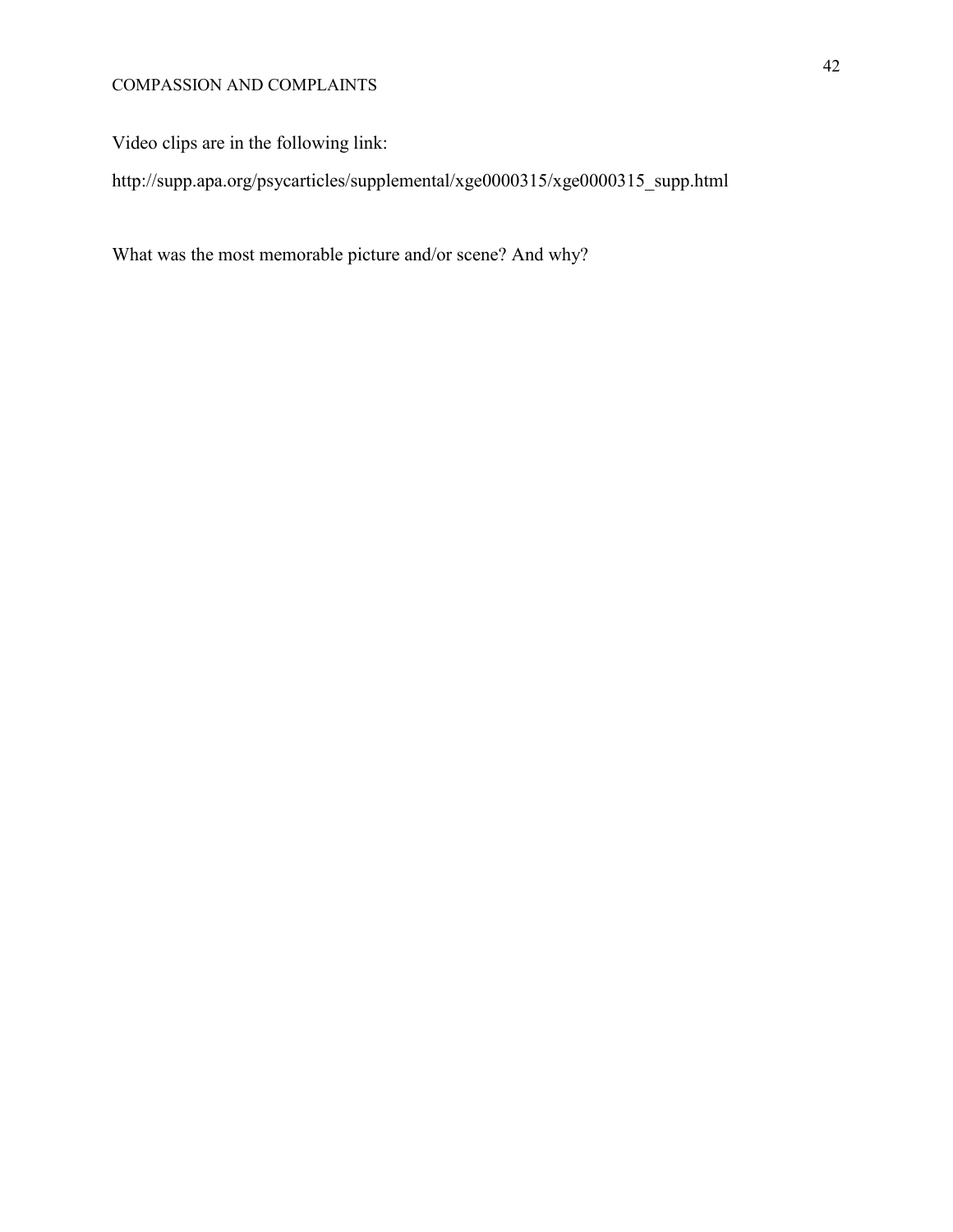## COMPASSION AND COMPLAINTS

Video clips are in the following link:

http://supp.apa.org/psycarticles/supplemental/xge0000315/xge0000315\_supp.html

What was the most memorable picture and/or scene? And why?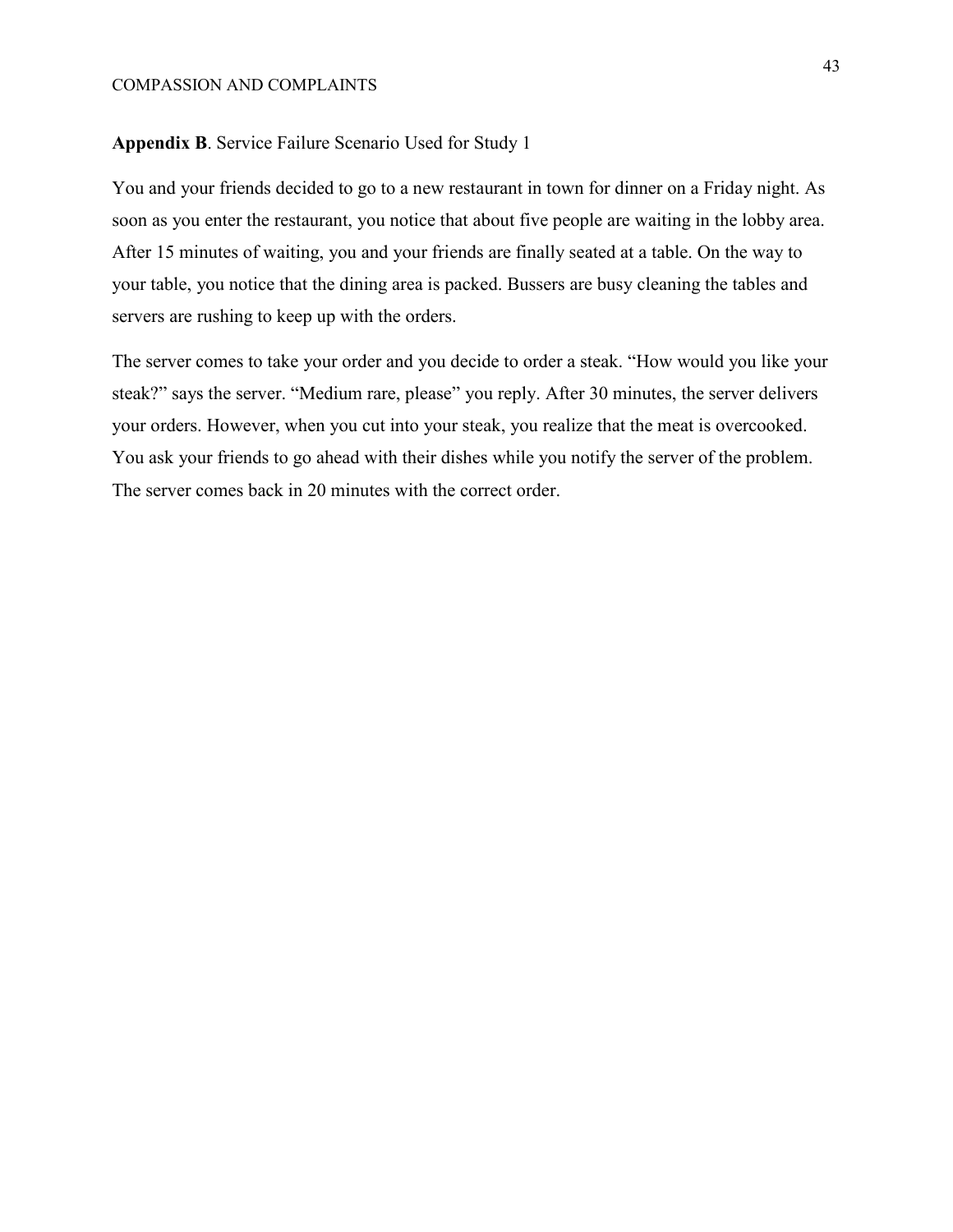#### **Appendix B**. Service Failure Scenario Used for Study 1

You and your friends decided to go to a new restaurant in town for dinner on a Friday night. As soon as you enter the restaurant, you notice that about five people are waiting in the lobby area. After 15 minutes of waiting, you and your friends are finally seated at a table. On the way to your table, you notice that the dining area is packed. Bussers are busy cleaning the tables and servers are rushing to keep up with the orders.

The server comes to take your order and you decide to order a steak. "How would you like your steak?" says the server. "Medium rare, please" you reply. After 30 minutes, the server delivers your orders. However, when you cut into your steak, you realize that the meat is overcooked. You ask your friends to go ahead with their dishes while you notify the server of the problem. The server comes back in 20 minutes with the correct order.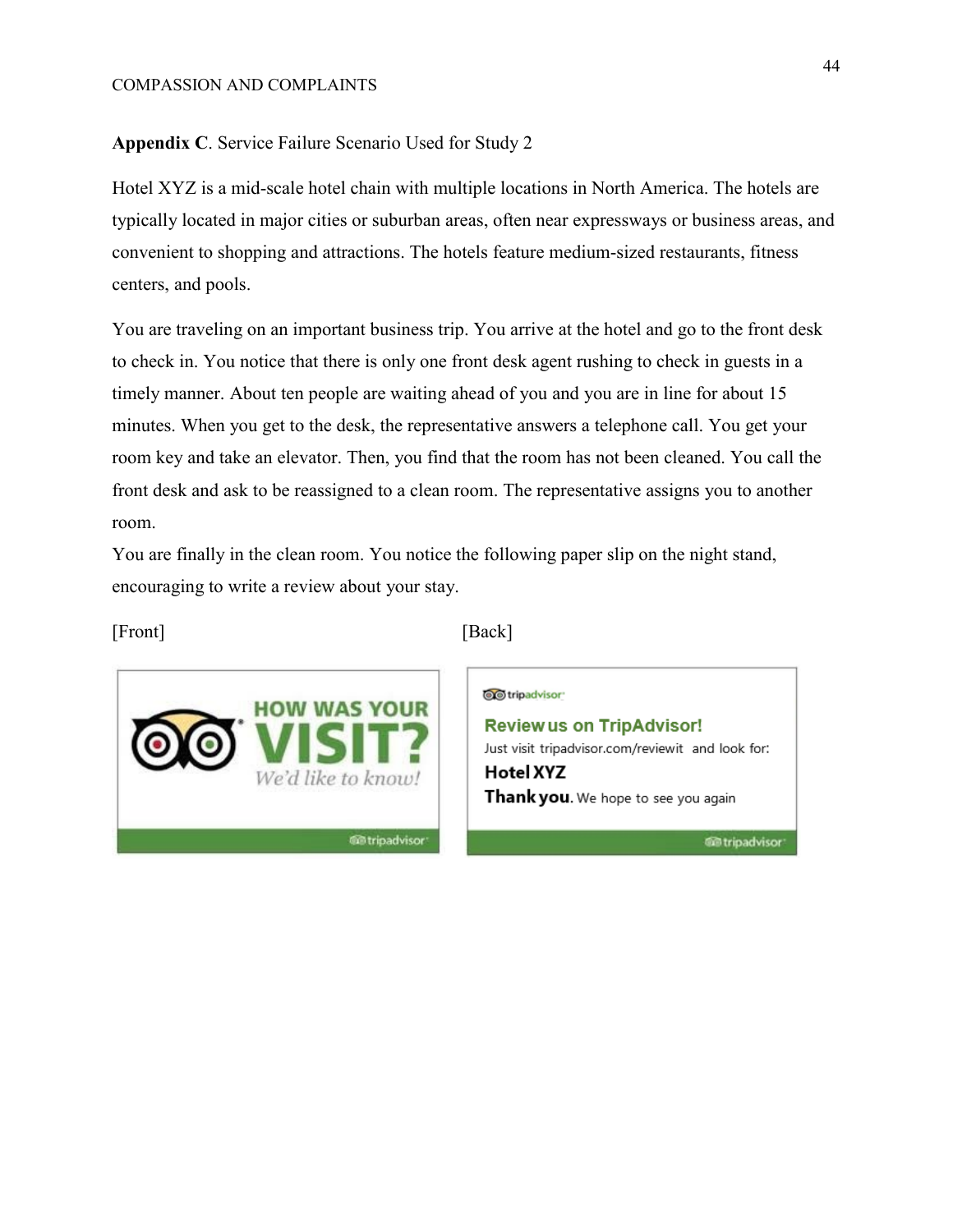#### **Appendix C**. Service Failure Scenario Used for Study 2

Hotel XYZ is a mid-scale hotel chain with multiple locations in North America. The hotels are typically located in major cities or suburban areas, often near expressways or business areas, and convenient to shopping and attractions. The hotels feature medium-sized restaurants, fitness centers, and pools.

You are traveling on an important business trip. You arrive at the hotel and go to the front desk to check in. You notice that there is only one front desk agent rushing to check in guests in a timely manner. About ten people are waiting ahead of you and you are in line for about 15 minutes. When you get to the desk, the representative answers a telephone call. You get your room key and take an elevator. Then, you find that the room has not been cleaned. You call the front desk and ask to be reassigned to a clean room. The representative assigns you to another room.

You are finally in the clean room. You notice the following paper slip on the night stand, encouraging to write a review about your stay.

[Front] [Back]



o tripadvisor

**Review us on TripAdvisor!** Just visit tripadvisor.com/reviewit and look for: **Hotel XYZ** Thank you. We hope to see you again

**Contripadvisor**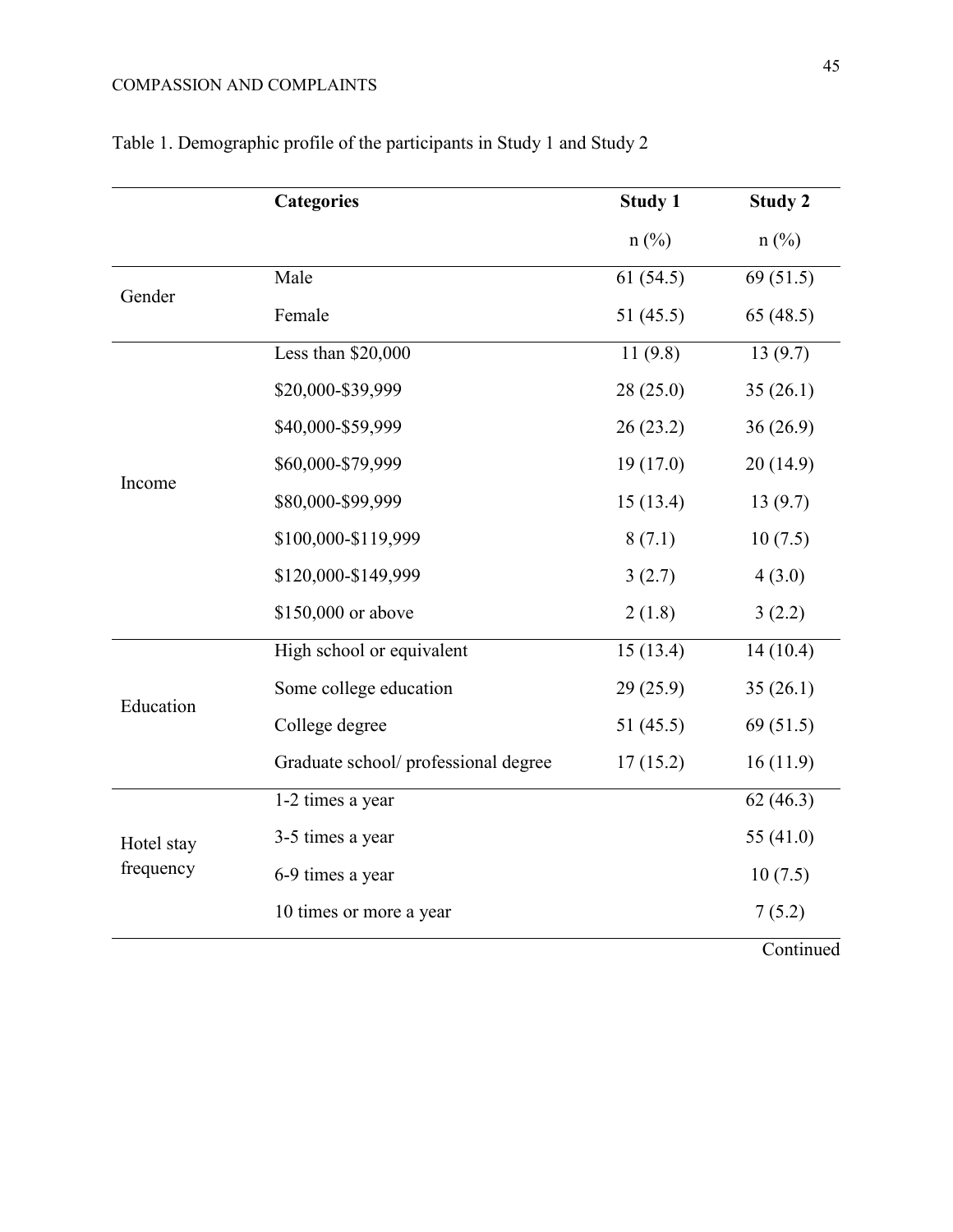# COMPASSION AND COMPLAINTS

|                         | <b>Categories</b>                    | <b>Study 1</b> | <b>Study 2</b> |
|-------------------------|--------------------------------------|----------------|----------------|
|                         |                                      | $n$ (%)        | $n$ (%)        |
| Gender                  | Male                                 | 61(54.5)       | 69(51.5)       |
|                         | Female                               | 51 $(45.5)$    | 65(48.5)       |
| Income                  | Less than \$20,000                   | 11(9.8)        | 13(9.7)        |
|                         | \$20,000-\$39,999                    | 28(25.0)       | 35(26.1)       |
|                         | \$40,000-\$59,999                    | 26(23.2)       | 36(26.9)       |
|                         | \$60,000-\$79,999                    | 19(17.0)       | 20(14.9)       |
|                         | \$80,000-\$99,999                    | 15(13.4)       | 13(9.7)        |
|                         | \$100,000-\$119,999                  | 8(7.1)         | 10(7.5)        |
|                         | \$120,000-\$149,999                  | 3(2.7)         | 4(3.0)         |
|                         | \$150,000 or above                   | 2(1.8)         | 3(2.2)         |
| Education               | High school or equivalent            | 15(13.4)       | 14(10.4)       |
|                         | Some college education               | 29(25.9)       | 35(26.1)       |
|                         | College degree<br>51(45.5)           |                | 69(51.5)       |
|                         | Graduate school/ professional degree | 17(15.2)       | 16(11.9)       |
| Hotel stay<br>frequency | 1-2 times a year                     |                | 62(46.3)       |
|                         | 3-5 times a year                     |                | 55 $(41.0)$    |
|                         | 6-9 times a year                     |                | 10(7.5)        |
|                         | 10 times or more a year              |                | 7(5.2)         |
|                         |                                      |                | Continued      |

# Table 1. Demographic profile of the participants in Study 1 and Study 2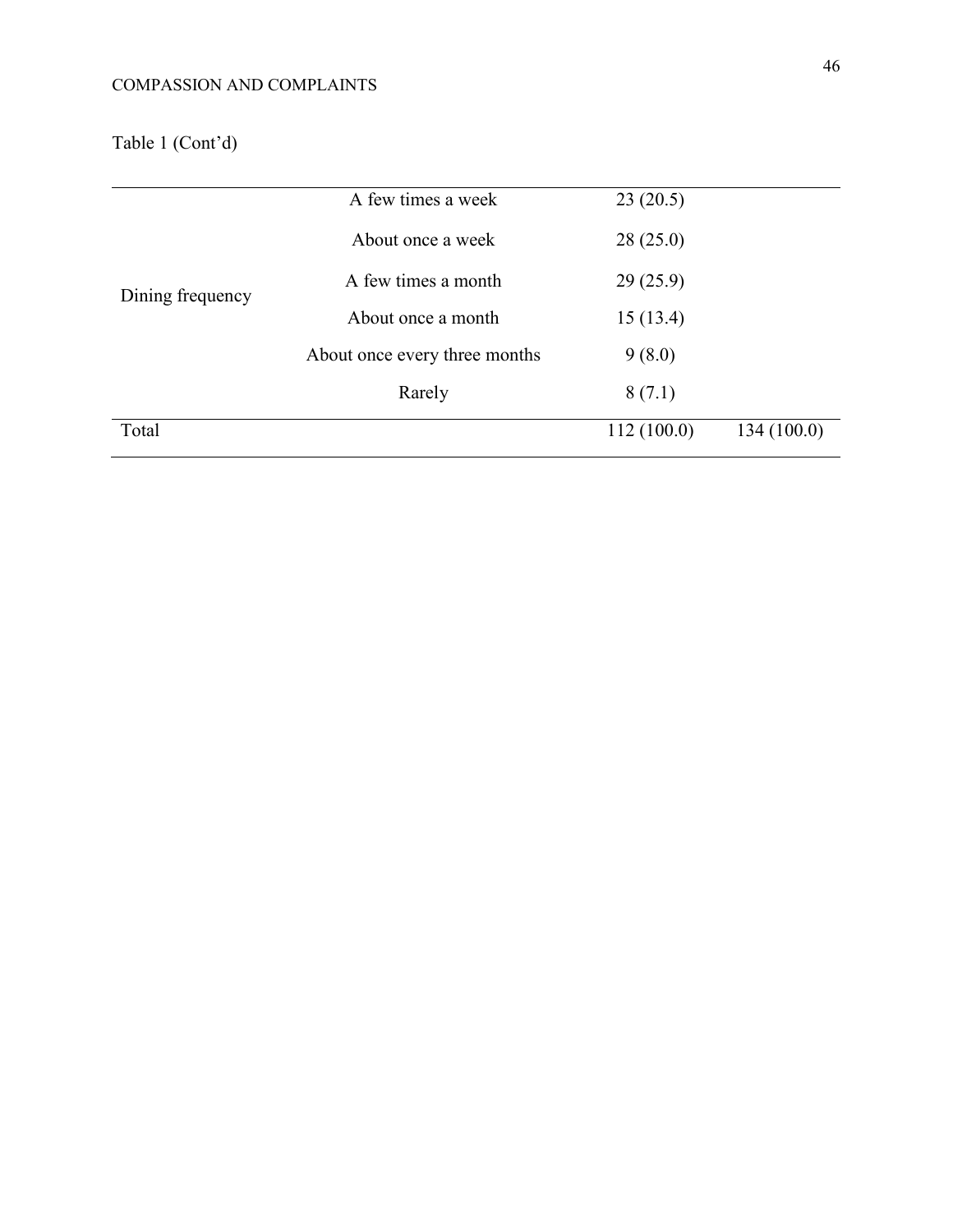Table 1 (Cont'd)

|                  | A few times a week            | 23(20.5)   |            |
|------------------|-------------------------------|------------|------------|
|                  | About once a week             | 28(25.0)   |            |
| Dining frequency | A few times a month           | 29(25.9)   |            |
|                  | About once a month            | 15(13.4)   |            |
|                  | About once every three months | 9(8.0)     |            |
|                  | Rarely                        | 8(7.1)     |            |
| Total            |                               | 112(100.0) | 134(100.0) |